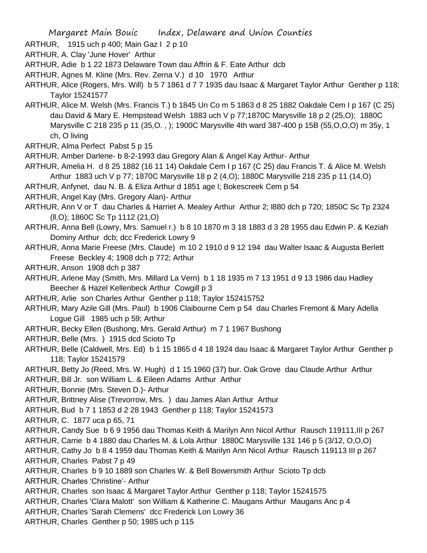- ARTHUR, 1915 uch p 400; Main Gaz I 2 p 10
- ARTHUR, A. Clay 'June Hover' Arthur
- ARTHUR, Adie b 1 22 1873 Delaware Town dau Affrin & F. Eate Arthur dcb
- ARTHUR, Agnes M. Kline (Mrs. Rev. Zerna V.) d 10 1970 Arthur
- ARTHUR, Alice (Rogers, Mrs. Will) b 5 7 1861 d 7 7 1935 dau Isaac & Margaret Taylor Arthur Genther p 118; Taylor 15241577
- ARTHUR, Alice M. Welsh (Mrs. Francis T.) b 1845 Un Co m 5 1863 d 8 25 1882 Oakdale Cem I p 167 (C 25) dau David & Mary E. Hempstead Welsh 1883 uch V p 77;1870C Marysville 18 p 2 (25,O); 1880C Marysville C 218 235 p 11 (35,O. , ); 1900C Marysville 4th ward 387-400 p 15B (55,O,O,O) m 35y, 1 ch, O living
- ARTHUR, Alma Perfect Pabst 5 p 15
- ARTHUR, Amber Darlene- b 8-2-1993 dau Gregory Alan & Angel Kay Arthur- Arthur
- ARTHUR, Amelia H. d 8 25 1882 (16 11 14) Oakdale Cem I p 167 (C 25) dau Francis T. & Alice M. Welsh Arthur 1883 uch V p 77; 1870C Marysville 18 p 2 (4,O); 1880C Marysville 218 235 p 11 (14,O)
- ARTHUR, Anfynet, dau N. B. & Eliza Arthur d 1851 age l; Bokescreek Cem p 54
- ARTHUR, Angel Kay (Mrs. Gregory Alan)- Arthur
- ARTHUR, Ann V or T dau Charles & Harriet A. Mealey Arthur Arthur 2; l880 dch p 720; 1850C Sc Tp 2324 (ll,O); 1860C Sc Tp 1112 (21,O)
- ARTHUR, Anna Bell (Lowry, Mrs. Samuel r.) b 8 10 1870 m 3 18 1883 d 3 28 1955 dau Edwin P. & Keziah Dominy Arthur dcb; dcc Frederick Lowry 9
- ARTHUR, Anna Marie Freese (Mrs. Claude) m 10 2 1910 d 9 12 194 dau Walter Isaac & Augusta Berlett Freese Beckley 4; 1908 dch p 772; Arthur
- ARTHUR, Anson 1908 dch p 387
- ARTHUR, Arlene May (Smith, Mrs. Millard La Vern) b 1 18 1935 m 7 13 1951 d 9 13 1986 dau Hadley Beecher & Hazel Kellenbeck Arthur Cowgill p 3
- ARTHUR, Arlie son Charles Arthur Genther p 118; Taylor 152415752
- ARTHUR, Mary Azile Gill (Mrs. Paul) b 1906 Claibourne Cem p 54 dau Charles Fremont & Mary Adella Logue Gill 1985 uch p 59; Arthur
- ARTHUR, Becky Ellen (Bushong, Mrs. Gerald Arthur) m 7 1 1967 Bushong
- ARTHUR, Belle (Mrs. ) 1915 dcd Scioto Tp
- ARTHUR, Belle (Caldwell, Mrs. Ed) b 1 15 1865 d 4 18 1924 dau Isaac & Margaret Taylor Arthur Genther p 118; Taylor 15241579
- ARTHUR, Betty Jo (Reed, Mrs. W. Hugh) d 1 15 1960 (37) bur. Oak Grove dau Claude Arthur Arthur
- ARTHUR, Bill Jr. son William L. & Eileen Adams Arthur Arthur
- ARTHUR, Bonnie (Mrs. Steven D.)- Arthur
- ARTHUR, Brittney Alise (Trevorrow, Mrs. ) dau James Alan Arthur Arthur
- ARTHUR, Bud b 7 1 1853 d 2 28 1943 Genther p 118; Taylor 15241573
- ARTHUR, C. 1877 uca p 65, 71
- ARTHUR, Candy Sue b 6 9 1956 dau Thomas Keith & Marilyn Ann Nicol Arthur Rausch 119111,III p 267
- ARTHUR, Carrie b 4 1880 dau Charles M. & Lola Arthur 1880C Marysville 131 146 p 5 (3/12, O,O,O)
- ARTHUR, Cathy Jo b 8 4 1959 dau Thomas Keith & Marilyn Ann Nicol Arthur Rausch 119113 III p 267 ARTHUR, Charles Pabst 7 p 49
- ARTHUR, Charles b 9 10 1889 son Charles W. & Bell Bowersmith Arthur Scioto Tp dcb ARTHUR, Charles 'Christine'- Arthur
- ARTHUR, Charles son Isaac & Margaret Taylor Arthur Genther p 118; Taylor 15241575
- ARTHUR, Charles 'Clara Malott' son William & Katherine C. Maugans Arthur Maugans Anc p 4
- ARTHUR, Charles 'Sarah Clemens' dcc Frederick Lon Lowry 36
- ARTHUR, Charles Genther p 50; 1985 uch p 115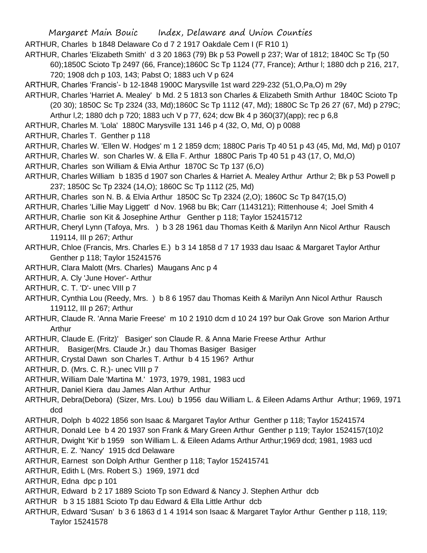ARTHUR, Charles b 1848 Delaware Co d 7 2 1917 Oakdale Cem I (F R10 1)

ARTHUR, Charles 'Elizabeth Smith' d 3 20 1863 (79) Bk p 53 Powell p 237; War of 1812; 1840C Sc Tp (50

- 60);1850C Scioto Tp 2497 (66, France);1860C Sc Tp 1124 (77, France); Arthur l; 1880 dch p 216, 217, 720; 1908 dch p 103, 143; Pabst O; 1883 uch V p 624
- ARTHUR, Charles 'Francis'- b 12-1848 1900C Marysville 1st ward 229-232 (51,O,Pa,O) m 29y
- ARTHUR, Charles 'Harriet A. Mealey' b Md. 2 5 1813 son Charles & Elizabeth Smith Arthur 1840C Scioto Tp (20 30); 1850C Sc Tp 2324 (33, Md);1860C Sc Tp 1112 (47, Md); 1880C Sc Tp 26 27 (67, Md) p 279C; Arthur l,2; 1880 dch p 720; 1883 uch V p 77, 624; dcw Bk 4 p 360(37)(app); rec p 6,8
- ARTHUR, Charles M. 'Lola' 1880C Marysville 131 146 p 4 (32, O, Md, O) p 0088
- ARTHUR, Charles T. Genther p 118
- ARTHUR, Charles W. 'Ellen W. Hodges' m 1 2 1859 dcm; 1880C Paris Tp 40 51 p 43 (45, Md, Md, Md) p 0107 ARTHUR, Charles W. son Charles W. & Ella F. Arthur 1880C Paris Tp 40 51 p 43 (17, O, Md,O)
- ARTHUR, Charles son William & Elvia Arthur 1870C Sc Tp 137 (6,O)
- ARTHUR, Charles William b 1835 d 1907 son Charles & Harriet A. Mealey Arthur Arthur 2; Bk p 53 Powell p 237; 1850C Sc Tp 2324 (14,O); 1860C Sc Tp 1112 (25, Md)
- ARTHUR, Charles son N. B. & Elvia Arthur 1850C Sc Tp 2324 (2,O); 1860C Sc Tp 847(15,O)
- ARTHUR, Charles 'Lillie May Liggett' d Nov. 1968 bu Bk; Carr (1143121); Rittenhouse 4; Joel Smith 4
- ARTHUR, Charlie son Kit & Josephine Arthur Genther p 118; Taylor 152415712
- ARTHUR, Cheryl Lynn (Tafoya, Mrs. ) b 3 28 1961 dau Thomas Keith & Marilyn Ann Nicol Arthur Rausch 119114, III p 267; Arthur
- ARTHUR, Chloe (Francis, Mrs. Charles E.) b 3 14 1858 d 7 17 1933 dau Isaac & Margaret Taylor Arthur Genther p 118; Taylor 15241576
- ARTHUR, Clara Malott (Mrs. Charles) Maugans Anc p 4
- ARTHUR, A. Cly 'June Hover'- Arthur
- ARTHUR, C. T. 'D'- unec VIII p 7
- ARTHUR, Cynthia Lou (Reedy, Mrs. ) b 8 6 1957 dau Thomas Keith & Marilyn Ann Nicol Arthur Rausch 119112, III p 267; Arthur
- ARTHUR, Claude R. 'Anna Marie Freese' m 10 2 1910 dcm d 10 24 19? bur Oak Grove son Marion Arthur Arthur
- ARTHUR, Claude E. (Fritz)' Basiger' son Claude R. & Anna Marie Freese Arthur Arthur
- ARTHUR, Basiger(Mrs. Claude Jr.) dau Thomas Basiger Basiger
- ARTHUR, Crystal Dawn son Charles T. Arthur b 4 15 196? Arthur
- ARTHUR, D. (Mrs. C. R.)- unec VIII p 7
- ARTHUR, William Dale 'Martina M.' 1973, 1979, 1981, 1983 ucd
- ARTHUR, Daniel Kiera dau James Alan Arthur Arthur
- ARTHUR, Debra(Debora) (Sizer, Mrs. Lou) b 1956 dau William L. & Eileen Adams Arthur Arthur; 1969, 1971 dcd
- ARTHUR, Dolph b 4022 1856 son Isaac & Margaret Taylor Arthur Genther p 118; Taylor 15241574
- ARTHUR, Donald Lee b 4 20 1937 son Frank & Mary Green Arthur Genther p 119; Taylor 1524157(10)2
- ARTHUR, Dwight 'Kit' b 1959 son William L. & Eileen Adams Arthur Arthur;1969 dcd; 1981, 1983 ucd
- ARTHUR, E. Z. 'Nancy' 1915 dcd Delaware
- ARTHUR, Earnest son Dolph Arthur Genther p 118; Taylor 152415741
- ARTHUR, Edith L (Mrs. Robert S.) 1969, 1971 dcd
- ARTHUR, Edna dpc p 101
- ARTHUR, Edward b 2 17 1889 Scioto Tp son Edward & Nancy J. Stephen Arthur dcb
- ARTHUR b 3 15 1881 Scioto Tp dau Edward & Ella Little Arthur dcb
- ARTHUR, Edward 'Susan' b 3 6 1863 d 1 4 1914 son Isaac & Margaret Taylor Arthur Genther p 118, 119; Taylor 15241578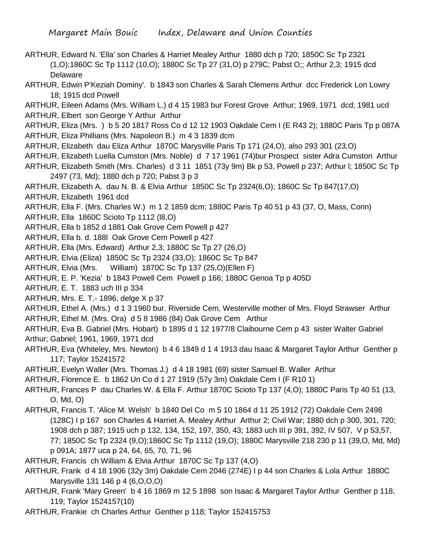- ARTHUR, Edward N. 'Ella' son Charles & Harriet Mealey Arthur 1880 dch p 720; 1850C Sc Tp 2321 (1,O);1860C Sc Tp 1112 (10,O); 1880C Sc Tp 27 (31,O) p 279C; Pabst O;; Arthur 2,3; 1915 dcd Delaware
- ARTHUR, Edwin P'Keziah Dominy'. b 1843 son Charles & Sarah Clemens Arthur dcc Frederick Lon Lowry 18; 1915 dcd Powell
- ARTHUR, Eileen Adams (Mrs. William L.) d 4 15 1983 bur Forest Grove Arthur; 1969, 1971 dcd; 1981 ucd ARTHUR, Elbert son George Y Arthur Arthur
- ARTHUR, Eliza (Mrs. ) b 5 20 1817 Ross Co d 12 12 1903 Oakdale Cem I (E R43 2); 1880C Paris Tp p 087A ARTHUR, Eliza Phillians (Mrs. Napoleon B.) m 4 3 1839 dcm
- ARTHUR, Elizabeth dau Eliza Arthur 1870C Marysville Paris Tp 171 (24,O), also 293 301 (23,O)
- ARTHUR, Elizabeth Luella Cumston (Mrs. Noble) d 7 17 1961 (74)bur Prospect sister Adra Cumston Arthur
- ARTHUR, Elizabeth Smith (Mrs. Charles) d 3 11 1851 (73y 9m) Bk p 53, Powell p 237; Arthur l; 1850C Sc Tp 2497 (73, Md); 1880 dch p 720; Pabst 3 p 3
- ARTHUR, Elizabeth A. dau N. B. & Elvia Arthur 1850C Sc Tp 2324(6,O); 1860C Sc Tp 847(17,O)
- ARTHUR, Elizabeth 1961 dcd
- ARTHUR, Ella F. (Mrs. Charles W.) m 1 2 1859 dcm; 1880C Paris Tp 40 51 p 43 (37, O, Mass, Conn)
- ARTHUR, Ella 1860C Scioto Tp 1112 (l8,O)
- ARTHUR, Ella b 1852 d 1881 Oak Grove Cem Powell p 427
- ARTHUR, Ella b. d. 188l Oak Grove Cem Powell p 427
- ARTHUR, Ella (Mrs. Edward) Arthur 2,3; 1880C Sc Tp 27 (26,O)
- ARTHUR, Elvia (Eliza) 1850C Sc Tp 2324 (33,O); 1860C Sc Tp 847
- ARTHUR, Elvia (Mrs. William) 1870C Sc Tp 137 (25,O)(Ellen F)
- ARTHUR, E. P. 'Kezia' b 1843 Powell Cem Powell p 166; 1880C Genoa Tp p 405D
- ARTHUR, E. T. 1883 uch III p 334
- ARTHUR, Mrs. E. T.- 1896, delge X p 37
- ARTHUR, Ethel A. (Mrs.) d 1 3 1960 bur. Riverside Cem, Westerville mother of Mrs. Floyd Strawser Arthur
- ARTHUR, Ethel M. (Mrs. Ora) d 5 8 1986 (84) Oak Grove Cem Arthur
- ARTHUR, Eva B. Gabriel (Mrs. Hobart) b 1895 d 1 12 1977/8 Claibourne Cem p 43 sister Walter Gabriel Arthur; Gabriel; 1961, 1969, 1971 dcd
- ARTHUR, Eva (Whiteley, Mrs. Newton) b 4 6 1849 d 1 4 1913 dau Isaac & Margaret Taylor Arthur Genther p 117; Taylor 15241572
- ARTHUR, Evelyn Waller (Mrs. Thomas J.) d 4 18 1981 (69) sister Samuel B. Waller Arthur
- ARTHUR, Florence E. b 1862 Un Co d 1 27 1919 (57y 3m) Oakdale Cem I (F R10 1)
- ARTHUR, Frances P dau Charles W. & Ella F. Arthur 1870C Scioto Tp 137 (4,O); 1880C Paris Tp 40 51 (13, O, Md, O)
- ARTHUR, Francis T. 'Alice M. Welsh' b 1840 Del Co m 5 10 1864 d 11 25 1912 (72) Oakdale Cem 2498 (128C) I p 167 son Charles & Harriet A. Mealey Arthur Arthur 2; Civil War; 1880 dch p 300, 301, 720; 1908 dch p 387; 1915 uch p 132, 134, 152, 197, 350, 43; 1883 uch III p 391, 392, IV 507, V p 53,57, 77; 1850C Sc Tp 2324 (9,O);1860C Sc Tp 1112 (19,O); 1880C Marysville 218 230 p 11 (39,O, Md, Md) p 091A; 1877 uca p 24, 64, 65, 70, 71, 96
- ARTHUR, Francis ch William & Elvia Arthur 1870C Sc Tp 137 (4,O)
- ARTHUR, Frank d 4 18 1906 (32y 3m) Oakdale Cem 2046 (274E) I p 44 son Charles & Lola Arthur 1880C Marysville 131 146 p 4 (6,O,O,O)
- ARTHUR, Frank 'Mary Green' b 4 16 1869 m 12 5 1898 son Isaac & Margaret Taylor Arthur Genther p 118, 119; Taylor 1524157(10)
- ARTHUR, Frankie ch Charles Arthur Genther p 118; Taylor 152415753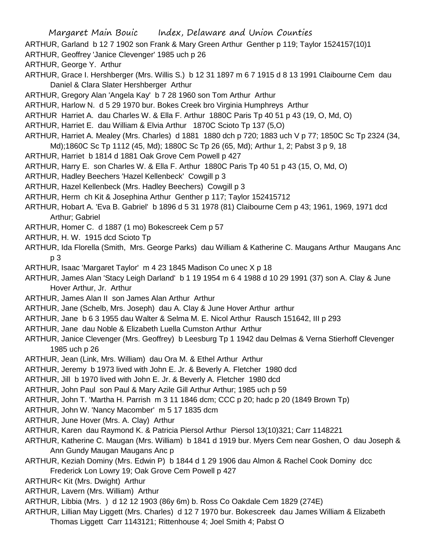- ARTHUR, Garland b 12 7 1902 son Frank & Mary Green Arthur Genther p 119; Taylor 1524157(10)1
- ARTHUR, Geoffrey 'Janice Clevenger' 1985 uch p 26
- ARTHUR, George Y. Arthur
- ARTHUR, Grace I. Hershberger (Mrs. Willis S.) b 12 31 1897 m 6 7 1915 d 8 13 1991 Claibourne Cem dau Daniel & Clara Slater Hershberger Arthur
- ARTHUR, Gregory Alan 'Angela Kay' b 7 28 1960 son Tom Arthur Arthur
- ARTHUR, Harlow N. d 5 29 1970 bur. Bokes Creek bro Virginia Humphreys Arthur
- ARTHUR Harriet A. dau Charles W. & Ella F. Arthur 1880C Paris Tp 40 51 p 43 (19, O, Md, O)
- ARTHUR, Harriet E. dau William & Elvia Arthur 1870C Scioto Tp 137 (5,O)
- ARTHUR, Harriet A. Mealey (Mrs. Charles) d 1881 1880 dch p 720; 1883 uch V p 77; 1850C Sc Tp 2324 (34,
- Md);1860C Sc Tp 1112 (45, Md); 1880C Sc Tp 26 (65, Md); Arthur 1, 2; Pabst 3 p 9, 18
- ARTHUR, Harriet b 1814 d 1881 Oak Grove Cem Powell p 427
- ARTHUR, Harry E. son Charles W. & Ella F. Arthur 1880C Paris Tp 40 51 p 43 (15, O, Md, O)
- ARTHUR, Hadley Beechers 'Hazel Kellenbeck' Cowgill p 3
- ARTHUR, Hazel Kellenbeck (Mrs. Hadley Beechers) Cowgill p 3
- ARTHUR, Herm ch Kit & Josephina Arthur Genther p 117; Taylor 152415712
- ARTHUR, Hobart A. 'Eva B. Gabriel' b 1896 d 5 31 1978 (81) Claibourne Cem p 43; 1961, 1969, 1971 dcd Arthur; Gabriel
- ARTHUR, Homer C. d 1887 (1 mo) Bokescreek Cem p 57
- ARTHUR, H. W. 1915 dcd Scioto Tp
- ARTHUR, Ida Florella (Smith, Mrs. George Parks) dau William & Katherine C. Maugans Arthur Maugans Anc p 3
- ARTHUR, Isaac 'Margaret Taylor' m 4 23 1845 Madison Co unec X p 18
- ARTHUR, James Alan 'Stacy Leigh Darland' b 1 19 1954 m 6 4 1988 d 10 29 1991 (37) son A. Clay & June Hover Arthur, Jr. Arthur
- ARTHUR, James Alan II son James Alan Arthur Arthur
- ARTHUR, Jane (Schelb, Mrs. Joseph) dau A. Clay & June Hover Arthur arthur
- ARTHUR, Jane b 6 3 1955 dau Walter & Selma M. E. Nicol Arthur Rausch 151642, III p 293
- ARTHUR, Jane dau Noble & Elizabeth Luella Cumston Arthur Arthur
- ARTHUR, Janice Clevenger (Mrs. Geoffrey) b Leesburg Tp 1 1942 dau Delmas & Verna Stierhoff Clevenger 1985 uch p 26
- ARTHUR, Jean (Link, Mrs. William) dau Ora M. & Ethel Arthur Arthur
- ARTHUR, Jeremy b 1973 lived with John E. Jr. & Beverly A. Fletcher 1980 dcd
- ARTHUR, Jill b 1970 lived with John E. Jr. & Beverly A. Fletcher 1980 dcd
- ARTHUR, John Paul son Paul & Mary Azile Gill Arthur Arthur; 1985 uch p 59
- ARTHUR, John T. 'Martha H. Parrish m 3 11 1846 dcm; CCC p 20; hadc p 20 (1849 Brown Tp)
- ARTHUR, John W. 'Nancy Macomber' m 5 17 1835 dcm
- ARTHUR, June Hover (Mrs. A. Clay) Arthur
- ARTHUR, Karen dau Raymond K. & Patricia Piersol Arthur Piersol 13(10)321; Carr 1148221
- ARTHUR, Katherine C. Maugan (Mrs. William) b 1841 d 1919 bur. Myers Cem near Goshen, O dau Joseph & Ann Gundy Maugan Maugans Anc p
- ARTHUR, Keziah Dominy (Mrs. Edwin P) b 1844 d 1 29 1906 dau Almon & Rachel Cook Dominy dcc Frederick Lon Lowry 19; Oak Grove Cem Powell p 427
- ARTHUR< Kit (Mrs. Dwight) Arthur
- ARTHUR, Lavern (Mrs. William) Arthur
- ARTHUR, Libbia (Mrs. ) d 12 12 1903 (86y 6m) b. Ross Co Oakdale Cem 1829 (274E)
- ARTHUR, Lillian May Liggett (Mrs. Charles) d 12 7 1970 bur. Bokescreek dau James William & Elizabeth
	- Thomas Liggett Carr 1143121; Rittenhouse 4; Joel Smith 4; Pabst O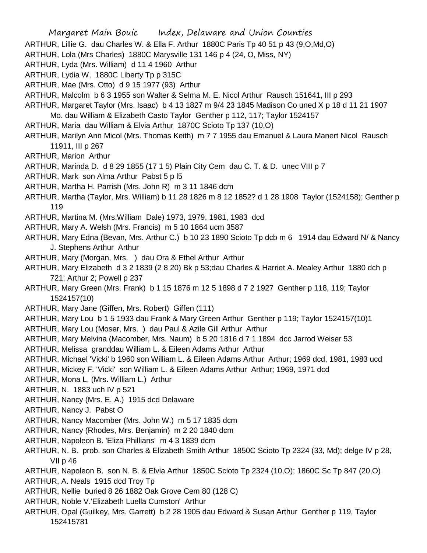Margaret Main Bouic Index, Delaware and Union Counties ARTHUR, Lillie G. dau Charles W. & Ella F. Arthur 1880C Paris Tp 40 51 p 43 (9,O,Md,O) ARTHUR, Lola (Mrs Charles) 1880C Marysville 131 146 p 4 (24, O, Miss, NY) ARTHUR, Lyda (Mrs. William) d 11 4 1960 Arthur ARTHUR, Lydia W. 1880C Liberty Tp p 315C ARTHUR, Mae (Mrs. Otto) d 9 15 1977 (93) Arthur ARTHUR, Malcolm b 6 3 1955 son Walter & Selma M. E. Nicol Arthur Rausch 151641, III p 293 ARTHUR, Margaret Taylor (Mrs. Isaac) b 4 13 1827 m 9/4 23 1845 Madison Co uned X p 18 d 11 21 1907 Mo. dau William & Elizabeth Casto Taylor Genther p 112, 117; Taylor 1524157 ARTHUR, Maria dau William & Elvia Arthur 1870C Scioto Tp 137 (10,O) ARTHUR, Marilyn Ann Micol (Mrs. Thomas Keith) m 7 7 1955 dau Emanuel & Laura Manert Nicol Rausch 11911, III p 267 ARTHUR, Marion Arthur ARTHUR, Marinda D. d 8 29 1855 (17 1 5) Plain City Cem dau C. T. & D. unec VIII p 7 ARTHUR, Mark son Alma Arthur Pabst 5 p l5 ARTHUR, Martha H. Parrish (Mrs. John R) m 3 11 1846 dcm ARTHUR, Martha (Taylor, Mrs. William) b 11 28 1826 m 8 12 1852? d 1 28 1908 Taylor (1524158); Genther p 119 ARTHUR, Martina M. (Mrs.William Dale) 1973, 1979, 1981, 1983 dcd ARTHUR, Mary A. Welsh (Mrs. Francis) m 5 10 1864 ucm 3587 ARTHUR, Mary Edna (Bevan, Mrs. Arthur C.) b 10 23 1890 Scioto Tp dcb m 6 1914 dau Edward N/ & Nancy J. Stephens Arthur Arthur ARTHUR, Mary (Morgan, Mrs. ) dau Ora & Ethel Arthur Arthur ARTHUR, Mary Elizabeth d 3 2 1839 (2 8 20) Bk p 53;dau Charles & Harriet A. Mealey Arthur 1880 dch p 721; Arthur 2; Powell p 237 ARTHUR, Mary Green (Mrs. Frank) b 1 15 1876 m 12 5 1898 d 7 2 1927 Genther p 118, 119; Taylor 1524157(10) ARTHUR, Mary Jane (Giffen, Mrs. Robert) Giffen (111) ARTHUR, Mary Lou b 1 5 1933 dau Frank & Mary Green Arthur Genther p 119; Taylor 1524157(10)1 ARTHUR, Mary Lou (Moser, Mrs. ) dau Paul & Azile Gill Arthur Arthur ARTHUR, Mary Melvina (Macomber, Mrs. Naum) b 5 20 1816 d 7 1 1894 dcc Jarrod Weiser 53 ARTHUR, Melissa granddau William L. & Eileen Adams Arthur Arthur ARTHUR, Michael 'Vicki' b 1960 son William L. & Eileen Adams Arthur Arthur; 1969 dcd, 1981, 1983 ucd ARTHUR, Mickey F. 'Vicki' son William L. & Eileen Adams Arthur Arthur; 1969, 1971 dcd ARTHUR, Mona L. (Mrs. William L.) Arthur ARTHUR, N. 1883 uch IV p 521 ARTHUR, Nancy (Mrs. E. A.) 1915 dcd Delaware ARTHUR, Nancy J. Pabst O ARTHUR, Nancy Macomber (Mrs. John W.) m 5 17 1835 dcm ARTHUR, Nancy (Rhodes, Mrs. Benjamin) m 2 20 1840 dcm ARTHUR, Napoleon B. 'Eliza Phillians' m 4 3 1839 dcm ARTHUR, N. B. prob. son Charles & Elizabeth Smith Arthur 1850C Scioto Tp 2324 (33, Md); delge IV p 28, VII p 46 ARTHUR, Napoleon B. son N. B. & Elvia Arthur 1850C Scioto Tp 2324 (10,O); 1860C Sc Tp 847 (20,O) ARTHUR, A. Neals 1915 dcd Troy Tp ARTHUR, Nellie buried 8 26 1882 Oak Grove Cem 80 (128 C) ARTHUR, Noble V.'Elizabeth Luella Cumston' Arthur ARTHUR, Opal (Guilkey, Mrs. Garrett) b 2 28 1905 dau Edward & Susan Arthur Genther p 119, Taylor

152415781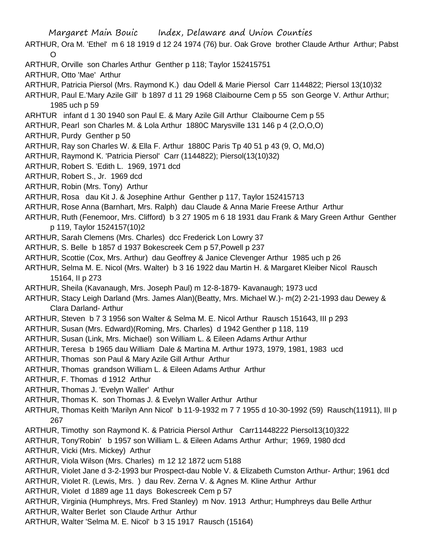- ARTHUR, Ora M. 'Ethel' m 6 18 1919 d 12 24 1974 (76) bur. Oak Grove brother Claude Arthur Arthur; Pabst  $\Omega$
- ARTHUR, Orville son Charles Arthur Genther p 118; Taylor 152415751
- ARTHUR, Otto 'Mae' Arthur
- ARTHUR, Patricia Piersol (Mrs. Raymond K.) dau Odell & Marie Piersol Carr 1144822; Piersol 13(10)32
- ARTHUR, Paul E.'Mary Azile Gill' b 1897 d 11 29 1968 Claibourne Cem p 55 son George V. Arthur Arthur; 1985 uch p 59
- ARHTUR infant d 1 30 1940 son Paul E. & Mary Azile Gill Arthur Claibourne Cem p 55
- ARTHUR, Pearl son Charles M. & Lola Arthur 1880C Marysville 131 146 p 4 (2,O,O,O)
- ARTHUR, Purdy Genther p 50
- ARTHUR, Ray son Charles W. & Ella F. Arthur 1880C Paris Tp 40 51 p 43 (9, O, Md,O)
- ARTHUR, Raymond K. 'Patricia Piersol' Carr (1144822); Piersol(13(10)32)
- ARTHUR, Robert S. 'Edith L. 1969, 1971 dcd
- ARTHUR, Robert S., Jr. 1969 dcd
- ARTHUR, Robin (Mrs. Tony) Arthur
- ARTHUR, Rosa dau Kit J. & Josephine Arthur Genther p 117, Taylor 152415713
- ARTHUR, Rose Anna (Barnhart, Mrs. Ralph) dau Claude & Anna Marie Freese Arthur Arthur
- ARTHUR, Ruth (Fenemoor, Mrs. Clifford) b 3 27 1905 m 6 18 1931 dau Frank & Mary Green Arthur Genther p 119, Taylor 1524157(10)2
- ARTHUR, Sarah Clemens (Mrs. Charles) dcc Frederick Lon Lowry 37
- ARTHUR, S. Belle b 1857 d 1937 Bokescreek Cem p 57,Powell p 237
- ARTHUR, Scottie (Cox, Mrs. Arthur) dau Geoffrey & Janice Clevenger Arthur 1985 uch p 26
- ARTHUR, Selma M. E. Nicol (Mrs. Walter) b 3 16 1922 dau Martin H. & Margaret Kleiber Nicol Rausch 15164, II p 273
- ARTHUR, Sheila (Kavanaugh, Mrs. Joseph Paul) m 12-8-1879- Kavanaugh; 1973 ucd
- ARTHUR, Stacy Leigh Darland (Mrs. James Alan)(Beatty, Mrs. Michael W.)- m(2) 2-21-1993 dau Dewey & Clara Darland- Arthur
- ARTHUR, Steven b 7 3 1956 son Walter & Selma M. E. Nicol Arthur Rausch 151643, III p 293
- ARTHUR, Susan (Mrs. Edward)(Roming, Mrs. Charles) d 1942 Genther p 118, 119
- ARTHUR, Susan (Link, Mrs. Michael) son William L. & Eileen Adams Arthur Arthur
- ARTHUR, Teresa b 1965 dau William Dale & Martina M. Arthur 1973, 1979, 1981, 1983 ucd
- ARTHUR, Thomas son Paul & Mary Azile Gill Arthur Arthur
- ARTHUR, Thomas grandson William L. & Eileen Adams Arthur Arthur
- ARTHUR, F. Thomas d 1912 Arthur
- ARTHUR, Thomas J. 'Evelyn Waller' Arthur
- ARTHUR, Thomas K. son Thomas J. & Evelyn Waller Arthur Arthur
- ARTHUR, Thomas Keith 'Marilyn Ann Nicol' b 11-9-1932 m 7 7 1955 d 10-30-1992 (59) Rausch(11911), III p 267
- ARTHUR, Timothy son Raymond K. & Patricia Piersol Arthur Carr11448222 Piersol13(10)322
- ARTHUR, Tony'Robin' b 1957 son William L. & Eileen Adams Arthur Arthur; 1969, 1980 dcd
- ARTHUR, Vicki (Mrs. Mickey) Arthur
- ARTHUR, Viola Wilson (Mrs. Charles) m 12 12 1872 ucm 5188
- ARTHUR, Violet Jane d 3-2-1993 bur Prospect-dau Noble V. & Elizabeth Cumston Arthur- Arthur; 1961 dcd
- ARTHUR, Violet R. (Lewis, Mrs. ) dau Rev. Zerna V. & Agnes M. Kline Arthur Arthur
- ARTHUR, Violet d 1889 age 11 days Bokescreek Cem p 57
- ARTHUR, Virginia (Humphreys, Mrs. Fred Stanley) m Nov. 1913 Arthur; Humphreys dau Belle Arthur
- ARTHUR, Walter Berlet son Claude Arthur Arthur
- ARTHUR, Walter 'Selma M. E. Nicol' b 3 15 1917 Rausch (15164)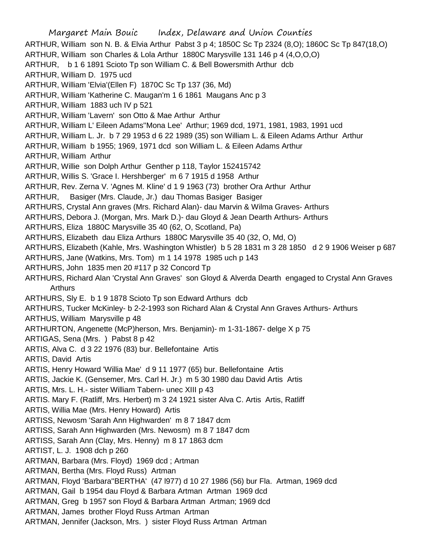Margaret Main Bouic Index, Delaware and Union Counties ARTHUR, William son N. B. & Elvia Arthur Pabst 3 p 4; 1850C Sc Tp 2324 (8,O); 1860C Sc Tp 847(18,O) ARTHUR, William son Charles & Lola Arthur 1880C Marysville 131 146 p 4 (4,O,O,O) ARTHUR, b 1 6 1891 Scioto Tp son William C. & Bell Bowersmith Arthur dcb ARTHUR, William D. 1975 ucd ARTHUR, William 'Elvia'(Ellen F) 1870C Sc Tp 137 (36, Md) ARTHUR, William 'Katherine C. Maugan'm 1 6 1861 Maugans Anc p 3 ARTHUR, William 1883 uch IV p 521 ARTHUR, William 'Lavern' son Otto & Mae Arthur Arthur ARTHUR, William L' Eileen Adams''Mona Lee' Arthur; 1969 dcd, 1971, 1981, 1983, 1991 ucd ARTHUR, William L. Jr. b 7 29 1953 d 6 22 1989 (35) son William L. & Eileen Adams Arthur Arthur ARTHUR, William b 1955; 1969, 1971 dcd son William L. & Eileen Adams Arthur ARTHUR, William Arthur ARTHUR, Willie son Dolph Arthur Genther p 118, Taylor 152415742 ARTHUR, Willis S. 'Grace I. Hershberger' m 6 7 1915 d 1958 Arthur ARTHUR, Rev. Zerna V. 'Agnes M. Kline' d 1 9 1963 (73) brother Ora Arthur Arthur ARTHUR, Basiger (Mrs. Claude, Jr.) dau Thomas Basiger Basiger ARTHURS, Crystal Ann graves (Mrs. Richard Alan)- dau Marvin & Wilma Graves- Arthurs ARTHURS, Debora J. (Morgan, Mrs. Mark D.)- dau Gloyd & Jean Dearth Arthurs- Arthurs ARTHURS, Eliza 1880C Marysville 35 40 (62, O, Scotland, Pa) ARTHURS, Elizabeth dau Eliza Arthurs 1880C Marysville 35 40 (32, O, Md, O) ARTHURS, Elizabeth (Kahle, Mrs. Washington Whistler) b 5 28 1831 m 3 28 1850 d 2 9 1906 Weiser p 687 ARTHURS, Jane (Watkins, Mrs. Tom) m 1 14 1978 1985 uch p 143 ARTHURS, John 1835 men 20 #117 p 32 Concord Tp ARTHURS, Richard Alan 'Crystal Ann Graves' son Gloyd & Alverda Dearth engaged to Crystal Ann Graves Arthurs ARTHURS, Sly E. b 1 9 1878 Scioto Tp son Edward Arthurs dcb ARTHURS, Tucker McKinley- b 2-2-1993 son Richard Alan & Crystal Ann Graves Arthurs- Arthurs ARTHUS, William Marysville p 48 ARTHURTON, Angenette (McP)herson, Mrs. Benjamin)- m 1-31-1867- delge X p 75 ARTIGAS, Sena (Mrs. ) Pabst 8 p 42 ARTIS, Alva C. d 3 22 1976 (83) bur. Bellefontaine Artis ARTIS, David Artis ARTIS, Henry Howard 'Willia Mae' d 9 11 1977 (65) bur. Bellefontaine Artis ARTIS, Jackie K. (Gensemer, Mrs. Carl H. Jr.) m 5 30 1980 dau David Artis Artis ARTIS, Mrs. L. H.- sister William Tabern- unec XIII p 43 ARTIS. Mary F. (Ratliff, Mrs. Herbert) m 3 24 1921 sister Alva C. Artis Artis, Ratliff ARTIS, Willia Mae (Mrs. Henry Howard) Artis ARTISS, Newosm 'Sarah Ann Highwarden' m 8 7 1847 dcm ARTISS, Sarah Ann Highwarden (Mrs. Newosm) m 8 7 1847 dcm ARTISS, Sarah Ann (Clay, Mrs. Henny) m 8 17 1863 dcm ARTIST, L. J. 1908 dch p 260 ARTMAN, Barbara (Mrs. Floyd) 1969 dcd ; Artman ARTMAN, Bertha (Mrs. Floyd Russ) Artman ARTMAN, Floyd 'Barbara''BERTHA' (47 l977) d 10 27 1986 (56) bur Fla. Artman, 1969 dcd ARTMAN, Gail b 1954 dau Floyd & Barbara Artman Artman 1969 dcd ARTMAN, Greg b 1957 son Floyd & Barbara Artman Artman; 1969 dcd ARTMAN, James brother Floyd Russ Artman Artman ARTMAN, Jennifer (Jackson, Mrs. ) sister Floyd Russ Artman Artman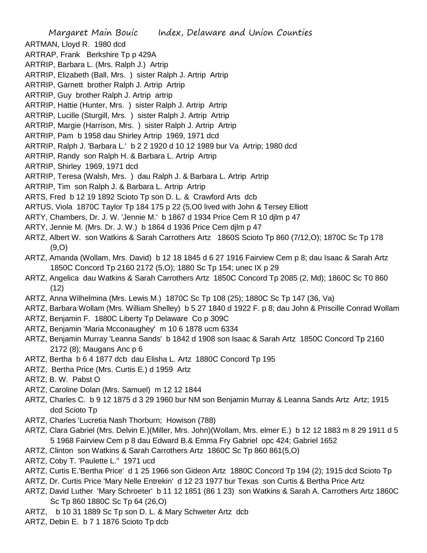Margaret Main Bouic Index, Delaware and Union Counties ARTMAN, Lloyd R. 1980 dcd ARTRAP, Frank Berkshire Tp p 429A ARTRIP, Barbara L. (Mrs. Ralph J.) Artrip ARTRIP, Elizabeth (Ball, Mrs. ) sister Ralph J. Artrip Artrip ARTRIP, Garnett brother Ralph J. Artrip Artrip ARTRIP, Guy brother Ralph J. Artrip artrip ARTRIP, Hattie (Hunter, Mrs. ) sister Ralph J. Artrip Artrip ARTRIP, Lucille (Sturgill, Mrs. ) sister Ralph J. Artrip Artrip ARTRIP, Margie (Harrison, Mrs. ) sister Ralph J. Artrip Artrip ARTRIP, Pam b 1958 dau Shirley Artrip 1969, 1971 dcd ARTRIP, Ralph J. 'Barbara L.' b 2 2 1920 d 10 12 1989 bur Va Artrip; 1980 dcd ARTRIP, Randy son Ralph H. & Barbara L. Artrip Artrip ARTRIP, Shirley 1969, 1971 dcd ARTRIP, Teresa (Walsh, Mrs. ) dau Ralph J. & Barbara L. Artrip Artrip ARTRIP, Tim son Ralph J. & Barbara L. Artrip Artrip ARTS, Fred b 12 19 1892 Scioto Tp son D. L. & Crawford Arts dcb ARTUS, Viola 1870C Taylor Tp 184 175 p 22 (5,O0 lived with John & Tersey Elliott ARTY, Chambers, Dr. J. W. 'Jennie M.' b 1867 d 1934 Price Cem R 10 djlm p 47 ARTY, Jennie M. (Mrs. Dr. J. W.) b 1864 d 1936 Price Cem djlm p 47 ARTZ, Albert W. son Watkins & Sarah Carrothers Artz 1860S Scioto Tp 860 (7/12,O); 1870C Sc Tp 178 (9,O) ARTZ, Amanda (Wollam, Mrs. David) b 12 18 1845 d 6 27 1916 Fairview Cem p 8; dau Isaac & Sarah Artz 1850C Concord Tp 2160 2172 (5,O); 1880 Sc Tp 154; unec IX p 29 ARTZ, Angelica dau Watkins & Sarah Carrothers Artz 1850C Concord Tp 2085 (2, Md); 1860C Sc T0 860 (12) ARTZ, Anna Wilhelmina (Mrs. Lewis M.) 1870C Sc Tp 108 (25); 1880C Sc Tp 147 (36, Va) ARTZ, Barbara Wollam (Mrs. William Shelley) b 5 27 1840 d 1922 F. p 8; dau John & Priscille Conrad Wollam ARTZ, Benjamin F. 1880C Liberty Tp Delaware Co p 309C ARTZ, Benjamin 'Maria Mcconaughey' m 10 6 1878 ucm 6334 ARTZ, Benjamin Murray 'Leanna Sands' b 1842 d 1908 son Isaac & Sarah Artz 1850C Concord Tp 2160 2172 (8); Maugans Anc p 6 ARTZ, Bertha b 6 4 1877 dcb dau Elisha L. Artz 1880C Concord Tp 195 ARTZ, Bertha Price (Mrs. Curtis E.) d 1959 Artz ARTZ, B. W. Pabst O ARTZ, Caroline Dolan (Mrs. Samuel) m 12 12 1844

- ARTZ, Charles C. b 9 12 1875 d 3 29 1960 bur NM son Benjamin Murray & Leanna Sands Artz Artz; 1915 dcd Scioto Tp
- ARTZ, Charles 'Lucretia Nash Thorburn; Howison (788)
- ARTZ, Clara Gabriel (Mrs. Delvin E.)(Miller, Mrs. John)(Wollam, Mrs. elmer E.) b 12 12 1883 m 8 29 1911 d 5 5 1968 Fairview Cem p 8 dau Edward B.& Emma Fry Gabriel opc 424; Gabriel 1652
- ARTZ, Clinton son Watkins & Sarah Carrothers Artz 1860C Sc Tp 860 861(5,O)
- ARTZ, Coby T. 'Paulette L." 1971 ucd
- ARTZ, Curtis E.'Bertha Price' d 1 25 1966 son Gideon Artz 1880C Concord Tp 194 (2); 1915 dcd Scioto Tp
- ARTZ, Dr. Curtis Price 'Mary Nelle Entrekin' d 12 23 1977 bur Texas son Curtis & Bertha Price Artz
- ARTZ, David Luther 'Mary Schroeter' b 11 12 1851 (86 1 23) son Watkins & Sarah A. Carrothers Artz 1860C Sc Tp 860 1880C Sc Tp 64 (26,O)
- ARTZ, b 10 31 1889 Sc Tp son D. L. & Mary Schweter Artz dcb
- ARTZ, Debin E. b 7 1 1876 Scioto Tp dcb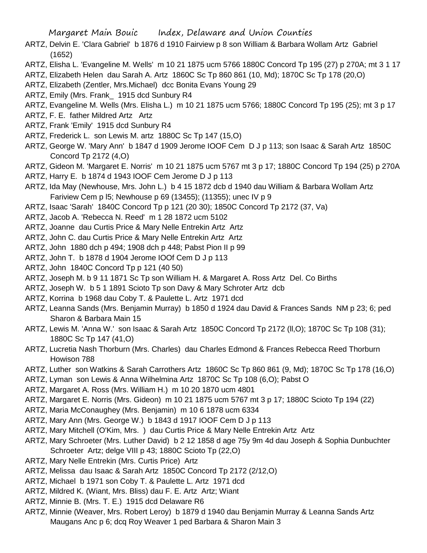- ARTZ, Delvin E. 'Clara Gabriel' b 1876 d 1910 Fairview p 8 son William & Barbara Wollam Artz Gabriel (1652)
- ARTZ, Elisha L. 'Evangeline M. Wells' m 10 21 1875 ucm 5766 1880C Concord Tp 195 (27) p 270A; mt 3 1 17
- ARTZ, Elizabeth Helen dau Sarah A. Artz 1860C Sc Tp 860 861 (10, Md); 1870C Sc Tp 178 (20,O)
- ARTZ, Elizabeth (Zentler, Mrs.Michael) dcc Bonita Evans Young 29
- ARTZ, Emily (Mrs. Frank\_ 1915 dcd Sunbury R4
- ARTZ, Evangeline M. Wells (Mrs. Elisha L.) m 10 21 1875 ucm 5766; 1880C Concord Tp 195 (25); mt 3 p 17
- ARTZ, F. E. father Mildred Artz Artz
- ARTZ, Frank 'Emily' 1915 dcd Sunbury R4
- ARTZ, Frederick L. son Lewis M. artz 1880C Sc Tp 147 (15,O)
- ARTZ, George W. 'Mary Ann' b 1847 d 1909 Jerome IOOF Cem D J p 113; son Isaac & Sarah Artz 1850C Concord Tp 2172 (4,O)
- ARTZ, Gideon M. 'Margaret E. Norris' m 10 21 1875 ucm 5767 mt 3 p 17; 1880C Concord Tp 194 (25) p 270A
- ARTZ, Harry E. b 1874 d 1943 IOOF Cem Jerome D J p 113
- ARTZ, Ida May (Newhouse, Mrs. John L.) b 4 15 1872 dcb d 1940 dau William & Barbara Wollam Artz Fariview Cem p l5; Newhouse p 69 (13455); (11355); unec IV p 9
- ARTZ, Isaac 'Sarah' 1840C Concord Tp p 121 (20 30); 1850C Concord Tp 2172 (37, Va)
- ARTZ, Jacob A. 'Rebecca N. Reed' m 1 28 1872 ucm 5102
- ARTZ, Joanne dau Curtis Price & Mary Nelle Entrekin Artz Artz
- ARTZ, John C. dau Curtis Price & Mary Nelle Entrekin Artz Artz
- ARTZ, John 1880 dch p 494; 1908 dch p 448; Pabst Pion II p 99
- ARTZ, John T. b 1878 d 1904 Jerome IOOf Cem D J p 113
- ARTZ, John 1840C Concord Tp p 121 (40 50)
- ARTZ, Joseph M. b 9 11 1871 Sc Tp son William H. & Margaret A. Ross Artz Del. Co Births
- ARTZ, Joseph W. b 5 1 1891 Scioto Tp son Davy & Mary Schroter Artz dcb
- ARTZ, Korrina b 1968 dau Coby T. & Paulette L. Artz 1971 dcd
- ARTZ, Leanna Sands (Mrs. Benjamin Murray) b 1850 d 1924 dau David & Frances Sands NM p 23; 6; ped Sharon & Barbara Main 15
- ARTZ, Lewis M. 'Anna W.' son Isaac & Sarah Artz 1850C Concord Tp 2172 (ll,O); 1870C Sc Tp 108 (31); 1880C Sc Tp 147 (41,O)
- ARTZ, Lucretia Nash Thorburn (Mrs. Charles) dau Charles Edmond & Frances Rebecca Reed Thorburn Howison 788
- ARTZ, Luther son Watkins & Sarah Carrothers Artz 1860C Sc Tp 860 861 (9, Md); 1870C Sc Tp 178 (16,O)
- ARTZ, Lyman son Lewis & Anna Wilhelmina Artz 1870C Sc Tp 108 (6,O); Pabst O
- ARTZ, Margaret A. Ross (Mrs. William H.) m 10 20 1870 ucm 4801
- ARTZ, Margaret E. Norris (Mrs. Gideon) m 10 21 1875 ucm 5767 mt 3 p 17; 1880C Scioto Tp 194 (22)
- ARTZ, Maria McConaughey (Mrs. Benjamin) m 10 6 1878 ucm 6334
- ARTZ, Mary Ann (Mrs. George W.) b 1843 d 1917 IOOF Cem D J p 113
- ARTZ, Mary Mitchell (O'Kim, Mrs. ) dau Curtis Price & Mary Nelle Entrekin Artz Artz
- ARTZ, Mary Schroeter (Mrs. Luther David) b 2 12 1858 d age 75y 9m 4d dau Joseph & Sophia Dunbuchter Schroeter Artz; delge VIII p 43; 1880C Scioto Tp (22,O)
- ARTZ, Mary Nelle Entrekin (Mrs. Curtis Price) Artz
- ARTZ, Melissa dau Isaac & Sarah Artz 1850C Concord Tp 2172 (2/12,O)
- ARTZ, Michael b 1971 son Coby T. & Paulette L. Artz 1971 dcd
- ARTZ, Mildred K. (Wiant, Mrs. Bliss) dau F. E. Artz Artz; Wiant
- ARTZ, Minnie B. (Mrs. T. E.) 1915 dcd Delaware R6
- ARTZ, Minnie (Weaver, Mrs. Robert Leroy) b 1879 d 1940 dau Benjamin Murray & Leanna Sands Artz Maugans Anc p 6; dcq Roy Weaver 1 ped Barbara & Sharon Main 3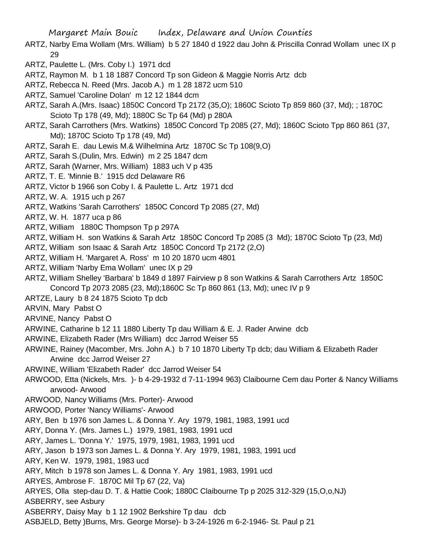- ARTZ, Narby Ema Wollam (Mrs. William) b 5 27 1840 d 1922 dau John & Priscilla Conrad Wollam unec IX p 29
- ARTZ, Paulette L. (Mrs. Coby I.) 1971 dcd
- ARTZ, Raymon M. b 1 18 1887 Concord Tp son Gideon & Maggie Norris Artz dcb
- ARTZ, Rebecca N. Reed (Mrs. Jacob A.) m 1 28 1872 ucm 510
- ARTZ, Samuel 'Caroline Dolan' m 12 12 1844 dcm
- ARTZ, Sarah A.(Mrs. Isaac) 1850C Concord Tp 2172 (35,O); 1860C Scioto Tp 859 860 (37, Md); ; 1870C Scioto Tp 178 (49, Md); 1880C Sc Tp 64 (Md) p 280A
- ARTZ, Sarah Carrothers (Mrs. Watkins) 1850C Concord Tp 2085 (27, Md); 1860C Scioto Tpp 860 861 (37, Md); 1870C Scioto Tp 178 (49, Md)
- ARTZ, Sarah E. dau Lewis M.& Wilhelmina Artz 1870C Sc Tp 108(9,O)
- ARTZ, Sarah S.(Dulin, Mrs. Edwin) m 2 25 1847 dcm
- ARTZ, Sarah (Warner, Mrs. William) 1883 uch V p 435
- ARTZ, T. E. 'Minnie B.' 1915 dcd Delaware R6
- ARTZ, Victor b 1966 son Coby I. & Paulette L. Artz 1971 dcd
- ARTZ, W. A. 1915 uch p 267
- ARTZ, Watkins 'Sarah Carrothers' 1850C Concord Tp 2085 (27, Md)
- ARTZ, W. H. 1877 uca p 86
- ARTZ, William 1880C Thompson Tp p 297A
- ARTZ, William H. son Watkins & Sarah Artz 1850C Concord Tp 2085 (3 Md); 1870C Scioto Tp (23, Md)
- ARTZ, William son Isaac & Sarah Artz 1850C Concord Tp 2172 (2,O)
- ARTZ, William H. 'Margaret A. Ross' m 10 20 1870 ucm 4801
- ARTZ, William 'Narby Ema Wollam' unec IX p 29
- ARTZ, William Shelley 'Barbara' b 1849 d 1897 Fairview p 8 son Watkins & Sarah Carrothers Artz 1850C Concord Tp 2073 2085 (23, Md);1860C Sc Tp 860 861 (13, Md); unec IV p 9
- ARTZE, Laury b 8 24 1875 Scioto Tp dcb
- ARVIN, Mary Pabst O
- ARVINE, Nancy Pabst O
- ARWINE, Catharine b 12 11 1880 Liberty Tp dau William & E. J. Rader Arwine dcb
- ARWINE, Elizabeth Rader (Mrs William) dcc Jarrod Weiser 55
- ARWINE, Rainey (Macomber, Mrs. John A.) b 7 10 1870 Liberty Tp dcb; dau William & Elizabeth Rader Arwine dcc Jarrod Weiser 27
- ARWINE, William 'Elizabeth Rader' dcc Jarrod Weiser 54
- ARWOOD, Etta (Nickels, Mrs. )- b 4-29-1932 d 7-11-1994 963) Claibourne Cem dau Porter & Nancy Williams arwood- Arwood
- ARWOOD, Nancy Williams (Mrs. Porter)- Arwood
- ARWOOD, Porter 'Nancy Williams'- Arwood
- ARY, Ben b 1976 son James L. & Donna Y. Ary 1979, 1981, 1983, 1991 ucd
- ARY, Donna Y. (Mrs. James L.) 1979, 1981, 1983, 1991 ucd
- ARY, James L. 'Donna Y.' 1975, 1979, 1981, 1983, 1991 ucd
- ARY, Jason b 1973 son James L. & Donna Y. Ary 1979, 1981, 1983, 1991 ucd
- ARY, Ken W. 1979, 1981, 1983 ucd
- ARY, Mitch b 1978 son James L. & Donna Y. Ary 1981, 1983, 1991 ucd
- ARYES, Ambrose F. 1870C Mil Tp 67 (22, Va)
- ARYES, Olla step-dau D. T. & Hattie Cook; 1880C Claibourne Tp p 2025 312-329 (15,O,o,NJ)
- ASBERRY, see Asbury
- ASBERRY, Daisy May b 1 12 1902 Berkshire Tp dau dcb
- ASBJELD, Betty )Burns, Mrs. George Morse)- b 3-24-1926 m 6-2-1946- St. Paul p 21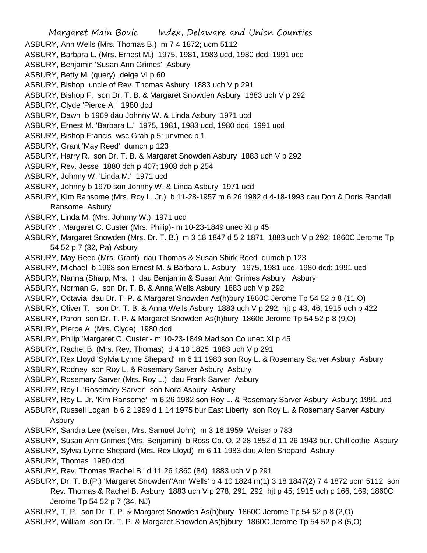- Margaret Main Bouic Index, Delaware and Union Counties ASBURY, Ann Wells (Mrs. Thomas B.) m 7 4 1872; ucm 5112 ASBURY, Barbara L. (Mrs. Ernest M.) 1975, 1981, 1983 ucd, 1980 dcd; 1991 ucd ASBURY, Benjamin 'Susan Ann Grimes' Asbury ASBURY, Betty M. (query) delge VI p 60 ASBURY, Bishop uncle of Rev. Thomas Asbury 1883 uch V p 291 ASBURY, Bishop F. son Dr. T. B. & Margaret Snowden Asbury 1883 uch V p 292 ASBURY, Clyde 'Pierce A.' 1980 dcd ASBURY, Dawn b 1969 dau Johnny W. & Linda Asbury 1971 ucd ASBURY, Ernest M. 'Barbara L.' 1975, 1981, 1983 ucd, 1980 dcd; 1991 ucd ASBURY, Bishop Francis wsc Grah p 5; unvmec p 1 ASBURY, Grant 'May Reed' dumch p 123 ASBURY, Harry R. son Dr. T. B. & Margaret Snowden Asbury 1883 uch V p 292 ASBURY, Rev. Jesse 1880 dch p 407; 1908 dch p 254 ASBURY, Johnny W. 'Linda M.' 1971 ucd ASBURY, Johnny b 1970 son Johnny W. & Linda Asbury 1971 ucd ASBURY, Kim Ransome (Mrs. Roy L. Jr.) b 11-28-1957 m 6 26 1982 d 4-18-1993 dau Don & Doris Randall Ransome Asbury ASBURY, Linda M. (Mrs. Johnny W.) 1971 ucd ASBURY , Margaret C. Custer (Mrs. Philip)- m 10-23-1849 unec XI p 45 ASBURY, Margaret Snowden (Mrs. Dr. T. B.) m 3 18 1847 d 5 2 1871 1883 uch V p 292; 1860C Jerome Tp 54 52 p 7 (32, Pa) Asbury ASBURY, May Reed (Mrs. Grant) dau Thomas & Susan Shirk Reed dumch p 123 ASBURY, Michael b 1968 son Ernest M. & Barbara L. Asbury 1975, 1981 ucd, 1980 dcd; 1991 ucd ASBURY, Nanna (Sharp, Mrs. ) dau Benjamin & Susan Ann Grimes Asbury Asbury ASBURY, Norman G. son Dr. T. B. & Anna Wells Asbury 1883 uch V p 292 ASBURY, Octavia dau Dr. T. P. & Margaret Snowden As(h)bury 1860C Jerome Tp 54 52 p 8 (11,O) ASBURY, Oliver T. son Dr. T. B. & Anna Wells Asbury 1883 uch V p 292, hjt p 43, 46; 1915 uch p 422 ASBURY, Paron son Dr. T. P. & Margaret Snowden As(h)bury 1860c Jerome Tp 54 52 p 8 (9,O) ASBURY, Pierce A. (Mrs. Clyde) 1980 dcd ASBURY, Philip 'Margaret C. Custer'- m 10-23-1849 Madison Co unec XI p 45 ASBURY, Rachel B. (Mrs. Rev. Thomas) d 4 10 1825 1883 uch V p 291 ASBURY, Rex Lloyd 'Sylvia Lynne Shepard' m 6 11 1983 son Roy L. & Rosemary Sarver Asbury Asbury ASBURY, Rodney son Roy L. & Rosemary Sarver Asbury Asbury ASBURY, Rosemary Sarver (Mrs. Roy L.) dau Frank Sarver Asbury ASBURY, Roy L.'Rosemary Sarver' son Nora Asbury Asbury ASBURY, Roy L. Jr. 'Kim Ransome' m 6 26 1982 son Roy L. & Rosemary Sarver Asbury Asbury; 1991 ucd ASBURY, Russell Logan b 6 2 1969 d 1 14 1975 bur East Liberty son Roy L. & Rosemary Sarver Asbury Asbury ASBURY, Sandra Lee (weiser, Mrs. Samuel John) m 3 16 1959 Weiser p 783
- ASBURY, Susan Ann Grimes (Mrs. Benjamin) b Ross Co. O. 2 28 1852 d 11 26 1943 bur. Chillicothe Asbury
- ASBURY, Sylvia Lynne Shepard (Mrs. Rex Lloyd) m 6 11 1983 dau Allen Shepard Asbury
- ASBURY, Thomas 1980 dcd
- ASBURY, Rev. Thomas 'Rachel B.' d 11 26 1860 (84) 1883 uch V p 291
- ASBURY, Dr. T. B.(P.) 'Margaret Snowden''Ann Wells' b 4 10 1824 m(1) 3 18 1847(2) 7 4 1872 ucm 5112 son Rev. Thomas & Rachel B. Asbury 1883 uch V p 278, 291, 292; hjt p 45; 1915 uch p 166, 169; 1860C Jerome Tp 54 52 p 7 (34, NJ)
- ASBURY, T. P. son Dr. T. P. & Margaret Snowden As(h)bury 1860C Jerome Tp 54 52 p 8 (2,O)
- ASBURY, William son Dr. T. P. & Margaret Snowden As(h)bury 1860C Jerome Tp 54 52 p 8 (5,O)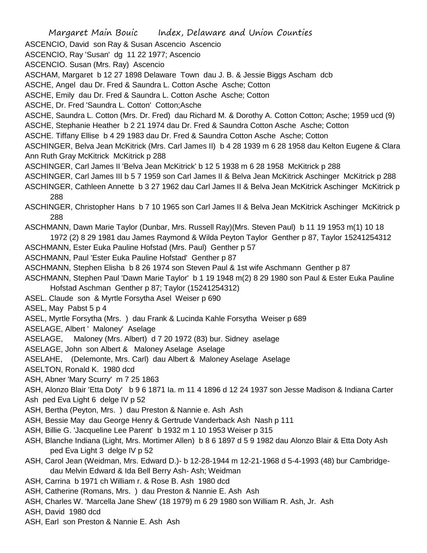Margaret Main Bouic Index, Delaware and Union Counties ASCENCIO, David son Ray & Susan Ascencio Ascencio ASCENCIO, Ray 'Susan' dg 11 22 1977; Ascencio ASCENCIO. Susan (Mrs. Ray) Ascencio ASCHAM, Margaret b 12 27 1898 Delaware Town dau J. B. & Jessie Biggs Ascham dcb ASCHE, Angel dau Dr. Fred & Saundra L. Cotton Asche Asche; Cotton ASCHE, Emily dau Dr. Fred & Saundra L. Cotton Asche Asche; Cotton ASCHE, Dr. Fred 'Saundra L. Cotton' Cotton;Asche ASCHE, Saundra L. Cotton (Mrs. Dr. Fred) dau Richard M. & Dorothy A. Cotton Cotton; Asche; 1959 ucd (9) ASCHE, Stephanie Heather b 2 21 1974 dau Dr. Fred & Saundra Cotton Asche Asche; Cotton ASCHE. Tiffany Ellise b 4 29 1983 dau Dr. Fred & Saundra Cotton Asche Asche; Cotton ASCHINGER, Belva Jean McKitrick (Mrs. Carl James II) b 4 28 1939 m 6 28 1958 dau Kelton Eugene & Clara Ann Ruth Gray McKitrick McKitrick p 288 ASCHINGER, Carl James II 'Belva Jean McKitrick' b 12 5 1938 m 6 28 1958 McKitrick p 288 ASCHINGER, Carl James III b 5 7 1959 son Carl James II & Belva Jean McKitrick Aschinger McKitrick p 288 ASCHINGER, Cathleen Annette b 3 27 1962 dau Carl James II & Belva Jean McKitrick Aschinger McKitrick p 288 ASCHINGER, Christopher Hans b 7 10 1965 son Carl James II & Belva Jean McKitrick Aschinger McKitrick p 288 ASCHMANN, Dawn Marie Taylor (Dunbar, Mrs. Russell Ray)(Mrs. Steven Paul) b 11 19 1953 m(1) 10 18 1972 (2) 8 29 1981 dau James Raymond & Wilda Peyton Taylor Genther p 87, Taylor 15241254312 ASCHMANN, Ester Euka Pauline Hofstad (Mrs. Paul) Genther p 57 ASCHMANN, Paul 'Ester Euka Pauline Hofstad' Genther p 87 ASCHMANN, Stephen Elisha b 8 26 1974 son Steven Paul & 1st wife Aschmann Genther p 87 ASCHMANN, Stephen Paul 'Dawn Marie Taylor' b 1 19 1948 m(2) 8 29 1980 son Paul & Ester Euka Pauline Hofstad Aschman Genther p 87; Taylor (15241254312) ASEL. Claude son & Myrtle Forsytha Asel Weiser p 690 ASEL, May Pabst 5 p 4 ASEL, Myrtle Forsytha (Mrs. ) dau Frank & Lucinda Kahle Forsytha Weiser p 689 ASELAGE, Albert ' Maloney' Aselage ASELAGE, Maloney (Mrs. Albert) d 7 20 1972 (83) bur. Sidney aselage ASELAGE, John son Albert & Maloney Aselage Aselage ASELAHE, (Delemonte, Mrs. Carl) dau Albert & Maloney Aselage Aselage ASELTON, Ronald K. 1980 dcd ASH, Abner 'Mary Scurry' m 7 25 1863 ASH, Alonzo Blair 'Etta Doty' b 9 6 1871 Ia. m 11 4 1896 d 12 24 1937 son Jesse Madison & Indiana Carter Ash ped Eva Light 6 delge IV p 52 ASH, Bertha (Peyton, Mrs. ) dau Preston & Nannie e. Ash Ash ASH, Bessie May dau George Henry & Gertrude Vanderback Ash Nash p 111 ASH, Billie G. 'Jacqueline Lee Parent' b 1932 m 1 10 1953 Weiser p 315 ASH, Blanche Indiana (Light, Mrs. Mortimer Allen) b 8 6 1897 d 5 9 1982 dau Alonzo Blair & Etta Doty Ash ped Eva Light 3 delge IV p 52 ASH, Carol Jean (Weidman, Mrs. Edward D.)- b 12-28-1944 m 12-21-1968 d 5-4-1993 (48) bur Cambridgedau Melvin Edward & Ida Bell Berry Ash- Ash; Weidman ASH, Carrina b 1971 ch William r. & Rose B. Ash 1980 dcd ASH, Catherine (Romans, Mrs. ) dau Preston & Nannie E. Ash Ash ASH, Charles W. 'Marcella Jane Shew' (18 1979) m 6 29 1980 son William R. Ash, Jr. Ash ASH, David 1980 dcd ASH, Earl son Preston & Nannie E. Ash Ash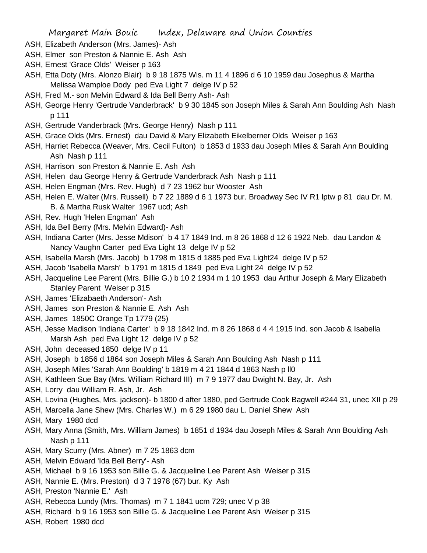- ASH, Elizabeth Anderson (Mrs. James)- Ash
- ASH, Elmer son Preston & Nannie E. Ash Ash
- ASH, Ernest 'Grace Olds' Weiser p 163
- ASH, Etta Doty (Mrs. Alonzo Blair) b 9 18 1875 Wis. m 11 4 1896 d 6 10 1959 dau Josephus & Martha Melissa Wamploe Dody ped Eva Light 7 delge IV p 52
- ASH, Fred M.- son Melvin Edward & Ida Bell Berry Ash- Ash
- ASH, George Henry 'Gertrude Vanderbrack' b 9 30 1845 son Joseph Miles & Sarah Ann Boulding Ash Nash p 111
- ASH, Gertrude Vanderbrack (Mrs. George Henry) Nash p 111
- ASH, Grace Olds (Mrs. Ernest) dau David & Mary Elizabeth Eikelberner Olds Weiser p 163
- ASH, Harriet Rebecca (Weaver, Mrs. Cecil Fulton) b 1853 d 1933 dau Joseph Miles & Sarah Ann Boulding Ash Nash p 111
- ASH, Harrison son Preston & Nannie E. Ash Ash
- ASH, Helen dau George Henry & Gertrude Vanderbrack Ash Nash p 111
- ASH, Helen Engman (Mrs. Rev. Hugh) d 7 23 1962 bur Wooster Ash
- ASH, Helen E. Walter (Mrs. Russell) b 7 22 1889 d 6 1 1973 bur. Broadway Sec IV R1 lptw p 81 dau Dr. M. B. & Martha Rusk Walter 1967 ucd; Ash
- ASH, Rev. Hugh 'Helen Engman' Ash
- ASH, Ida Bell Berry (Mrs. Melvin Edward)- Ash
- ASH, Indiana Carter (Mrs. Jesse Mdison' b 4 17 1849 Ind. m 8 26 1868 d 12 6 1922 Neb. dau Landon & Nancy Vaughn Carter ped Eva Light 13 delge IV p 52
- ASH, Isabella Marsh (Mrs. Jacob) b 1798 m 1815 d 1885 ped Eva Light24 delge IV p 52
- ASH, Jacob 'Isabella Marsh' b 1791 m 1815 d 1849 ped Eva Light 24 delge IV p 52
- ASH, Jacqueline Lee Parent (Mrs. Billie G.) b 10 2 1934 m 1 10 1953 dau Arthur Joseph & Mary Elizabeth Stanley Parent Weiser p 315
- ASH, James 'Elizabaeth Anderson'- Ash
- ASH, James son Preston & Nannie E. Ash Ash
- ASH, James 1850C Orange Tp 1779 (25)
- ASH, Jesse Madison 'Indiana Carter' b 9 18 1842 Ind. m 8 26 1868 d 4 4 1915 Ind. son Jacob & Isabella Marsh Ash ped Eva Light 12 delge IV p 52
- ASH, John deceased 1850 delge IV p 11
- ASH, Joseph b 1856 d 1864 son Joseph Miles & Sarah Ann Boulding Ash Nash p 111
- ASH, Joseph Miles 'Sarah Ann Boulding' b 1819 m 4 21 1844 d 1863 Nash p ll0
- ASH, Kathleen Sue Bay (Mrs. William Richard III) m 7 9 1977 dau Dwight N. Bay, Jr. Ash
- ASH, Lorry dau William R. Ash, Jr. Ash
- ASH, Lovina (Hughes, Mrs. jackson)- b 1800 d after 1880, ped Gertrude Cook Bagwell #244 31, unec XII p 29
- ASH, Marcella Jane Shew (Mrs. Charles W.) m 6 29 1980 dau L. Daniel Shew Ash
- ASH, Mary 1980 dcd
- ASH, Mary Anna (Smith, Mrs. William James) b 1851 d 1934 dau Joseph Miles & Sarah Ann Boulding Ash Nash p 111
- ASH, Mary Scurry (Mrs. Abner) m 7 25 1863 dcm
- ASH, Melvin Edward 'Ida Bell Berry'- Ash
- ASH, Michael b 9 16 1953 son Billie G. & Jacqueline Lee Parent Ash Weiser p 315
- ASH, Nannie E. (Mrs. Preston) d 3 7 1978 (67) bur. Ky Ash
- ASH, Preston 'Nannie E.' Ash
- ASH, Rebecca Lundy (Mrs. Thomas) m 7 1 1841 ucm 729; unec V p 38
- ASH, Richard b 9 16 1953 son Billie G. & Jacqueline Lee Parent Ash Weiser p 315
- ASH, Robert 1980 dcd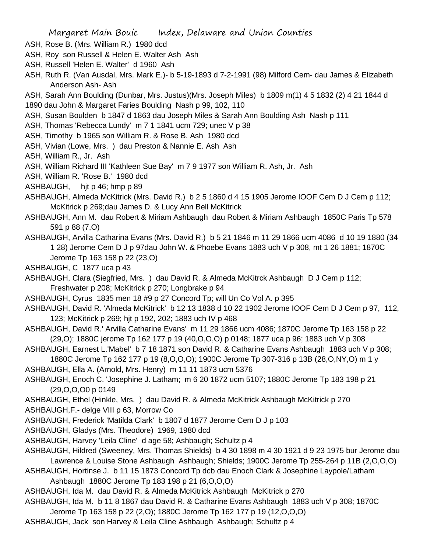- ASH, Rose B. (Mrs. William R.) 1980 dcd
- ASH, Roy son Russell & Helen E. Walter Ash Ash
- ASH, Russell 'Helen E. Walter' d 1960 Ash
- ASH, Ruth R. (Van Ausdal, Mrs. Mark E.)- b 5-19-1893 d 7-2-1991 (98) Milford Cem- dau James & Elizabeth Anderson Ash- Ash
- ASH, Sarah Ann Boulding (Dunbar, Mrs. Justus)(Mrs. Joseph Miles) b 1809 m(1) 4 5 1832 (2) 4 21 1844 d
- 1890 dau John & Margaret Faries Boulding Nash p 99, 102, 110
- ASH, Susan Boulden b 1847 d 1863 dau Joseph Miles & Sarah Ann Boulding Ash Nash p 111
- ASH, Thomas 'Rebecca Lundy' m 7 1 1841 ucm 729; unec V p 38
- ASH, Timothy b 1965 son William R. & Rose B. Ash 1980 dcd
- ASH, Vivian (Lowe, Mrs. ) dau Preston & Nannie E. Ash Ash
- ASH, William R., Jr. Ash
- ASH, William Richard III 'Kathleen Sue Bay' m 7 9 1977 son William R. Ash, Jr. Ash
- ASH, William R. 'Rose B.' 1980 dcd
- ASHBAUGH, hjt p 46; hmp p 89
- ASHBAUGH, Almeda McKitrick (Mrs. David R.) b 2 5 1860 d 4 15 1905 Jerome IOOF Cem D J Cem p 112; McKitrick p 269;dau James D. & Lucy Ann Bell McKitrick
- ASHBAUGH, Ann M. dau Robert & Miriam Ashbaugh dau Robert & Miriam Ashbaugh 1850C Paris Tp 578 591 p 88 (7,O)
- ASHBAUGH, Arvilla Catharina Evans (Mrs. David R.) b 5 21 1846 m 11 29 1866 ucm 4086 d 10 19 1880 (34 1 28) Jerome Cem D J p 97dau John W. & Phoebe Evans 1883 uch V p 308, mt 1 26 1881; 1870C Jerome Tp 163 158 p 22 (23,O)
- ASHBAUGH, C 1877 uca p 43
- ASHBAUGH, Clara (Siegfried, Mrs. ) dau David R. & Almeda McKitrck Ashbaugh D J Cem p 112; Freshwater p 208; McKitrick p 270; Longbrake p 94
- ASHBAUGH, Cyrus 1835 men 18 #9 p 27 Concord Tp; will Un Co Vol A. p 395
- ASHBAUGH, David R. 'Almeda McKitrick' b 12 13 1838 d 10 22 1902 Jerome IOOF Cem D J Cem p 97, 112, 123; McKitrick p 269; hjt p 192, 202; 1883 uch IV p 468
- ASHBAUGH, David R.' Arvilla Catharine Evans' m 11 29 1866 ucm 4086; 1870C Jerome Tp 163 158 p 22 (29,O); 1880C jerome Tp 162 177 p 19 (40,O,O,O) p 0148; 1877 uca p 96; 1883 uch V p 308
- ASHBAUGH, Earnest L.'Mabel' b 7 18 1871 son David R. & Catharine Evans Ashbaugh 1883 uch V p 308; 1880C Jerome Tp 162 177 p 19 (8,O,O,O); 1900C Jerome Tp 307-316 p 13B (28,O,NY,O) m 1 y
- ASHBAUGH, Ella A. (Arnold, Mrs. Henry) m 11 11 1873 ucm 5376
- ASHBAUGH, Enoch C. 'Josephine J. Latham; m 6 20 1872 ucm 5107; 1880C Jerome Tp 183 198 p 21 (29,O,O,O0 p 0149
- ASHBAUGH, Ethel (Hinkle, Mrs. ) dau David R. & Almeda McKitrick Ashbaugh McKitrick p 270
- ASHBAUGH,F.- delge VIII p 63, Morrow Co
- ASHBAUGH, Frederick 'Matilda Clark' b 1807 d 1877 Jerome Cem D J p 103
- ASHBAUGH, Gladys (Mrs. Theodore) 1969, 1980 dcd
- ASHBAUGH, Harvey 'Leila Cline' d age 58; Ashbaugh; Schultz p 4
- ASHBAUGH, Hildred (Sweeney, Mrs. Thomas Shields) b 4 30 1898 m 4 30 1921 d 9 23 1975 bur Jerome dau Lawrence & Louise Stone Ashbaugh Ashbaugh; Shields; 1900C Jerome Tp 255-264 p 11B (2,O,O,O)
- ASHBAUGH, Hortinse J. b 11 15 1873 Concord Tp dcb dau Enoch Clark & Josephine Laypole/Latham Ashbaugh 1880C Jerome Tp 183 198 p 21 (6,O,O,O)
- ASHBAUGH, Ida M. dau David R. & Almeda McKitrick Ashbaugh McKitrick p 270
- ASHBAUGH, Ida M. b 11 8 1867 dau David R. & Catharine Evans Ashbaugh 1883 uch V p 308; 1870C Jerome Tp 163 158 p 22 (2,O); 1880C Jerome Tp 162 177 p 19 (12,O,O,O)
- ASHBAUGH, Jack son Harvey & Leila Cline Ashbaugh Ashbaugh; Schultz p 4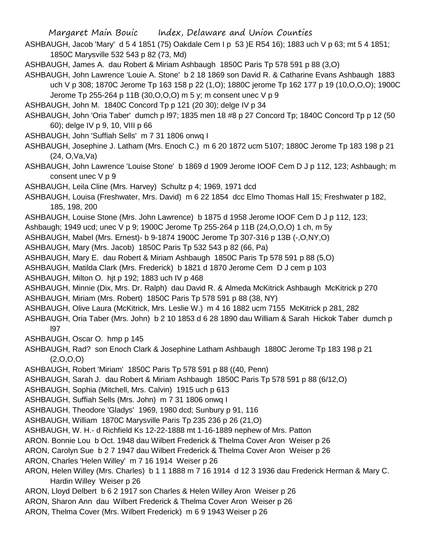ASHBAUGH, Jacob 'Mary' d 5 4 1851 (75) Oakdale Cem I p 53 )E R54 16); 1883 uch V p 63; mt 5 4 1851; 1850C Marysville 532 543 p 82 (73, Md)

ASHBAUGH, James A. dau Robert & Miriam Ashbaugh 1850C Paris Tp 578 591 p 88 (3,O)

- ASHBAUGH, John Lawrence 'Louie A. Stone' b 2 18 1869 son David R. & Catharine Evans Ashbaugh 1883 uch V p 308; 1870C Jerome Tp 163 158 p 22 (1,O); 1880C jerome Tp 162 177 p 19 (10,O,O,O); 1900C Jerome Tp 255-264 p 11B (30,O,O,O) m 5 y; m consent unec V p 9
- ASHBAUGH, John M. 1840C Concord Tp p 121 (20 30); delge IV p 34
- ASHBAUGH, John 'Oria Taber' dumch p l97; 1835 men 18 #8 p 27 Concord Tp; 1840C Concord Tp p 12 (50 60); delge IV p 9, 10, VIII p 66
- ASHBAUGH, John 'Suffiah Sells' m 7 31 1806 onwq I
- ASHBAUGH, Josephine J. Latham (Mrs. Enoch C.) m 6 20 1872 ucm 5107; 1880C Jerome Tp 183 198 p 21 (24, O,Va,Va)
- ASHBAUGH, John Lawrence 'Louise Stone' b 1869 d 1909 Jerome IOOF Cem D J p 112, 123; Ashbaugh; m consent unec V p 9
- ASHBAUGH, Leila Cline (Mrs. Harvey) Schultz p 4; 1969, 1971 dcd
- ASHBAUGH, Louisa (Freshwater, Mrs. David) m 6 22 1854 dcc Elmo Thomas Hall 15; Freshwater p 182, 185, 198, 200
- ASHBAUGH, Louise Stone (Mrs. John Lawrence) b 1875 d 1958 Jerome IOOF Cem D J p 112, 123;
- Ashbaugh; 1949 ucd; unec V p 9; 1900C Jerome Tp 255-264 p 11B (24,O,O,O) 1 ch, m 5y
- ASHBAUGH, Mabel (Mrs. Ernest)- b 9-1874 1900C Jerome Tp 307-316 p 13B (-,O,NY,O)
- ASHBAUGH, Mary (Mrs. Jacob) 1850C Paris Tp 532 543 p 82 (66, Pa)
- ASHBAUGH, Mary E. dau Robert & Miriam Ashbaugh 1850C Paris Tp 578 591 p 88 (5,O)
- ASHBAUGH, Matilda Clark (Mrs. Frederick) b 1821 d 1870 Jerome Cem D J cem p 103
- ASHBAUGH, Milton O. hjt p 192; 1883 uch IV p 468
- ASHBAUGH, Minnie (Dix, Mrs. Dr. Ralph) dau David R. & Almeda McKitrick Ashbaugh McKitrick p 270 ASHBAUGH, Miriam (Mrs. Robert) 1850C Paris Tp 578 591 p 88 (38, NY)
- ASHBAUGH, Olive Laura (McKitrick, Mrs. Leslie W.) m 4 16 1882 ucm 7155 McKitrick p 281, 282
- ASHBAUGH, Oria Taber (Mrs. John) b 2 10 1853 d 6 28 1890 dau William & Sarah Hickok Taber dumch p l97
- ASHBAUGH, Oscar O. hmp p 145
- ASHBAUGH, Rad? son Enoch Clark & Josephine Latham Ashbaugh 1880C Jerome Tp 183 198 p 21  $(2,0,0,0)$
- ASHBAUGH, Robert 'Miriam' 1850C Paris Tp 578 591 p 88 ((40, Penn)
- ASHBAUGH, Sarah J. dau Robert & Miriam Ashbaugh 1850C Paris Tp 578 591 p 88 (6/12,O)
- ASHBAUGH, Sophia (Mitchell, Mrs. Calvin) 1915 uch p 613
- ASHBAUGH, Suffiah Sells (Mrs. John) m 7 31 1806 onwq I
- ASHBAUGH, Theodore 'Gladys' 1969, 1980 dcd; Sunbury p 91, 116
- ASHBAUGH, William 1870C Marysville Paris Tp 235 236 p 26 (21,O)
- ASHBAUGH, W. H.- d Richfield Ks 12-22-1888 mt 1-16-1889 nephew of Mrs. Patton
- ARON. Bonnie Lou b Oct. 1948 dau Wilbert Frederick & Thelma Cover Aron Weiser p 26
- ARON, Carolyn Sue b 2 7 1947 dau Wilbert Frederick & Thelma Cover Aron Weiser p 26
- ARON, Charles 'Helen Willey' m 7 16 1914 Weiser p 26
- ARON, Helen Willey (Mrs. Charles) b 1 1 1888 m 7 16 1914 d 12 3 1936 dau Frederick Herman & Mary C. Hardin Willey Weiser p 26
- ARON, Lloyd Delbert b 6 2 1917 son Charles & Helen Willey Aron Weiser p 26
- ARON, Sharon Ann dau Wilbert Frederick & Thelma Cover Aron Weiser p 26
- ARON, Thelma Cover (Mrs. Wilbert Frederick) m 6 9 1943 Weiser p 26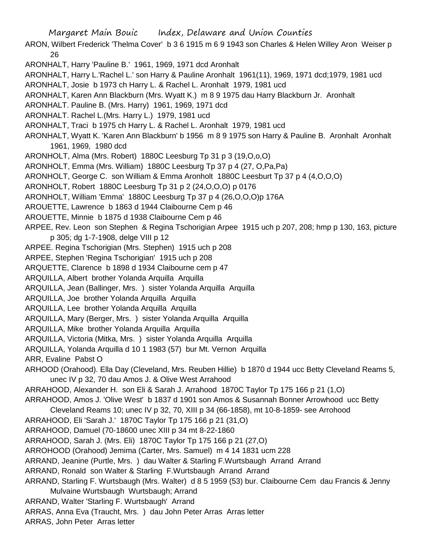ARON, Wilbert Frederick 'Thelma Cover' b 3 6 1915 m 6 9 1943 son Charles & Helen Willey Aron Weiser p 26

ARONHALT, Harry 'Pauline B.' 1961, 1969, 1971 dcd Aronhalt

ARONHALT, Harry L.'Rachel L.' son Harry & Pauline Aronhalt 1961(11), 1969, 1971 dcd;1979, 1981 ucd

ARONHALT, Josie b 1973 ch Harry L. & Rachel L. Aronhalt 1979, 1981 ucd

ARONHALT, Karen Ann Blackburn (Mrs. Wyatt K.) m 8 9 1975 dau Harry Blackburn Jr. Aronhalt

ARONHALT. Pauline B. (Mrs. Harry) 1961, 1969, 1971 dcd

ARONHALT. Rachel L.(Mrs. Harry L.) 1979, 1981 ucd

ARONHALT, Traci b 1975 ch Harry L. & Rachel L. Aronhalt 1979, 1981 ucd

ARONHALT, Wyatt K. 'Karen Ann Blackburn' b 1956 m 8 9 1975 son Harry & Pauline B. Aronhalt Aronhalt 1961, 1969, 1980 dcd

ARONHOLT, Alma (Mrs. Robert) 1880C Leesburg Tp 31 p 3 (19,O,o,O)

ARONHOLT, Emma (Mrs. William) 1880C Leesburg Tp 37 p 4 (27, O,Pa,Pa)

ARONHOLT, George C. son William & Emma Aronholt 1880C Leesburt Tp 37 p 4 (4,O,O,O)

ARONHOLT, Robert 1880C Leesburg Tp 31 p 2 (24,O,O,O) p 0176

ARONHOLT, William 'Emma' 1880C Leesburg Tp 37 p 4 (26,O,O,O)p 176A

AROUETTE, Lawrence b 1863 d 1944 Claibourne Cem p 46

AROUETTE, Minnie b 1875 d 1938 Claibourne Cem p 46

ARPEE, Rev. Leon son Stephen & Regina Tschorigian Arpee 1915 uch p 207, 208; hmp p 130, 163, picture p 305; dg 1-7-1908, delge VIII p 12

ARPEE. Regina Tschorigian (Mrs. Stephen) 1915 uch p 208

ARPEE, Stephen 'Regina Tschorigian' 1915 uch p 208

ARQUETTE, Clarence b 1898 d 1934 Claibourne cem p 47

ARQUILLA, Albert brother Yolanda Arquilla Arquilla

ARQUILLA, Jean (Ballinger, Mrs. ) sister Yolanda Arquilla Arquilla

ARQUILLA, Joe brother Yolanda Arquilla Arquilla

ARQUILLA, Lee brother Yolanda Arquilla Arquilla

ARQUILLA, Mary (Berger, Mrs. ) sister Yolanda Arquilla Arquilla

ARQUILLA, Mike brother Yolanda Arquilla Arquilla

ARQUILLA, Victoria (Mitka, Mrs. ) sister Yolanda Arquilla Arquilla

ARQUILLA, Yolanda Arquilla d 10 1 1983 (57) bur Mt. Vernon Arquilla

ARR, Evaline Pabst O

ARHOOD (Orahood). Ella Day (Cleveland, Mrs. Reuben Hillie) b 1870 d 1944 ucc Betty Cleveland Reams 5, unec IV p 32, 70 dau Amos J. & Olive West Arrahood

ARRAHOOD, Alexander H. son Eli & Sarah J. Arrahood 1870C Taylor Tp 175 166 p 21 (1,O)

ARRAHOOD, Amos J. 'Olive West' b 1837 d 1901 son Amos & Susannah Bonner Arrowhood ucc Betty

Cleveland Reams 10; unec IV p 32, 70, XIII p 34 (66-1858), mt 10-8-1859- see Arrohood

ARRAHOOD, Eli 'Sarah J.' 1870C Taylor Tp 175 166 p 21 (31,O)

ARRAHOOD, Damuel (70-18600 unec XIII p 34 mt 8-22-1860

ARRAHOOD, Sarah J. (Mrs. Eli) 1870C Taylor Tp 175 166 p 21 (27,O)

ARROHOOD (Orahood) Jemima (Carter, Mrs. Samuel) m 4 14 1831 ucm 228

ARRAND, Jeanine (Purtle, Mrs. ) dau Walter & Starling F.Wurtsbaugh Arrand Arrand

ARRAND, Ronald son Walter & Starling F.Wurtsbaugh Arrand Arrand

ARRAND, Starling F. Wurtsbaugh (Mrs. Walter) d 8 5 1959 (53) bur. Claibourne Cem dau Francis & Jenny Mulvaine Wurtsbaugh Wurtsbaugh; Arrand

ARRAND, Walter 'Starling F. Wurtsbaugh' Arrand

ARRAS, Anna Eva (Traucht, Mrs. ) dau John Peter Arras Arras letter

ARRAS, John Peter Arras letter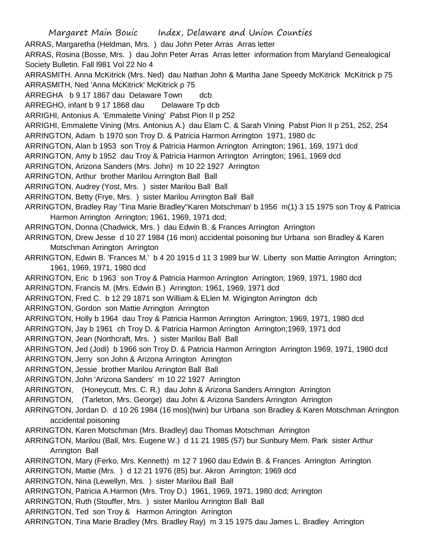Margaret Main Bouic Index, Delaware and Union Counties ARRAS, Margaretha (Heldman, Mrs. ) dau John Peter Arras Arras letter ARRAS, Rosina (Bosse, Mrs. ) dau John Peter Arras Arras letter information from Maryland Genealogical Society Bulletin. Fall l981 Vol 22 No 4 ARRASMITH. Anna McKitrick (Mrs. Ned) dau Nathan John & Martha Jane Speedy McKitrick McKitrick p 75 ARRASMITH, Ned 'Anna McKitrick' McKitrick p 75 ARREGHA b 9 17 1867 dau Delaware Town dcb ARREGHO, infant b 9 17 1868 dau Delaware Tp dcb ARRIGHI, Antonius A. 'Emmalette Vining' Pabst Pion II p 252 ARRIGHI, Emmalette Vining (Mrs. Antonius A.) dau Elam C. & Sarah Vining Pabst Pion II p 251, 252, 254 ARRINGTON, Adam b 1970 son Troy D. & Patricia Harmon Arrington 1971, 1980 dc ARRINGTON, Alan b 1953 son Troy & Patricia Harmon Arrington Arrington; 1961, 169, 1971 dcd ARRINGTON, Amy b 1952 dau Troy & Patricia Harmon Arrington Arrington; 1961, 1969 dcd ARRINGTON, Arizona Sanders (Mrs. John) m 10 22 1927 Arrington ARRINGTON, Arthur brother Marilou Arrington Ball Ball ARRINGTON, Audrey (Yost, Mrs. ) sister Marilou Ball Ball ARRINGTON, Betty (Frye, Mrs. ) sister Marilou Arrington Ball Ball ARRINGTON, Bradley Ray 'Tina Marie Bradley''Karen Motschman' b 1956 m(1) 3 15 1975 son Troy & Patricia Harmon Arrington Arrington; 1961, 1969, 1971 dcd; ARRINGTON, Donna (Chadwick, Mrs. ) dau Edwin B. & Frances Arrington Arrington ARRINGTON, Drew Jesse d 10 27 1984 (16 mon) accidental poisoning bur Urbana son Bradley & Karen Motschman Arrington Arrington ARRINGTON, Edwin B. 'Frances M.' b 4 20 1915 d 11 3 1989 bur W. Liberty son Mattie Arrington Arrington; 1961, 1969, 1971, 1980 dcd ARRINGTON, Eric b 1963 son Troy & Patricia Harmon Arrington Arrington; 1969, 1971, 1980 dcd ARRINGTON, Francis M. (Mrs. Edwin B.) Arrington; 1961, 1969, 1971 dcd ARRINGTON, Fred C. b 12 29 1871 son William & ELlen M. Wigington Arrington dcb ARRINGTON, Gordon son Mattie Arrington Arrington ARRINGTON, Holly b 1964 dau Troy & Patricia Harmon Arrington Arrington; 1969, 1971, 1980 dcd ARRINGTON, Jay b 1961 ch Troy D. & Patricia Harmon Arrington Arrington;1969, 1971 dcd ARRINGTON, Jean (Northcraft, Mrs. ) sister Marilou Ball Ball ARRINGTON, Jed (Jodi) b 1966 son Troy D. & Patricia Harmon Arrington Arrington 1969, 1971, 1980 dcd ARRINGTON, Jerry son John & Arizona Arrington Arrington ARRINGTON, Jessie brother Marilou Arrington Ball Ball ARRINGTON, John 'Arizona Sanders' m 10 22 1927 Arrington ARRINGTON, (Honeycutt, Mrs. C. R.) dau John & Arizona Sanders Arrington Arrington ARRINGTON, (Tarleton, Mrs. George) dau John & Arizona Sanders Arrington Arrington ARRINGTON, Jordan D. d 10 26 1984 (16 mos)(twin) bur Urbana son Bradley & Karen Motschman Arrington accidental poisoning ARRINGTON, Karen Motschman (Mrs. Bradley) dau Thomas Motschman Arrington ARRINGTON, Marilou (Ball, Mrs. Eugene W.) d 11 21 1985 (57) bur Sunbury Mem. Park sister Arthur Arrington Ball ARRINGTON, Mary (Ferko, Mrs. Kenneth) m 12 7 1960 dau Edwin B. & Frances Arrington Arrington ARRINGTON, Mattie (Mrs. ) d 12 21 1976 (85) bur. Akron Arrington; 1969 dcd ARRINGTON, Nina (Lewellyn, Mrs. ) sister Marilou Ball Ball ARRINGTON, Patricia A.Harmon (Mrs. Troy D.) 1961, 1969, 1971, 1980 dcd; Arrington ARRINGTON, Ruth (Stouffer, Mrs. ) sister Marilou Arrington Ball Ball ARRINGTON, Ted son Troy & Harmon Arrington Arrington ARRINGTON, Tina Marie Bradley (Mrs. Bradley Ray) m 3 15 1975 dau James L. Bradley Arrington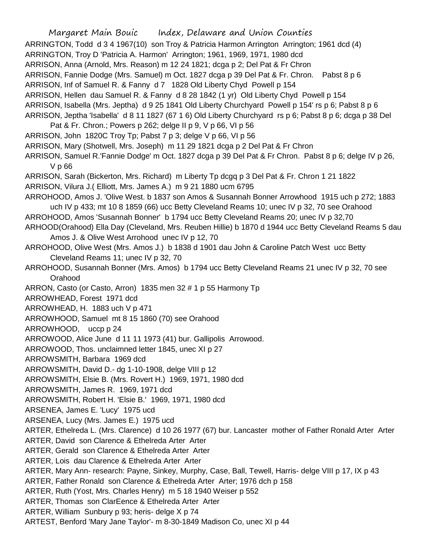Margaret Main Bouic Index, Delaware and Union Counties ARRINGTON, Todd d 3 4 1967(10) son Troy & Patricia Harmon Arrington Arrington; 1961 dcd (4) ARRINGTON, Troy D 'Patricia A. Harmon' Arrington; 1961, 1969, 1971, 1980 dcd ARRISON, Anna (Arnold, Mrs. Reason) m 12 24 1821; dcga p 2; Del Pat & Fr Chron ARRISON, Fannie Dodge (Mrs. Samuel) m Oct. 1827 dcga p 39 Del Pat & Fr. Chron. Pabst 8 p 6 ARRISON, Inf of Samuel R. & Fanny d 7 1828 Old Liberty Chyd Powell p 154 ARRISON, Hellen dau Samuel R. & Fanny d 8 28 1842 (1 yr) Old Liberty Chyd Powell p 154 ARRISON, Isabella (Mrs. Jeptha) d 9 25 1841 Old Liberty Churchyard Powell p 154' rs p 6; Pabst 8 p 6 ARRISON, Jeptha 'Isabella' d 8 11 1827 (67 1 6) Old Liberty Churchyard rs p 6; Pabst 8 p 6; dcga p 38 Del Pat & Fr. Chron.; Powers p 262; delge II p 9, V p 66, VI p 56 ARRISON, John 1820C Troy Tp; Pabst 7 p 3; delge V p 66, VI p 56 ARRISON, Mary (Shotwell, Mrs. Joseph) m 11 29 1821 dcga p 2 Del Pat & Fr Chron ARRISON, Samuel R.'Fannie Dodge' m Oct. 1827 dcga p 39 Del Pat & Fr Chron. Pabst 8 p 6; delge IV p 26, V p 66 ARRISON, Sarah (Bickerton, Mrs. Richard) m Liberty Tp dcgq p 3 Del Pat & Fr. Chron 1 21 1822 ARRISON, Vilura J.( Elliott, Mrs. James A.) m 9 21 1880 ucm 6795 ARROHOOD, Amos J. 'Olive West. b 1837 son Amos & Susannah Bonner Arrowhood 1915 uch p 272; 1883 uch IV p 433; mt 10 8 1859 (66) ucc Betty Cleveland Reams 10; unec IV p 32, 70 see Orahood ARROHOOD, Amos 'Susannah Bonner' b 1794 ucc Betty Cleveland Reams 20; unec IV p 32,70 ARHOOD(Orahood) Ella Day (Cleveland, Mrs. Reuben Hillie) b 1870 d 1944 ucc Betty Cleveland Reams 5 dau Amos J. & Olive West Arrohood unec IV p 12, 70 ARROHOOD, Olive West (Mrs. Amos J.) b 1838 d 1901 dau John & Caroline Patch West ucc Betty Cleveland Reams 11; unec IV p 32, 70 ARROHOOD, Susannah Bonner (Mrs. Amos) b 1794 ucc Betty Cleveland Reams 21 unec IV p 32, 70 see Orahood ARRON, Casto (or Casto, Arron) 1835 men 32 # 1 p 55 Harmony Tp ARROWHEAD, Forest 1971 dcd ARROWHEAD, H. 1883 uch V p 471 ARROWHOOD, Samuel mt 8 15 1860 (70) see Orahood ARROWHOOD, uccp p 24 ARROWOOD, Alice June d 11 11 1973 (41) bur. Gallipolis Arrowood. ARROWOOD, Thos. unclaimned letter 1845, unec XI p 27 ARROWSMITH, Barbara 1969 dcd ARROWSMITH, David D.- dg 1-10-1908, delge VIII p 12 ARROWSMITH, Elsie B. (Mrs. Rovert H.) 1969, 1971, 1980 dcd ARROWSMITH, James R. 1969, 1971 dcd ARROWSMITH, Robert H. 'Elsie B.' 1969, 1971, 1980 dcd ARSENEA, James E. 'Lucy' 1975 ucd ARSENEA, Lucy (Mrs. James E.) 1975 ucd ARTER, Ethelreda L. (Mrs. Clarence) d 10 26 1977 (67) bur. Lancaster mother of Father Ronald Arter Arter ARTER, David son Clarence & Ethelreda Arter Arter ARTER, Gerald son Clarence & Ethelreda Arter Arter ARTER, Lois dau Clarence & Ethelreda Arter Arter ARTER, Mary Ann- research: Payne, Sinkey, Murphy, Case, Ball, Tewell, Harris- delge VIII p 17, IX p 43 ARTER, Father Ronald son Clarence & Ethelreda Arter Arter; 1976 dch p 158 ARTER, Ruth (Yost, Mrs. Charles Henry) m 5 18 1940 Weiser p 552 ARTER, Thomas son ClarEence & Ethelreda Arter Arter ARTER, William Sunbury p 93; heris- delge X p 74 ARTEST, Benford 'Mary Jane Taylor'- m 8-30-1849 Madison Co, unec XI p 44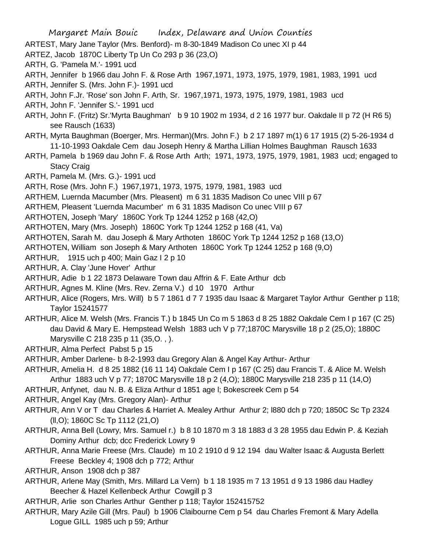ARTEST, Mary Jane Taylor (Mrs. Benford)- m 8-30-1849 Madison Co unec XI p 44

ARTEZ, Jacob 1870C Liberty Tp Un Co 293 p 36 (23,O)

ARTH, G. 'Pamela M.'- 1991 ucd

ARTH, Jennifer b 1966 dau John F. & Rose Arth 1967,1971, 1973, 1975, 1979, 1981, 1983, 1991 ucd

ARTH, Jennifer S. (Mrs. John F.)- 1991 ucd

ARTH, John F.Jr. 'Rose' son John F. Arth, Sr. 1967,1971, 1973, 1975, 1979, 1981, 1983 ucd

ARTH, John F. 'Jennifer S.'- 1991 ucd

- ARTH, John F. (Fritz) Sr.'Myrta Baughman' b 9 10 1902 m 1934, d 2 16 1977 bur. Oakdale II p 72 (H R6 5) see Rausch (1633)
- ARTH, Myrta Baughman (Boerger, Mrs. Herman)(Mrs. John F.) b 2 17 1897 m(1) 6 17 1915 (2) 5-26-1934 d 11-10-1993 Oakdale Cem dau Joseph Henry & Martha Lillian Holmes Baughman Rausch 1633
- ARTH, Pamela b 1969 dau John F. & Rose Arth Arth; 1971, 1973, 1975, 1979, 1981, 1983 ucd; engaged to Stacy Craig
- ARTH, Pamela M. (Mrs. G.)- 1991 ucd
- ARTH, Rose (Mrs. John F.) 1967,1971, 1973, 1975, 1979, 1981, 1983 ucd

ARTHEM, Luernda Macumber (Mrs. Pleasent) m 6 31 1835 Madison Co unec VIII p 67

ARTHEM, Pleasent 'Luernda Macumber' m 6 31 1835 Madison Co unec VIII p 67

ARTHOTEN, Joseph 'Mary' 1860C York Tp 1244 1252 p 168 (42,O)

ARTHOTEN, Mary (Mrs. Joseph) 1860C York Tp 1244 1252 p 168 (41, Va)

ARTHOTEN, Sarah M. dau Joseph & Mary Arthoten 1860C York Tp 1244 1252 p 168 (13,O)

ARTHOTEN, William son Joseph & Mary Arthoten 1860C York Tp 1244 1252 p 168 (9,O)

ARTHUR, 1915 uch p 400; Main Gaz I 2 p 10

ARTHUR, A. Clay 'June Hover' Arthur

ARTHUR, Adie b 1 22 1873 Delaware Town dau Affrin & F. Eate Arthur dcb

ARTHUR, Agnes M. Kline (Mrs. Rev. Zerna V.) d 10 1970 Arthur

ARTHUR, Alice (Rogers, Mrs. Will) b 5 7 1861 d 7 7 1935 dau Isaac & Margaret Taylor Arthur Genther p 118; Taylor 15241577

ARTHUR, Alice M. Welsh (Mrs. Francis T.) b 1845 Un Co m 5 1863 d 8 25 1882 Oakdale Cem I p 167 (C 25) dau David & Mary E. Hempstead Welsh 1883 uch V p 77;1870C Marysville 18 p 2 (25,O); 1880C Marysville C 218 235 p 11 (35,O. , ).

ARTHUR, Alma Perfect Pabst 5 p 15

ARTHUR, Amber Darlene- b 8-2-1993 dau Gregory Alan & Angel Kay Arthur- Arthur

ARTHUR, Amelia H. d 8 25 1882 (16 11 14) Oakdale Cem I p 167 (C 25) dau Francis T. & Alice M. Welsh Arthur 1883 uch V p 77; 1870C Marysville 18 p 2 (4,O); 1880C Marysville 218 235 p 11 (14,O)

ARTHUR, Anfynet, dau N. B. & Eliza Arthur d 1851 age l; Bokescreek Cem p 54

ARTHUR, Angel Kay (Mrs. Gregory Alan)- Arthur

ARTHUR, Ann V or T dau Charles & Harriet A. Mealey Arthur Arthur 2; l880 dch p 720; 1850C Sc Tp 2324 (ll,O); 1860C Sc Tp 1112 (21,O)

- ARTHUR, Anna Bell (Lowry, Mrs. Samuel r.) b 8 10 1870 m 3 18 1883 d 3 28 1955 dau Edwin P. & Keziah Dominy Arthur dcb; dcc Frederick Lowry 9
- ARTHUR, Anna Marie Freese (Mrs. Claude) m 10 2 1910 d 9 12 194 dau Walter Isaac & Augusta Berlett Freese Beckley 4; 1908 dch p 772; Arthur
- ARTHUR, Anson 1908 dch p 387
- ARTHUR, Arlene May (Smith, Mrs. Millard La Vern) b 1 18 1935 m 7 13 1951 d 9 13 1986 dau Hadley Beecher & Hazel Kellenbeck Arthur Cowgill p 3

ARTHUR, Arlie son Charles Arthur Genther p 118; Taylor 152415752

ARTHUR, Mary Azile Gill (Mrs. Paul) b 1906 Claibourne Cem p 54 dau Charles Fremont & Mary Adella Logue GILL 1985 uch p 59; Arthur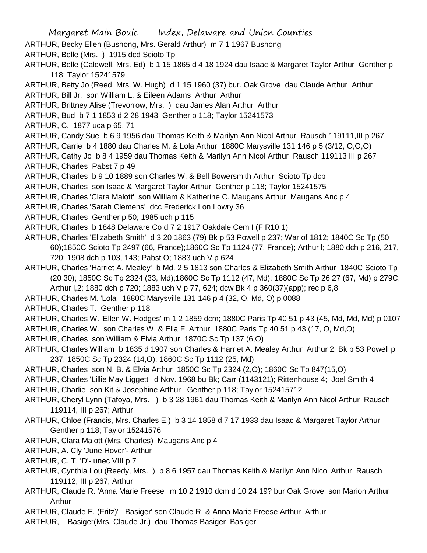Margaret Main Bouic Index, Delaware and Union Counties ARTHUR, Becky Ellen (Bushong, Mrs. Gerald Arthur) m 7 1 1967 Bushong ARTHUR, Belle (Mrs. ) 1915 dcd Scioto Tp ARTHUR, Belle (Caldwell, Mrs. Ed) b 1 15 1865 d 4 18 1924 dau Isaac & Margaret Taylor Arthur Genther p 118; Taylor 15241579 ARTHUR, Betty Jo (Reed, Mrs. W. Hugh) d 1 15 1960 (37) bur. Oak Grove dau Claude Arthur Arthur ARTHUR, Bill Jr. son William L. & Eileen Adams Arthur Arthur ARTHUR, Brittney Alise (Trevorrow, Mrs. ) dau James Alan Arthur Arthur ARTHUR, Bud b 7 1 1853 d 2 28 1943 Genther p 118; Taylor 15241573 ARTHUR, C. 1877 uca p 65, 71 ARTHUR, Candy Sue b 6 9 1956 dau Thomas Keith & Marilyn Ann Nicol Arthur Rausch 119111,III p 267 ARTHUR, Carrie b 4 1880 dau Charles M. & Lola Arthur 1880C Marysville 131 146 p 5 (3/12, O,O,O) ARTHUR, Cathy Jo b 8 4 1959 dau Thomas Keith & Marilyn Ann Nicol Arthur Rausch 119113 III p 267 ARTHUR, Charles Pabst 7 p 49 ARTHUR, Charles b 9 10 1889 son Charles W. & Bell Bowersmith Arthur Scioto Tp dcb ARTHUR, Charles son Isaac & Margaret Taylor Arthur Genther p 118; Taylor 15241575 ARTHUR, Charles 'Clara Malott' son William & Katherine C. Maugans Arthur Maugans Anc p 4 ARTHUR, Charles 'Sarah Clemens' dcc Frederick Lon Lowry 36 ARTHUR, Charles Genther p 50; 1985 uch p 115 ARTHUR, Charles b 1848 Delaware Co d 7 2 1917 Oakdale Cem I (F R10 1) ARTHUR, Charles 'Elizabeth Smith' d 3 20 1863 (79) Bk p 53 Powell p 237; War of 1812; 1840C Sc Tp (50 60);1850C Scioto Tp 2497 (66, France);1860C Sc Tp 1124 (77, France); Arthur l; 1880 dch p 216, 217, 720; 1908 dch p 103, 143; Pabst O; 1883 uch V p 624 ARTHUR, Charles 'Harriet A. Mealey' b Md. 2 5 1813 son Charles & Elizabeth Smith Arthur 1840C Scioto Tp (20 30); 1850C Sc Tp 2324 (33, Md);1860C Sc Tp 1112 (47, Md); 1880C Sc Tp 26 27 (67, Md) p 279C; Arthur l,2; 1880 dch p 720; 1883 uch V p 77, 624; dcw Bk 4 p 360(37)(app); rec p 6,8 ARTHUR, Charles M. 'Lola' 1880C Marysville 131 146 p 4 (32, O, Md, O) p 0088 ARTHUR, Charles T. Genther p 118 ARTHUR, Charles W. 'Ellen W. Hodges' m 1 2 1859 dcm; 1880C Paris Tp 40 51 p 43 (45, Md, Md, Md) p 0107 ARTHUR, Charles W. son Charles W. & Ella F. Arthur 1880C Paris Tp 40 51 p 43 (17, O, Md,O) ARTHUR, Charles son William & Elvia Arthur 1870C Sc Tp 137 (6,O) ARTHUR, Charles William b 1835 d 1907 son Charles & Harriet A. Mealey Arthur Arthur 2; Bk p 53 Powell p 237; 1850C Sc Tp 2324 (14,O); 1860C Sc Tp 1112 (25, Md) ARTHUR, Charles son N. B. & Elvia Arthur 1850C Sc Tp 2324 (2,O); 1860C Sc Tp 847(15,O) ARTHUR, Charles 'Lillie May Liggett' d Nov. 1968 bu Bk; Carr (1143121); Rittenhouse 4; Joel Smith 4 ARTHUR, Charlie son Kit & Josephine Arthur Genther p 118; Taylor 152415712 ARTHUR, Cheryl Lynn (Tafoya, Mrs. ) b 3 28 1961 dau Thomas Keith & Marilyn Ann Nicol Arthur Rausch 119114, III p 267; Arthur ARTHUR, Chloe (Francis, Mrs. Charles E.) b 3 14 1858 d 7 17 1933 dau Isaac & Margaret Taylor Arthur Genther p 118; Taylor 15241576 ARTHUR, Clara Malott (Mrs. Charles) Maugans Anc p 4 ARTHUR, A. Cly 'June Hover'- Arthur ARTHUR, C. T. 'D'- unec VIII p 7 ARTHUR, Cynthia Lou (Reedy, Mrs. ) b 8 6 1957 dau Thomas Keith & Marilyn Ann Nicol Arthur Rausch 119112, III p 267; Arthur ARTHUR, Claude R. 'Anna Marie Freese' m 10 2 1910 dcm d 10 24 19? bur Oak Grove son Marion Arthur Arthur

ARTHUR, Claude E. (Fritz)' Basiger' son Claude R. & Anna Marie Freese Arthur Arthur

ARTHUR, Basiger(Mrs. Claude Jr.) dau Thomas Basiger Basiger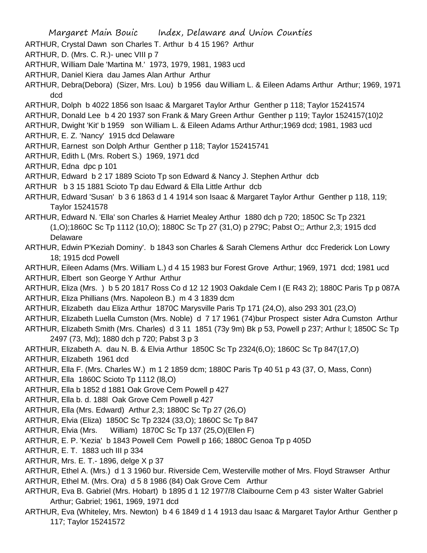ARTHUR, Crystal Dawn son Charles T. Arthur b 4 15 196? Arthur

- ARTHUR, D. (Mrs. C. R.)- unec VIII p 7
- ARTHUR, William Dale 'Martina M.' 1973, 1979, 1981, 1983 ucd
- ARTHUR, Daniel Kiera dau James Alan Arthur Arthur
- ARTHUR, Debra(Debora) (Sizer, Mrs. Lou) b 1956 dau William L. & Eileen Adams Arthur Arthur; 1969, 1971 dcd
- ARTHUR, Dolph b 4022 1856 son Isaac & Margaret Taylor Arthur Genther p 118; Taylor 15241574
- ARTHUR, Donald Lee b 4 20 1937 son Frank & Mary Green Arthur Genther p 119; Taylor 1524157(10)2
- ARTHUR, Dwight 'Kit' b 1959 son William L. & Eileen Adams Arthur Arthur;1969 dcd; 1981, 1983 ucd
- ARTHUR, E. Z. 'Nancy' 1915 dcd Delaware
- ARTHUR, Earnest son Dolph Arthur Genther p 118; Taylor 152415741
- ARTHUR, Edith L (Mrs. Robert S.) 1969, 1971 dcd
- ARTHUR, Edna dpc p 101
- ARTHUR, Edward b 2 17 1889 Scioto Tp son Edward & Nancy J. Stephen Arthur dcb
- ARTHUR b 3 15 1881 Scioto Tp dau Edward & Ella Little Arthur dcb
- ARTHUR, Edward 'Susan' b 3 6 1863 d 1 4 1914 son Isaac & Margaret Taylor Arthur Genther p 118, 119; Taylor 15241578
- ARTHUR, Edward N. 'Ella' son Charles & Harriet Mealey Arthur 1880 dch p 720; 1850C Sc Tp 2321 (1,O);1860C Sc Tp 1112 (10,O); 1880C Sc Tp 27 (31,O) p 279C; Pabst O;; Arthur 2,3; 1915 dcd Delaware
- ARTHUR, Edwin P'Keziah Dominy'. b 1843 son Charles & Sarah Clemens Arthur dcc Frederick Lon Lowry 18; 1915 dcd Powell
- ARTHUR, Eileen Adams (Mrs. William L.) d 4 15 1983 bur Forest Grove Arthur; 1969, 1971 dcd; 1981 ucd ARTHUR, Elbert son George Y Arthur Arthur
- ARTHUR, Eliza (Mrs. ) b 5 20 1817 Ross Co d 12 12 1903 Oakdale Cem I (E R43 2); 1880C Paris Tp p 087A
- ARTHUR, Eliza Phillians (Mrs. Napoleon B.) m 4 3 1839 dcm
- ARTHUR, Elizabeth dau Eliza Arthur 1870C Marysville Paris Tp 171 (24,O), also 293 301 (23,O)
- ARTHUR, Elizabeth Luella Cumston (Mrs. Noble) d 7 17 1961 (74)bur Prospect sister Adra Cumston Arthur
- ARTHUR, Elizabeth Smith (Mrs. Charles) d 3 11 1851 (73y 9m) Bk p 53, Powell p 237; Arthur l; 1850C Sc Tp 2497 (73, Md); 1880 dch p 720; Pabst 3 p 3
- ARTHUR, Elizabeth A. dau N. B. & Elvia Arthur 1850C Sc Tp 2324(6,O); 1860C Sc Tp 847(17,O)
- ARTHUR, Elizabeth 1961 dcd
- ARTHUR, Ella F. (Mrs. Charles W.) m 1 2 1859 dcm; 1880C Paris Tp 40 51 p 43 (37, O, Mass, Conn)
- ARTHUR, Ella 1860C Scioto Tp 1112 (l8,O)
- ARTHUR, Ella b 1852 d 1881 Oak Grove Cem Powell p 427
- ARTHUR, Ella b. d. 188l Oak Grove Cem Powell p 427
- ARTHUR, Ella (Mrs. Edward) Arthur 2,3; 1880C Sc Tp 27 (26,O)
- ARTHUR, Elvia (Eliza) 1850C Sc Tp 2324 (33,O); 1860C Sc Tp 847
- ARTHUR, Elvia (Mrs. William) 1870C Sc Tp 137 (25,O)(Ellen F)
- ARTHUR, E. P. 'Kezia' b 1843 Powell Cem Powell p 166; 1880C Genoa Tp p 405D
- ARTHUR, E. T. 1883 uch III p 334
- ARTHUR, Mrs. E. T.- 1896, delge X p 37
- ARTHUR, Ethel A. (Mrs.) d 1 3 1960 bur. Riverside Cem, Westerville mother of Mrs. Floyd Strawser Arthur
- ARTHUR, Ethel M. (Mrs. Ora) d 5 8 1986 (84) Oak Grove Cem Arthur
- ARTHUR, Eva B. Gabriel (Mrs. Hobart) b 1895 d 1 12 1977/8 Claibourne Cem p 43 sister Walter Gabriel Arthur; Gabriel; 1961, 1969, 1971 dcd
- ARTHUR, Eva (Whiteley, Mrs. Newton) b 4 6 1849 d 1 4 1913 dau Isaac & Margaret Taylor Arthur Genther p 117; Taylor 15241572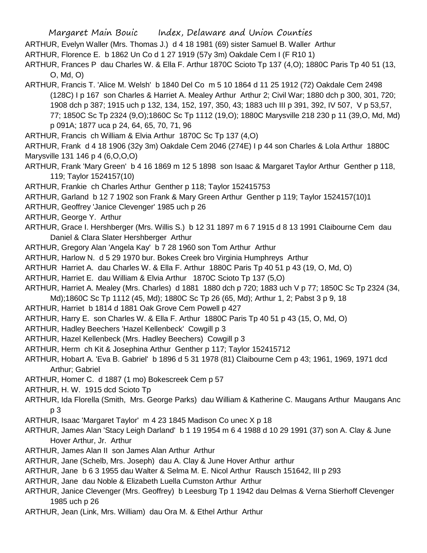ARTHUR, Evelyn Waller (Mrs. Thomas J.) d 4 18 1981 (69) sister Samuel B. Waller Arthur

ARTHUR, Florence E. b 1862 Un Co d 1 27 1919 (57y 3m) Oakdale Cem I (F R10 1)

ARTHUR, Frances P dau Charles W. & Ella F. Arthur 1870C Scioto Tp 137 (4,O); 1880C Paris Tp 40 51 (13, O, Md, O)

- ARTHUR, Francis T. 'Alice M. Welsh' b 1840 Del Co m 5 10 1864 d 11 25 1912 (72) Oakdale Cem 2498 (128C) I p 167 son Charles & Harriet A. Mealey Arthur Arthur 2; Civil War; 1880 dch p 300, 301, 720; 1908 dch p 387; 1915 uch p 132, 134, 152, 197, 350, 43; 1883 uch III p 391, 392, IV 507, V p 53,57, 77; 1850C Sc Tp 2324 (9,O);1860C Sc Tp 1112 (19,O); 1880C Marysville 218 230 p 11 (39,O, Md, Md) p 091A; 1877 uca p 24, 64, 65, 70, 71, 96
- ARTHUR, Francis ch William & Elvia Arthur 1870C Sc Tp 137 (4,O)

ARTHUR, Frank d 4 18 1906 (32y 3m) Oakdale Cem 2046 (274E) I p 44 son Charles & Lola Arthur 1880C Marysville 131 146 p 4 (6,O,O,O)

- ARTHUR, Frank 'Mary Green' b 4 16 1869 m 12 5 1898 son Isaac & Margaret Taylor Arthur Genther p 118, 119; Taylor 1524157(10)
- ARTHUR, Frankie ch Charles Arthur Genther p 118; Taylor 152415753
- ARTHUR, Garland b 12 7 1902 son Frank & Mary Green Arthur Genther p 119; Taylor 1524157(10)1
- ARTHUR, Geoffrey 'Janice Clevenger' 1985 uch p 26
- ARTHUR, George Y. Arthur
- ARTHUR, Grace I. Hershberger (Mrs. Willis S.) b 12 31 1897 m 6 7 1915 d 8 13 1991 Claibourne Cem dau Daniel & Clara Slater Hershberger Arthur
- ARTHUR, Gregory Alan 'Angela Kay' b 7 28 1960 son Tom Arthur Arthur
- ARTHUR, Harlow N. d 5 29 1970 bur. Bokes Creek bro Virginia Humphreys Arthur
- ARTHUR Harriet A. dau Charles W. & Ella F. Arthur 1880C Paris Tp 40 51 p 43 (19, O, Md, O)
- ARTHUR, Harriet E. dau William & Elvia Arthur 1870C Scioto Tp 137 (5,O)
- ARTHUR, Harriet A. Mealey (Mrs. Charles) d 1881 1880 dch p 720; 1883 uch V p 77; 1850C Sc Tp 2324 (34, Md);1860C Sc Tp 1112 (45, Md); 1880C Sc Tp 26 (65, Md); Arthur 1, 2; Pabst 3 p 9, 18
- ARTHUR, Harriet b 1814 d 1881 Oak Grove Cem Powell p 427
- ARTHUR, Harry E. son Charles W. & Ella F. Arthur 1880C Paris Tp 40 51 p 43 (15, O, Md, O)
- ARTHUR, Hadley Beechers 'Hazel Kellenbeck' Cowgill p 3
- ARTHUR, Hazel Kellenbeck (Mrs. Hadley Beechers) Cowgill p 3
- ARTHUR, Herm ch Kit & Josephina Arthur Genther p 117; Taylor 152415712
- ARTHUR, Hobart A. 'Eva B. Gabriel' b 1896 d 5 31 1978 (81) Claibourne Cem p 43; 1961, 1969, 1971 dcd Arthur; Gabriel
- ARTHUR, Homer C. d 1887 (1 mo) Bokescreek Cem p 57
- ARTHUR, H. W. 1915 dcd Scioto Tp
- ARTHUR, Ida Florella (Smith, Mrs. George Parks) dau William & Katherine C. Maugans Arthur Maugans Anc p 3
- ARTHUR, Isaac 'Margaret Taylor' m 4 23 1845 Madison Co unec X p 18
- ARTHUR, James Alan 'Stacy Leigh Darland' b 1 19 1954 m 6 4 1988 d 10 29 1991 (37) son A. Clay & June Hover Arthur, Jr. Arthur
- ARTHUR, James Alan II son James Alan Arthur Arthur
- ARTHUR, Jane (Schelb, Mrs. Joseph) dau A. Clay & June Hover Arthur arthur
- ARTHUR, Jane b 6 3 1955 dau Walter & Selma M. E. Nicol Arthur Rausch 151642, III p 293
- ARTHUR, Jane dau Noble & Elizabeth Luella Cumston Arthur Arthur
- ARTHUR, Janice Clevenger (Mrs. Geoffrey) b Leesburg Tp 1 1942 dau Delmas & Verna Stierhoff Clevenger 1985 uch p 26
- ARTHUR, Jean (Link, Mrs. William) dau Ora M. & Ethel Arthur Arthur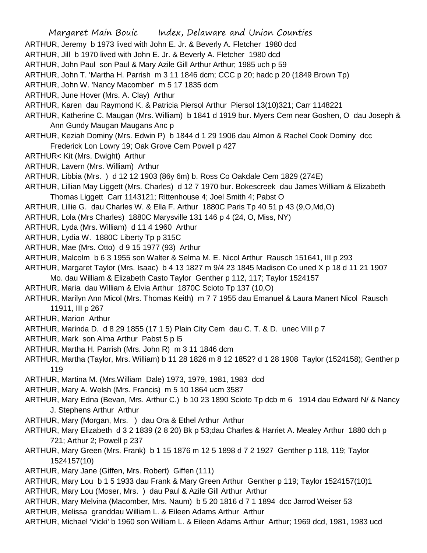ARTHUR, Jeremy b 1973 lived with John E. Jr. & Beverly A. Fletcher 1980 dcd

ARTHUR, Jill b 1970 lived with John E. Jr. & Beverly A. Fletcher 1980 dcd

ARTHUR, John Paul son Paul & Mary Azile Gill Arthur Arthur; 1985 uch p 59

ARTHUR, John T. 'Martha H. Parrish m 3 11 1846 dcm; CCC p 20; hadc p 20 (1849 Brown Tp)

ARTHUR, John W. 'Nancy Macomber' m 5 17 1835 dcm

ARTHUR, June Hover (Mrs. A. Clay) Arthur

ARTHUR, Karen dau Raymond K. & Patricia Piersol Arthur Piersol 13(10)321; Carr 1148221

ARTHUR, Katherine C. Maugan (Mrs. William) b 1841 d 1919 bur. Myers Cem near Goshen, O dau Joseph & Ann Gundy Maugan Maugans Anc p

ARTHUR, Keziah Dominy (Mrs. Edwin P) b 1844 d 1 29 1906 dau Almon & Rachel Cook Dominy dcc Frederick Lon Lowry 19; Oak Grove Cem Powell p 427

ARTHUR< Kit (Mrs. Dwight) Arthur

ARTHUR, Lavern (Mrs. William) Arthur

ARTHUR, Libbia (Mrs. ) d 12 12 1903 (86y 6m) b. Ross Co Oakdale Cem 1829 (274E)

- ARTHUR, Lillian May Liggett (Mrs. Charles) d 12 7 1970 bur. Bokescreek dau James William & Elizabeth Thomas Liggett Carr 1143121; Rittenhouse 4; Joel Smith 4; Pabst O
- ARTHUR, Lillie G. dau Charles W. & Ella F. Arthur 1880C Paris Tp 40 51 p 43 (9,O,Md,O)
- ARTHUR, Lola (Mrs Charles) 1880C Marysville 131 146 p 4 (24, O, Miss, NY)
- ARTHUR, Lyda (Mrs. William) d 11 4 1960 Arthur
- ARTHUR, Lydia W. 1880C Liberty Tp p 315C
- ARTHUR, Mae (Mrs. Otto) d 9 15 1977 (93) Arthur
- ARTHUR, Malcolm b 6 3 1955 son Walter & Selma M. E. Nicol Arthur Rausch 151641, III p 293
- ARTHUR, Margaret Taylor (Mrs. Isaac) b 4 13 1827 m 9/4 23 1845 Madison Co uned X p 18 d 11 21 1907 Mo. dau William & Elizabeth Casto Taylor Genther p 112, 117; Taylor 1524157
- ARTHUR, Maria dau William & Elvia Arthur 1870C Scioto Tp 137 (10,O)

ARTHUR, Marilyn Ann Micol (Mrs. Thomas Keith) m 7 7 1955 dau Emanuel & Laura Manert Nicol Rausch 11911, III p 267

- ARTHUR, Marion Arthur
- ARTHUR, Marinda D. d 8 29 1855 (17 1 5) Plain City Cem dau C. T. & D. unec VIII p 7

ARTHUR, Mark son Alma Arthur Pabst 5 p l5

ARTHUR, Martha H. Parrish (Mrs. John R) m 3 11 1846 dcm

ARTHUR, Martha (Taylor, Mrs. William) b 11 28 1826 m 8 12 1852? d 1 28 1908 Taylor (1524158); Genther p 119

ARTHUR, Martina M. (Mrs.William Dale) 1973, 1979, 1981, 1983 dcd

ARTHUR, Mary A. Welsh (Mrs. Francis) m 5 10 1864 ucm 3587

ARTHUR, Mary Edna (Bevan, Mrs. Arthur C.) b 10 23 1890 Scioto Tp dcb m 6 1914 dau Edward N/ & Nancy J. Stephens Arthur Arthur

- ARTHUR, Mary (Morgan, Mrs. ) dau Ora & Ethel Arthur Arthur
- ARTHUR, Mary Elizabeth d 3 2 1839 (2 8 20) Bk p 53;dau Charles & Harriet A. Mealey Arthur 1880 dch p 721; Arthur 2; Powell p 237
- ARTHUR, Mary Green (Mrs. Frank) b 1 15 1876 m 12 5 1898 d 7 2 1927 Genther p 118, 119; Taylor 1524157(10)

ARTHUR, Mary Jane (Giffen, Mrs. Robert) Giffen (111)

- ARTHUR, Mary Lou b 1 5 1933 dau Frank & Mary Green Arthur Genther p 119; Taylor 1524157(10)1
- ARTHUR, Mary Lou (Moser, Mrs. ) dau Paul & Azile Gill Arthur Arthur
- ARTHUR, Mary Melvina (Macomber, Mrs. Naum) b 5 20 1816 d 7 1 1894 dcc Jarrod Weiser 53
- ARTHUR, Melissa granddau William L. & Eileen Adams Arthur Arthur
- ARTHUR, Michael 'Vicki' b 1960 son William L. & Eileen Adams Arthur Arthur; 1969 dcd, 1981, 1983 ucd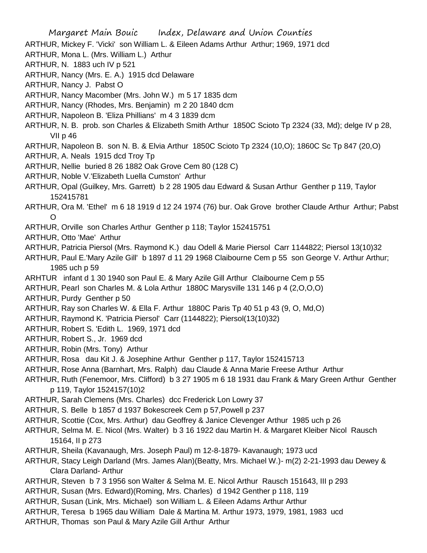ARTHUR, Mickey F. 'Vicki' son William L. & Eileen Adams Arthur Arthur; 1969, 1971 dcd

- ARTHUR, Mona L. (Mrs. William L.) Arthur
- ARTHUR, N. 1883 uch IV p 521
- ARTHUR, Nancy (Mrs. E. A.) 1915 dcd Delaware
- ARTHUR, Nancy J. Pabst O
- ARTHUR, Nancy Macomber (Mrs. John W.) m 5 17 1835 dcm
- ARTHUR, Nancy (Rhodes, Mrs. Benjamin) m 2 20 1840 dcm
- ARTHUR, Napoleon B. 'Eliza Phillians' m 4 3 1839 dcm
- ARTHUR, N. B. prob. son Charles & Elizabeth Smith Arthur 1850C Scioto Tp 2324 (33, Md); delge IV p 28, VII p 46
- ARTHUR, Napoleon B. son N. B. & Elvia Arthur 1850C Scioto Tp 2324 (10,O); 1860C Sc Tp 847 (20,O)
- ARTHUR, A. Neals 1915 dcd Troy Tp
- ARTHUR, Nellie buried 8 26 1882 Oak Grove Cem 80 (128 C)
- ARTHUR, Noble V.'Elizabeth Luella Cumston' Arthur
- ARTHUR, Opal (Guilkey, Mrs. Garrett) b 2 28 1905 dau Edward & Susan Arthur Genther p 119, Taylor 152415781
- ARTHUR, Ora M. 'Ethel' m 6 18 1919 d 12 24 1974 (76) bur. Oak Grove brother Claude Arthur Arthur; Pabst O
- ARTHUR, Orville son Charles Arthur Genther p 118; Taylor 152415751
- ARTHUR, Otto 'Mae' Arthur
- ARTHUR, Patricia Piersol (Mrs. Raymond K.) dau Odell & Marie Piersol Carr 1144822; Piersol 13(10)32
- ARTHUR, Paul E.'Mary Azile Gill' b 1897 d 11 29 1968 Claibourne Cem p 55 son George V. Arthur Arthur; 1985 uch p 59
- ARHTUR infant d 1 30 1940 son Paul E. & Mary Azile Gill Arthur Claibourne Cem p 55
- ARTHUR, Pearl son Charles M. & Lola Arthur 1880C Marysville 131 146 p 4 (2,O,O,O)
- ARTHUR, Purdy Genther p 50
- ARTHUR, Ray son Charles W. & Ella F. Arthur 1880C Paris Tp 40 51 p 43 (9, O, Md,O)
- ARTHUR, Raymond K. 'Patricia Piersol' Carr (1144822); Piersol(13(10)32)
- ARTHUR, Robert S. 'Edith L. 1969, 1971 dcd
- ARTHUR, Robert S., Jr. 1969 dcd
- ARTHUR, Robin (Mrs. Tony) Arthur
- ARTHUR, Rosa dau Kit J. & Josephine Arthur Genther p 117, Taylor 152415713
- ARTHUR, Rose Anna (Barnhart, Mrs. Ralph) dau Claude & Anna Marie Freese Arthur Arthur
- ARTHUR, Ruth (Fenemoor, Mrs. Clifford) b 3 27 1905 m 6 18 1931 dau Frank & Mary Green Arthur Genther p 119, Taylor 1524157(10)2
- ARTHUR, Sarah Clemens (Mrs. Charles) dcc Frederick Lon Lowry 37
- ARTHUR, S. Belle b 1857 d 1937 Bokescreek Cem p 57,Powell p 237
- ARTHUR, Scottie (Cox, Mrs. Arthur) dau Geoffrey & Janice Clevenger Arthur 1985 uch p 26
- ARTHUR, Selma M. E. Nicol (Mrs. Walter) b 3 16 1922 dau Martin H. & Margaret Kleiber Nicol Rausch 15164, II p 273
- ARTHUR, Sheila (Kavanaugh, Mrs. Joseph Paul) m 12-8-1879- Kavanaugh; 1973 ucd
- ARTHUR, Stacy Leigh Darland (Mrs. James Alan)(Beatty, Mrs. Michael W.)- m(2) 2-21-1993 dau Dewey & Clara Darland- Arthur
- ARTHUR, Steven b 7 3 1956 son Walter & Selma M. E. Nicol Arthur Rausch 151643, III p 293
- ARTHUR, Susan (Mrs. Edward)(Roming, Mrs. Charles) d 1942 Genther p 118, 119
- ARTHUR, Susan (Link, Mrs. Michael) son William L. & Eileen Adams Arthur Arthur
- ARTHUR, Teresa b 1965 dau William Dale & Martina M. Arthur 1973, 1979, 1981, 1983 ucd
- ARTHUR, Thomas son Paul & Mary Azile Gill Arthur Arthur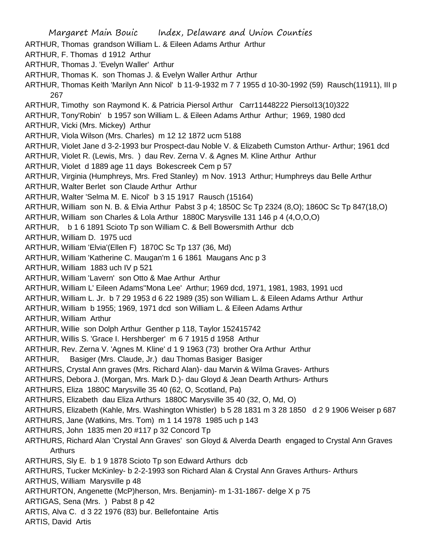Margaret Main Bouic Index, Delaware and Union Counties ARTHUR, Thomas grandson William L. & Eileen Adams Arthur Arthur ARTHUR, F. Thomas d 1912 Arthur ARTHUR, Thomas J. 'Evelyn Waller' Arthur ARTHUR, Thomas K. son Thomas J. & Evelyn Waller Arthur Arthur ARTHUR, Thomas Keith 'Marilyn Ann Nicol' b 11-9-1932 m 7 7 1955 d 10-30-1992 (59) Rausch(11911), III p 267 ARTHUR, Timothy son Raymond K. & Patricia Piersol Arthur Carr11448222 Piersol13(10)322 ARTHUR, Tony'Robin' b 1957 son William L. & Eileen Adams Arthur Arthur; 1969, 1980 dcd ARTHUR, Vicki (Mrs. Mickey) Arthur ARTHUR, Viola Wilson (Mrs. Charles) m 12 12 1872 ucm 5188 ARTHUR, Violet Jane d 3-2-1993 bur Prospect-dau Noble V. & Elizabeth Cumston Arthur- Arthur; 1961 dcd ARTHUR, Violet R. (Lewis, Mrs. ) dau Rev. Zerna V. & Agnes M. Kline Arthur Arthur ARTHUR, Violet d 1889 age 11 days Bokescreek Cem p 57 ARTHUR, Virginia (Humphreys, Mrs. Fred Stanley) m Nov. 1913 Arthur; Humphreys dau Belle Arthur ARTHUR, Walter Berlet son Claude Arthur Arthur ARTHUR, Walter 'Selma M. E. Nicol' b 3 15 1917 Rausch (15164) ARTHUR, William son N. B. & Elvia Arthur Pabst 3 p 4; 1850C Sc Tp 2324 (8,O); 1860C Sc Tp 847(18,O) ARTHUR, William son Charles & Lola Arthur 1880C Marysville 131 146 p 4 (4,O,O,O) ARTHUR, b 1 6 1891 Scioto Tp son William C. & Bell Bowersmith Arthur dcb ARTHUR, William D. 1975 ucd ARTHUR, William 'Elvia'(Ellen F) 1870C Sc Tp 137 (36, Md) ARTHUR, William 'Katherine C. Maugan'm 1 6 1861 Maugans Anc p 3 ARTHUR, William 1883 uch IV p 521 ARTHUR, William 'Lavern' son Otto & Mae Arthur Arthur ARTHUR, William L' Eileen Adams''Mona Lee' Arthur; 1969 dcd, 1971, 1981, 1983, 1991 ucd ARTHUR, William L. Jr. b 7 29 1953 d 6 22 1989 (35) son William L. & Eileen Adams Arthur Arthur ARTHUR, William b 1955; 1969, 1971 dcd son William L. & Eileen Adams Arthur ARTHUR, William Arthur ARTHUR, Willie son Dolph Arthur Genther p 118, Taylor 152415742 ARTHUR, Willis S. 'Grace I. Hershberger' m 6 7 1915 d 1958 Arthur ARTHUR, Rev. Zerna V. 'Agnes M. Kline' d 1 9 1963 (73) brother Ora Arthur Arthur ARTHUR, Basiger (Mrs. Claude, Jr.) dau Thomas Basiger Basiger ARTHURS, Crystal Ann graves (Mrs. Richard Alan)- dau Marvin & Wilma Graves- Arthurs ARTHURS, Debora J. (Morgan, Mrs. Mark D.)- dau Gloyd & Jean Dearth Arthurs- Arthurs ARTHURS, Eliza 1880C Marysville 35 40 (62, O, Scotland, Pa) ARTHURS, Elizabeth dau Eliza Arthurs 1880C Marysville 35 40 (32, O, Md, O) ARTHURS, Elizabeth (Kahle, Mrs. Washington Whistler) b 5 28 1831 m 3 28 1850 d 2 9 1906 Weiser p 687 ARTHURS, Jane (Watkins, Mrs. Tom) m 1 14 1978 1985 uch p 143 ARTHURS, John 1835 men 20 #117 p 32 Concord Tp ARTHURS, Richard Alan 'Crystal Ann Graves' son Gloyd & Alverda Dearth engaged to Crystal Ann Graves Arthurs ARTHURS, Sly E. b 1 9 1878 Scioto Tp son Edward Arthurs dcb ARTHURS, Tucker McKinley- b 2-2-1993 son Richard Alan & Crystal Ann Graves Arthurs- Arthurs ARTHUS, William Marysville p 48 ARTHURTON, Angenette (McP)herson, Mrs. Benjamin)- m 1-31-1867- delge X p 75 ARTIGAS, Sena (Mrs. ) Pabst 8 p 42 ARTIS, Alva C. d 3 22 1976 (83) bur. Bellefontaine Artis ARTIS, David Artis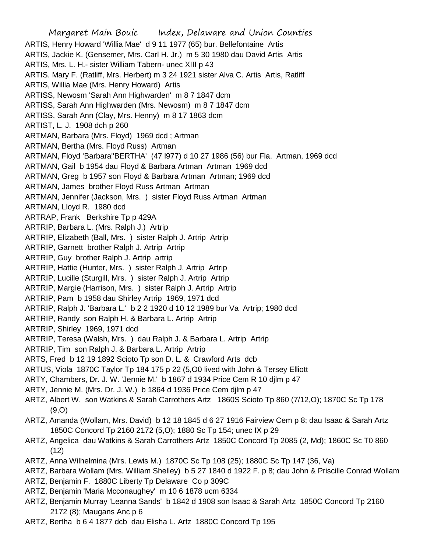Margaret Main Bouic Index, Delaware and Union Counties ARTIS, Henry Howard 'Willia Mae' d 9 11 1977 (65) bur. Bellefontaine Artis ARTIS, Jackie K. (Gensemer, Mrs. Carl H. Jr.) m 5 30 1980 dau David Artis Artis ARTIS, Mrs. L. H.- sister William Tabern- unec XIII p 43 ARTIS. Mary F. (Ratliff, Mrs. Herbert) m 3 24 1921 sister Alva C. Artis Artis, Ratliff ARTIS, Willia Mae (Mrs. Henry Howard) Artis ARTISS, Newosm 'Sarah Ann Highwarden' m 8 7 1847 dcm ARTISS, Sarah Ann Highwarden (Mrs. Newosm) m 8 7 1847 dcm ARTISS, Sarah Ann (Clay, Mrs. Henny) m 8 17 1863 dcm ARTIST, L. J. 1908 dch p 260 ARTMAN, Barbara (Mrs. Floyd) 1969 dcd ; Artman ARTMAN, Bertha (Mrs. Floyd Russ) Artman ARTMAN, Floyd 'Barbara''BERTHA' (47 l977) d 10 27 1986 (56) bur Fla. Artman, 1969 dcd ARTMAN, Gail b 1954 dau Floyd & Barbara Artman Artman 1969 dcd ARTMAN, Greg b 1957 son Floyd & Barbara Artman Artman; 1969 dcd ARTMAN, James brother Floyd Russ Artman Artman ARTMAN, Jennifer (Jackson, Mrs. ) sister Floyd Russ Artman Artman ARTMAN, Lloyd R. 1980 dcd ARTRAP, Frank Berkshire Tp p 429A ARTRIP, Barbara L. (Mrs. Ralph J.) Artrip ARTRIP, Elizabeth (Ball, Mrs. ) sister Ralph J. Artrip Artrip ARTRIP, Garnett brother Ralph J. Artrip Artrip ARTRIP, Guy brother Ralph J. Artrip artrip ARTRIP, Hattie (Hunter, Mrs. ) sister Ralph J. Artrip Artrip ARTRIP, Lucille (Sturgill, Mrs. ) sister Ralph J. Artrip Artrip ARTRIP, Margie (Harrison, Mrs. ) sister Ralph J. Artrip Artrip ARTRIP, Pam b 1958 dau Shirley Artrip 1969, 1971 dcd ARTRIP, Ralph J. 'Barbara L.' b 2 2 1920 d 10 12 1989 bur Va Artrip; 1980 dcd ARTRIP, Randy son Ralph H. & Barbara L. Artrip Artrip ARTRIP, Shirley 1969, 1971 dcd ARTRIP, Teresa (Walsh, Mrs. ) dau Ralph J. & Barbara L. Artrip Artrip ARTRIP, Tim son Ralph J. & Barbara L. Artrip Artrip ARTS, Fred b 12 19 1892 Scioto Tp son D. L. & Crawford Arts dcb ARTUS, Viola 1870C Taylor Tp 184 175 p 22 (5,O0 lived with John & Tersey Elliott ARTY, Chambers, Dr. J. W. 'Jennie M.' b 1867 d 1934 Price Cem R 10 djlm p 47 ARTY, Jennie M. (Mrs. Dr. J. W.) b 1864 d 1936 Price Cem djlm p 47 ARTZ, Albert W. son Watkins & Sarah Carrothers Artz 1860S Scioto Tp 860 (7/12,O); 1870C Sc Tp 178 (9,O) ARTZ, Amanda (Wollam, Mrs. David) b 12 18 1845 d 6 27 1916 Fairview Cem p 8; dau Isaac & Sarah Artz 1850C Concord Tp 2160 2172 (5,O); 1880 Sc Tp 154; unec IX p 29 ARTZ, Angelica dau Watkins & Sarah Carrothers Artz 1850C Concord Tp 2085 (2, Md); 1860C Sc T0 860 (12) ARTZ, Anna Wilhelmina (Mrs. Lewis M.) 1870C Sc Tp 108 (25); 1880C Sc Tp 147 (36, Va) ARTZ, Barbara Wollam (Mrs. William Shelley) b 5 27 1840 d 1922 F. p 8; dau John & Priscille Conrad Wollam ARTZ, Benjamin F. 1880C Liberty Tp Delaware Co p 309C

- ARTZ, Benjamin 'Maria Mcconaughey' m 10 6 1878 ucm 6334
- ARTZ, Benjamin Murray 'Leanna Sands' b 1842 d 1908 son Isaac & Sarah Artz 1850C Concord Tp 2160 2172 (8); Maugans Anc p 6
- ARTZ, Bertha b 6 4 1877 dcb dau Elisha L. Artz 1880C Concord Tp 195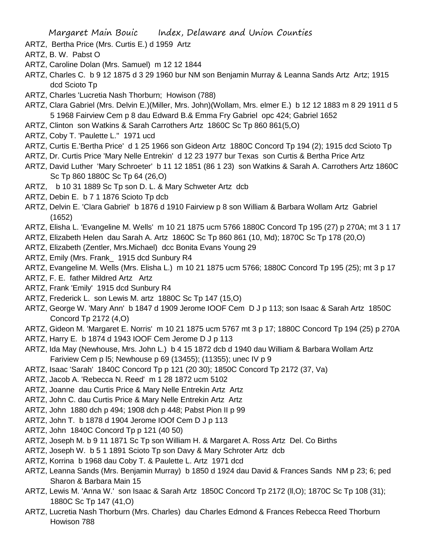- ARTZ, Bertha Price (Mrs. Curtis E.) d 1959 Artz
- ARTZ, B. W. Pabst O
- ARTZ, Caroline Dolan (Mrs. Samuel) m 12 12 1844
- ARTZ, Charles C. b 9 12 1875 d 3 29 1960 bur NM son Benjamin Murray & Leanna Sands Artz Artz; 1915 dcd Scioto Tp
- ARTZ, Charles 'Lucretia Nash Thorburn; Howison (788)
- ARTZ, Clara Gabriel (Mrs. Delvin E.)(Miller, Mrs. John)(Wollam, Mrs. elmer E.) b 12 12 1883 m 8 29 1911 d 5 5 1968 Fairview Cem p 8 dau Edward B.& Emma Fry Gabriel opc 424; Gabriel 1652
- ARTZ, Clinton son Watkins & Sarah Carrothers Artz 1860C Sc Tp 860 861(5,O)
- ARTZ, Coby T. 'Paulette L." 1971 ucd
- ARTZ, Curtis E.'Bertha Price' d 1 25 1966 son Gideon Artz 1880C Concord Tp 194 (2); 1915 dcd Scioto Tp
- ARTZ, Dr. Curtis Price 'Mary Nelle Entrekin' d 12 23 1977 bur Texas son Curtis & Bertha Price Artz
- ARTZ, David Luther 'Mary Schroeter' b 11 12 1851 (86 1 23) son Watkins & Sarah A. Carrothers Artz 1860C Sc Tp 860 1880C Sc Tp 64 (26,O)
- ARTZ, b 10 31 1889 Sc Tp son D. L. & Mary Schweter Artz dcb
- ARTZ, Debin E. b 7 1 1876 Scioto Tp dcb
- ARTZ, Delvin E. 'Clara Gabriel' b 1876 d 1910 Fairview p 8 son William & Barbara Wollam Artz Gabriel (1652)
- ARTZ, Elisha L. 'Evangeline M. Wells' m 10 21 1875 ucm 5766 1880C Concord Tp 195 (27) p 270A; mt 3 1 17
- ARTZ, Elizabeth Helen dau Sarah A. Artz 1860C Sc Tp 860 861 (10, Md); 1870C Sc Tp 178 (20,O)
- ARTZ, Elizabeth (Zentler, Mrs.Michael) dcc Bonita Evans Young 29
- ARTZ, Emily (Mrs. Frank\_ 1915 dcd Sunbury R4
- ARTZ, Evangeline M. Wells (Mrs. Elisha L.) m 10 21 1875 ucm 5766; 1880C Concord Tp 195 (25); mt 3 p 17
- ARTZ, F. E. father Mildred Artz Artz
- ARTZ, Frank 'Emily' 1915 dcd Sunbury R4
- ARTZ, Frederick L. son Lewis M. artz 1880C Sc Tp 147 (15,O)
- ARTZ, George W. 'Mary Ann' b 1847 d 1909 Jerome IOOF Cem D J p 113; son Isaac & Sarah Artz 1850C Concord Tp 2172 (4,O)
- ARTZ, Gideon M. 'Margaret E. Norris' m 10 21 1875 ucm 5767 mt 3 p 17; 1880C Concord Tp 194 (25) p 270A
- ARTZ, Harry E. b 1874 d 1943 IOOF Cem Jerome D J p 113
- ARTZ, Ida May (Newhouse, Mrs. John L.) b 4 15 1872 dcb d 1940 dau William & Barbara Wollam Artz Fariview Cem p l5; Newhouse p 69 (13455); (11355); unec IV p 9
- ARTZ, Isaac 'Sarah' 1840C Concord Tp p 121 (20 30); 1850C Concord Tp 2172 (37, Va)
- ARTZ, Jacob A. 'Rebecca N. Reed' m 1 28 1872 ucm 5102
- ARTZ, Joanne dau Curtis Price & Mary Nelle Entrekin Artz Artz
- ARTZ, John C. dau Curtis Price & Mary Nelle Entrekin Artz Artz
- ARTZ, John 1880 dch p 494; 1908 dch p 448; Pabst Pion II p 99
- ARTZ, John T. b 1878 d 1904 Jerome IOOf Cem D J p 113
- ARTZ, John 1840C Concord Tp p 121 (40 50)
- ARTZ, Joseph M. b 9 11 1871 Sc Tp son William H. & Margaret A. Ross Artz Del. Co Births
- ARTZ, Joseph W. b 5 1 1891 Scioto Tp son Davy & Mary Schroter Artz dcb
- ARTZ, Korrina b 1968 dau Coby T. & Paulette L. Artz 1971 dcd
- ARTZ, Leanna Sands (Mrs. Benjamin Murray) b 1850 d 1924 dau David & Frances Sands NM p 23; 6; ped Sharon & Barbara Main 15
- ARTZ, Lewis M. 'Anna W.' son Isaac & Sarah Artz 1850C Concord Tp 2172 (ll,O); 1870C Sc Tp 108 (31); 1880C Sc Tp 147 (41,O)
- ARTZ, Lucretia Nash Thorburn (Mrs. Charles) dau Charles Edmond & Frances Rebecca Reed Thorburn Howison 788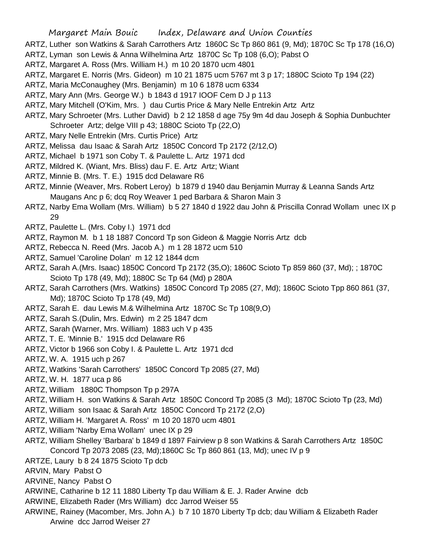- ARTZ, Luther son Watkins & Sarah Carrothers Artz 1860C Sc Tp 860 861 (9, Md); 1870C Sc Tp 178 (16,O)
- ARTZ, Lyman son Lewis & Anna Wilhelmina Artz 1870C Sc Tp 108 (6,O); Pabst O
- ARTZ, Margaret A. Ross (Mrs. William H.) m 10 20 1870 ucm 4801
- ARTZ, Margaret E. Norris (Mrs. Gideon) m 10 21 1875 ucm 5767 mt 3 p 17; 1880C Scioto Tp 194 (22)
- ARTZ, Maria McConaughey (Mrs. Benjamin) m 10 6 1878 ucm 6334
- ARTZ, Mary Ann (Mrs. George W.) b 1843 d 1917 IOOF Cem D J p 113
- ARTZ, Mary Mitchell (O'Kim, Mrs. ) dau Curtis Price & Mary Nelle Entrekin Artz Artz
- ARTZ, Mary Schroeter (Mrs. Luther David) b 2 12 1858 d age 75y 9m 4d dau Joseph & Sophia Dunbuchter Schroeter Artz; delge VIII p 43; 1880C Scioto Tp (22,O)
- ARTZ, Mary Nelle Entrekin (Mrs. Curtis Price) Artz
- ARTZ, Melissa dau Isaac & Sarah Artz 1850C Concord Tp 2172 (2/12,O)
- ARTZ, Michael b 1971 son Coby T. & Paulette L. Artz 1971 dcd
- ARTZ, Mildred K. (Wiant, Mrs. Bliss) dau F. E. Artz Artz; Wiant
- ARTZ, Minnie B. (Mrs. T. E.) 1915 dcd Delaware R6
- ARTZ, Minnie (Weaver, Mrs. Robert Leroy) b 1879 d 1940 dau Benjamin Murray & Leanna Sands Artz Maugans Anc p 6; dcq Roy Weaver 1 ped Barbara & Sharon Main 3
- ARTZ, Narby Ema Wollam (Mrs. William) b 5 27 1840 d 1922 dau John & Priscilla Conrad Wollam unec IX p 29
- ARTZ, Paulette L. (Mrs. Coby I.) 1971 dcd
- ARTZ, Raymon M. b 1 18 1887 Concord Tp son Gideon & Maggie Norris Artz dcb
- ARTZ, Rebecca N. Reed (Mrs. Jacob A.) m 1 28 1872 ucm 510
- ARTZ, Samuel 'Caroline Dolan' m 12 12 1844 dcm
- ARTZ, Sarah A.(Mrs. Isaac) 1850C Concord Tp 2172 (35,O); 1860C Scioto Tp 859 860 (37, Md); ; 1870C Scioto Tp 178 (49, Md); 1880C Sc Tp 64 (Md) p 280A
- ARTZ, Sarah Carrothers (Mrs. Watkins) 1850C Concord Tp 2085 (27, Md); 1860C Scioto Tpp 860 861 (37, Md); 1870C Scioto Tp 178 (49, Md)
- ARTZ, Sarah E. dau Lewis M.& Wilhelmina Artz 1870C Sc Tp 108(9,O)
- ARTZ, Sarah S.(Dulin, Mrs. Edwin) m 2 25 1847 dcm
- ARTZ, Sarah (Warner, Mrs. William) 1883 uch V p 435
- ARTZ, T. E. 'Minnie B.' 1915 dcd Delaware R6
- ARTZ, Victor b 1966 son Coby I. & Paulette L. Artz 1971 dcd
- ARTZ, W. A. 1915 uch p 267
- ARTZ, Watkins 'Sarah Carrothers' 1850C Concord Tp 2085 (27, Md)
- ARTZ, W. H. 1877 uca p 86
- ARTZ, William 1880C Thompson Tp p 297A
- ARTZ, William H. son Watkins & Sarah Artz 1850C Concord Tp 2085 (3 Md); 1870C Scioto Tp (23, Md)
- ARTZ, William son Isaac & Sarah Artz 1850C Concord Tp 2172 (2,O)
- ARTZ, William H. 'Margaret A. Ross' m 10 20 1870 ucm 4801
- ARTZ, William 'Narby Ema Wollam' unec IX p 29
- ARTZ, William Shelley 'Barbara' b 1849 d 1897 Fairview p 8 son Watkins & Sarah Carrothers Artz 1850C Concord Tp 2073 2085 (23, Md);1860C Sc Tp 860 861 (13, Md); unec IV p 9
- ARTZE, Laury b 8 24 1875 Scioto Tp dcb
- ARVIN, Mary Pabst O
- ARVINE, Nancy Pabst O
- ARWINE, Catharine b 12 11 1880 Liberty Tp dau William & E. J. Rader Arwine dcb
- ARWINE, Elizabeth Rader (Mrs William) dcc Jarrod Weiser 55
- ARWINE, Rainey (Macomber, Mrs. John A.) b 7 10 1870 Liberty Tp dcb; dau William & Elizabeth Rader Arwine dcc Jarrod Weiser 27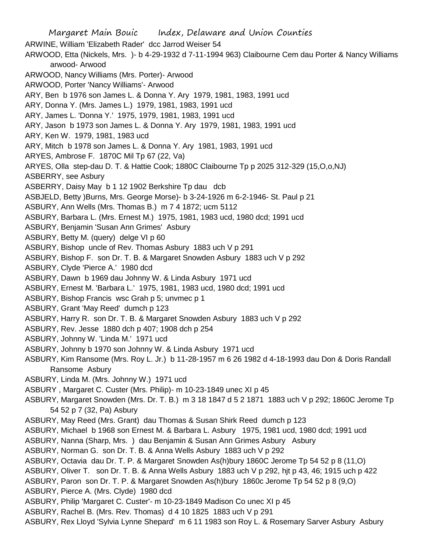Margaret Main Bouic Index, Delaware and Union Counties ARWINE, William 'Elizabeth Rader' dcc Jarrod Weiser 54 ARWOOD, Etta (Nickels, Mrs. )- b 4-29-1932 d 7-11-1994 963) Claibourne Cem dau Porter & Nancy Williams arwood- Arwood ARWOOD, Nancy Williams (Mrs. Porter)- Arwood ARWOOD, Porter 'Nancy Williams'- Arwood ARY, Ben b 1976 son James L. & Donna Y. Ary 1979, 1981, 1983, 1991 ucd ARY, Donna Y. (Mrs. James L.) 1979, 1981, 1983, 1991 ucd ARY, James L. 'Donna Y.' 1975, 1979, 1981, 1983, 1991 ucd ARY, Jason b 1973 son James L. & Donna Y. Ary 1979, 1981, 1983, 1991 ucd ARY, Ken W. 1979, 1981, 1983 ucd ARY, Mitch b 1978 son James L. & Donna Y. Ary 1981, 1983, 1991 ucd ARYES, Ambrose F. 1870C Mil Tp 67 (22, Va) ARYES, Olla step-dau D. T. & Hattie Cook; 1880C Claibourne Tp p 2025 312-329 (15,O,o,NJ) ASBERRY, see Asbury ASBERRY, Daisy May b 1 12 1902 Berkshire Tp dau dcb ASBJELD, Betty )Burns, Mrs. George Morse)- b 3-24-1926 m 6-2-1946- St. Paul p 21 ASBURY, Ann Wells (Mrs. Thomas B.) m 7 4 1872; ucm 5112 ASBURY, Barbara L. (Mrs. Ernest M.) 1975, 1981, 1983 ucd, 1980 dcd; 1991 ucd ASBURY, Benjamin 'Susan Ann Grimes' Asbury ASBURY, Betty M. (query) delge VI p 60 ASBURY, Bishop uncle of Rev. Thomas Asbury 1883 uch V p 291 ASBURY, Bishop F. son Dr. T. B. & Margaret Snowden Asbury 1883 uch V p 292 ASBURY, Clyde 'Pierce A.' 1980 dcd ASBURY, Dawn b 1969 dau Johnny W. & Linda Asbury 1971 ucd ASBURY, Ernest M. 'Barbara L.' 1975, 1981, 1983 ucd, 1980 dcd; 1991 ucd ASBURY, Bishop Francis wsc Grah p 5; unvmec p 1 ASBURY, Grant 'May Reed' dumch p 123 ASBURY, Harry R. son Dr. T. B. & Margaret Snowden Asbury 1883 uch V p 292 ASBURY, Rev. Jesse 1880 dch p 407; 1908 dch p 254 ASBURY, Johnny W. 'Linda M.' 1971 ucd ASBURY, Johnny b 1970 son Johnny W. & Linda Asbury 1971 ucd ASBURY, Kim Ransome (Mrs. Roy L. Jr.) b 11-28-1957 m 6 26 1982 d 4-18-1993 dau Don & Doris Randall Ransome Asbury ASBURY, Linda M. (Mrs. Johnny W.) 1971 ucd ASBURY , Margaret C. Custer (Mrs. Philip)- m 10-23-1849 unec XI p 45 ASBURY, Margaret Snowden (Mrs. Dr. T. B.) m 3 18 1847 d 5 2 1871 1883 uch V p 292; 1860C Jerome Tp 54 52 p 7 (32, Pa) Asbury ASBURY, May Reed (Mrs. Grant) dau Thomas & Susan Shirk Reed dumch p 123 ASBURY, Michael b 1968 son Ernest M. & Barbara L. Asbury 1975, 1981 ucd, 1980 dcd; 1991 ucd ASBURY, Nanna (Sharp, Mrs. ) dau Benjamin & Susan Ann Grimes Asbury Asbury ASBURY, Norman G. son Dr. T. B. & Anna Wells Asbury 1883 uch V p 292 ASBURY, Octavia dau Dr. T. P. & Margaret Snowden As(h)bury 1860C Jerome Tp 54 52 p 8 (11,O) ASBURY, Oliver T. son Dr. T. B. & Anna Wells Asbury 1883 uch V p 292, hjt p 43, 46; 1915 uch p 422 ASBURY, Paron son Dr. T. P. & Margaret Snowden As(h)bury 1860c Jerome Tp 54 52 p 8 (9,O) ASBURY, Pierce A. (Mrs. Clyde) 1980 dcd ASBURY, Philip 'Margaret C. Custer'- m 10-23-1849 Madison Co unec XI p 45 ASBURY, Rachel B. (Mrs. Rev. Thomas) d 4 10 1825 1883 uch V p 291

ASBURY, Rex Lloyd 'Sylvia Lynne Shepard' m 6 11 1983 son Roy L. & Rosemary Sarver Asbury Asbury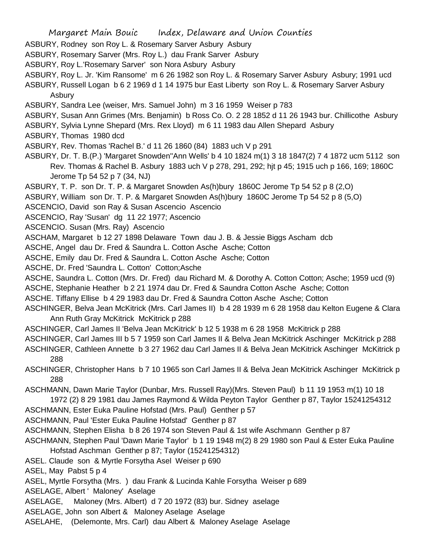- ASBURY, Rodney son Roy L. & Rosemary Sarver Asbury Asbury
- ASBURY, Rosemary Sarver (Mrs. Roy L.) dau Frank Sarver Asbury
- ASBURY, Roy L.'Rosemary Sarver' son Nora Asbury Asbury
- ASBURY, Roy L. Jr. 'Kim Ransome' m 6 26 1982 son Roy L. & Rosemary Sarver Asbury Asbury; 1991 ucd
- ASBURY, Russell Logan b 6 2 1969 d 1 14 1975 bur East Liberty son Roy L. & Rosemary Sarver Asbury Asbury
- ASBURY, Sandra Lee (weiser, Mrs. Samuel John) m 3 16 1959 Weiser p 783
- ASBURY, Susan Ann Grimes (Mrs. Benjamin) b Ross Co. O. 2 28 1852 d 11 26 1943 bur. Chillicothe Asbury
- ASBURY, Sylvia Lynne Shepard (Mrs. Rex Lloyd) m 6 11 1983 dau Allen Shepard Asbury
- ASBURY, Thomas 1980 dcd
- ASBURY, Rev. Thomas 'Rachel B.' d 11 26 1860 (84) 1883 uch V p 291
- ASBURY, Dr. T. B.(P.) 'Margaret Snowden''Ann Wells' b 4 10 1824 m(1) 3 18 1847(2) 7 4 1872 ucm 5112 son Rev. Thomas & Rachel B. Asbury 1883 uch V p 278, 291, 292; hjt p 45; 1915 uch p 166, 169; 1860C Jerome Tp 54 52 p 7 (34, NJ)
- ASBURY, T. P. son Dr. T. P. & Margaret Snowden As(h)bury 1860C Jerome Tp 54 52 p 8 (2,O)
- ASBURY, William son Dr. T. P. & Margaret Snowden As(h)bury 1860C Jerome Tp 54 52 p 8 (5,O)
- ASCENCIO, David son Ray & Susan Ascencio Ascencio
- ASCENCIO, Ray 'Susan' dg 11 22 1977; Ascencio
- ASCENCIO. Susan (Mrs. Ray) Ascencio
- ASCHAM, Margaret b 12 27 1898 Delaware Town dau J. B. & Jessie Biggs Ascham dcb
- ASCHE, Angel dau Dr. Fred & Saundra L. Cotton Asche Asche; Cotton
- ASCHE, Emily dau Dr. Fred & Saundra L. Cotton Asche Asche; Cotton
- ASCHE, Dr. Fred 'Saundra L. Cotton' Cotton;Asche
- ASCHE, Saundra L. Cotton (Mrs. Dr. Fred) dau Richard M. & Dorothy A. Cotton Cotton; Asche; 1959 ucd (9)
- ASCHE, Stephanie Heather b 2 21 1974 dau Dr. Fred & Saundra Cotton Asche Asche; Cotton
- ASCHE. Tiffany Ellise b 4 29 1983 dau Dr. Fred & Saundra Cotton Asche Asche; Cotton
- ASCHINGER, Belva Jean McKitrick (Mrs. Carl James II) b 4 28 1939 m 6 28 1958 dau Kelton Eugene & Clara Ann Ruth Gray McKitrick McKitrick p 288
- ASCHINGER, Carl James II 'Belva Jean McKitrick' b 12 5 1938 m 6 28 1958 McKitrick p 288
- ASCHINGER, Carl James III b 5 7 1959 son Carl James II & Belva Jean McKitrick Aschinger McKitrick p 288
- ASCHINGER, Cathleen Annette b 3 27 1962 dau Carl James II & Belva Jean McKitrick Aschinger McKitrick p 288
- ASCHINGER, Christopher Hans b 7 10 1965 son Carl James II & Belva Jean McKitrick Aschinger McKitrick p 288
- ASCHMANN, Dawn Marie Taylor (Dunbar, Mrs. Russell Ray)(Mrs. Steven Paul) b 11 19 1953 m(1) 10 18 1972 (2) 8 29 1981 dau James Raymond & Wilda Peyton Taylor Genther p 87, Taylor 15241254312
- ASCHMANN, Ester Euka Pauline Hofstad (Mrs. Paul) Genther p 57
- ASCHMANN, Paul 'Ester Euka Pauline Hofstad' Genther p 87
- ASCHMANN, Stephen Elisha b 8 26 1974 son Steven Paul & 1st wife Aschmann Genther p 87
- ASCHMANN, Stephen Paul 'Dawn Marie Taylor' b 1 19 1948 m(2) 8 29 1980 son Paul & Ester Euka Pauline Hofstad Aschman Genther p 87; Taylor (15241254312)
- ASEL. Claude son & Myrtle Forsytha Asel Weiser p 690
- ASEL, May Pabst 5 p 4
- ASEL, Myrtle Forsytha (Mrs. ) dau Frank & Lucinda Kahle Forsytha Weiser p 689
- ASELAGE, Albert ' Maloney' Aselage
- ASELAGE, Maloney (Mrs. Albert) d 7 20 1972 (83) bur. Sidney aselage
- ASELAGE, John son Albert & Maloney Aselage Aselage
- ASELAHE, (Delemonte, Mrs. Carl) dau Albert & Maloney Aselage Aselage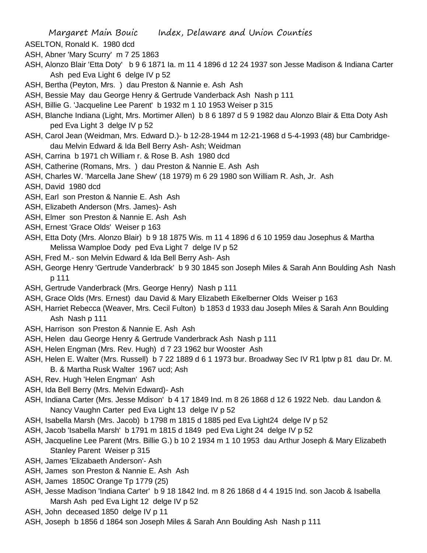- ASELTON, Ronald K. 1980 dcd
- ASH, Abner 'Mary Scurry' m 7 25 1863
- ASH, Alonzo Blair 'Etta Doty' b 9 6 1871 Ia. m 11 4 1896 d 12 24 1937 son Jesse Madison & Indiana Carter Ash ped Eva Light 6 delge IV p 52
- ASH, Bertha (Peyton, Mrs. ) dau Preston & Nannie e. Ash Ash
- ASH, Bessie May dau George Henry & Gertrude Vanderback Ash Nash p 111
- ASH, Billie G. 'Jacqueline Lee Parent' b 1932 m 1 10 1953 Weiser p 315
- ASH, Blanche Indiana (Light, Mrs. Mortimer Allen) b 8 6 1897 d 5 9 1982 dau Alonzo Blair & Etta Doty Ash ped Eva Light 3 delge IV p 52
- ASH, Carol Jean (Weidman, Mrs. Edward D.)- b 12-28-1944 m 12-21-1968 d 5-4-1993 (48) bur Cambridgedau Melvin Edward & Ida Bell Berry Ash- Ash; Weidman
- ASH, Carrina b 1971 ch William r. & Rose B. Ash 1980 dcd
- ASH, Catherine (Romans, Mrs. ) dau Preston & Nannie E. Ash Ash
- ASH, Charles W. 'Marcella Jane Shew' (18 1979) m 6 29 1980 son William R. Ash, Jr. Ash
- ASH, David 1980 dcd
- ASH, Earl son Preston & Nannie E. Ash Ash
- ASH, Elizabeth Anderson (Mrs. James)- Ash
- ASH, Elmer son Preston & Nannie E. Ash Ash
- ASH, Ernest 'Grace Olds' Weiser p 163
- ASH, Etta Doty (Mrs. Alonzo Blair) b 9 18 1875 Wis. m 11 4 1896 d 6 10 1959 dau Josephus & Martha Melissa Wamploe Dody ped Eva Light 7 delge IV p 52
- ASH, Fred M.- son Melvin Edward & Ida Bell Berry Ash- Ash
- ASH, George Henry 'Gertrude Vanderbrack' b 9 30 1845 son Joseph Miles & Sarah Ann Boulding Ash Nash p 111
- ASH, Gertrude Vanderbrack (Mrs. George Henry) Nash p 111
- ASH, Grace Olds (Mrs. Ernest) dau David & Mary Elizabeth Eikelberner Olds Weiser p 163
- ASH, Harriet Rebecca (Weaver, Mrs. Cecil Fulton) b 1853 d 1933 dau Joseph Miles & Sarah Ann Boulding Ash Nash p 111
- ASH, Harrison son Preston & Nannie E. Ash Ash
- ASH, Helen dau George Henry & Gertrude Vanderbrack Ash Nash p 111
- ASH, Helen Engman (Mrs. Rev. Hugh) d 7 23 1962 bur Wooster Ash
- ASH, Helen E. Walter (Mrs. Russell) b 7 22 1889 d 6 1 1973 bur. Broadway Sec IV R1 lptw p 81 dau Dr. M. B. & Martha Rusk Walter 1967 ucd; Ash
- ASH, Rev. Hugh 'Helen Engman' Ash
- ASH, Ida Bell Berry (Mrs. Melvin Edward)- Ash
- ASH, Indiana Carter (Mrs. Jesse Mdison' b 4 17 1849 Ind. m 8 26 1868 d 12 6 1922 Neb. dau Landon & Nancy Vaughn Carter ped Eva Light 13 delge IV p 52
- ASH, Isabella Marsh (Mrs. Jacob) b 1798 m 1815 d 1885 ped Eva Light24 delge IV p 52
- ASH, Jacob 'Isabella Marsh' b 1791 m 1815 d 1849 ped Eva Light 24 delge IV p 52
- ASH, Jacqueline Lee Parent (Mrs. Billie G.) b 10 2 1934 m 1 10 1953 dau Arthur Joseph & Mary Elizabeth Stanley Parent Weiser p 315
- ASH, James 'Elizabaeth Anderson'- Ash
- ASH, James son Preston & Nannie E. Ash Ash
- ASH, James 1850C Orange Tp 1779 (25)
- ASH, Jesse Madison 'Indiana Carter' b 9 18 1842 Ind. m 8 26 1868 d 4 4 1915 Ind. son Jacob & Isabella Marsh Ash ped Eva Light 12 delge IV p 52
- ASH, John deceased 1850 delge IV p 11
- ASH, Joseph b 1856 d 1864 son Joseph Miles & Sarah Ann Boulding Ash Nash p 111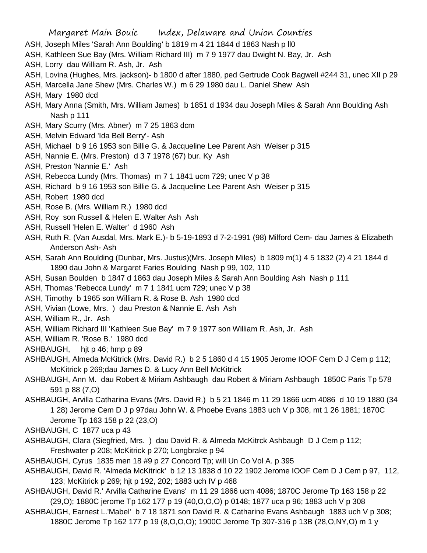- ASH, Joseph Miles 'Sarah Ann Boulding' b 1819 m 4 21 1844 d 1863 Nash p ll0
- ASH, Kathleen Sue Bay (Mrs. William Richard III) m 7 9 1977 dau Dwight N. Bay, Jr. Ash
- ASH, Lorry dau William R. Ash, Jr. Ash
- ASH, Lovina (Hughes, Mrs. jackson)- b 1800 d after 1880, ped Gertrude Cook Bagwell #244 31, unec XII p 29
- ASH, Marcella Jane Shew (Mrs. Charles W.) m 6 29 1980 dau L. Daniel Shew Ash
- ASH, Mary 1980 dcd
- ASH, Mary Anna (Smith, Mrs. William James) b 1851 d 1934 dau Joseph Miles & Sarah Ann Boulding Ash Nash p 111
- ASH, Mary Scurry (Mrs. Abner) m 7 25 1863 dcm
- ASH, Melvin Edward 'Ida Bell Berry'- Ash
- ASH, Michael b 9 16 1953 son Billie G. & Jacqueline Lee Parent Ash Weiser p 315
- ASH, Nannie E. (Mrs. Preston) d 3 7 1978 (67) bur. Ky Ash
- ASH, Preston 'Nannie E.' Ash
- ASH, Rebecca Lundy (Mrs. Thomas) m 7 1 1841 ucm 729; unec V p 38
- ASH, Richard b 9 16 1953 son Billie G. & Jacqueline Lee Parent Ash Weiser p 315
- ASH, Robert 1980 dcd
- ASH, Rose B. (Mrs. William R.) 1980 dcd
- ASH, Roy son Russell & Helen E. Walter Ash Ash
- ASH, Russell 'Helen E. Walter' d 1960 Ash
- ASH, Ruth R. (Van Ausdal, Mrs. Mark E.)- b 5-19-1893 d 7-2-1991 (98) Milford Cem- dau James & Elizabeth Anderson Ash- Ash
- ASH, Sarah Ann Boulding (Dunbar, Mrs. Justus)(Mrs. Joseph Miles) b 1809 m(1) 4 5 1832 (2) 4 21 1844 d 1890 dau John & Margaret Faries Boulding Nash p 99, 102, 110
- ASH, Susan Boulden b 1847 d 1863 dau Joseph Miles & Sarah Ann Boulding Ash Nash p 111
- ASH, Thomas 'Rebecca Lundy' m 7 1 1841 ucm 729; unec V p 38
- ASH, Timothy b 1965 son William R. & Rose B. Ash 1980 dcd
- ASH, Vivian (Lowe, Mrs. ) dau Preston & Nannie E. Ash Ash
- ASH, William R., Jr. Ash
- ASH, William Richard III 'Kathleen Sue Bay' m 7 9 1977 son William R. Ash, Jr. Ash
- ASH, William R. 'Rose B.' 1980 dcd
- ASHBAUGH, hjt p 46; hmp p 89
- ASHBAUGH, Almeda McKitrick (Mrs. David R.) b 2 5 1860 d 4 15 1905 Jerome IOOF Cem D J Cem p 112; McKitrick p 269;dau James D. & Lucy Ann Bell McKitrick
- ASHBAUGH, Ann M. dau Robert & Miriam Ashbaugh dau Robert & Miriam Ashbaugh 1850C Paris Tp 578 591 p 88 (7,O)
- ASHBAUGH, Arvilla Catharina Evans (Mrs. David R.) b 5 21 1846 m 11 29 1866 ucm 4086 d 10 19 1880 (34 1 28) Jerome Cem D J p 97dau John W. & Phoebe Evans 1883 uch V p 308, mt 1 26 1881; 1870C Jerome Tp 163 158 p 22 (23,O)
- ASHBAUGH, C 1877 uca p 43
- ASHBAUGH, Clara (Siegfried, Mrs. ) dau David R. & Almeda McKitrck Ashbaugh D J Cem p 112; Freshwater p 208; McKitrick p 270; Longbrake p 94
- ASHBAUGH, Cyrus 1835 men 18 #9 p 27 Concord Tp; will Un Co Vol A. p 395
- ASHBAUGH, David R. 'Almeda McKitrick' b 12 13 1838 d 10 22 1902 Jerome IOOF Cem D J Cem p 97, 112, 123; McKitrick p 269; hjt p 192, 202; 1883 uch IV p 468
- ASHBAUGH, David R.' Arvilla Catharine Evans' m 11 29 1866 ucm 4086; 1870C Jerome Tp 163 158 p 22 (29,O); 1880C jerome Tp 162 177 p 19 (40,O,O,O) p 0148; 1877 uca p 96; 1883 uch V p 308
- ASHBAUGH, Earnest L.'Mabel' b 7 18 1871 son David R. & Catharine Evans Ashbaugh 1883 uch V p 308; 1880C Jerome Tp 162 177 p 19 (8,O,O,O); 1900C Jerome Tp 307-316 p 13B (28,O,NY,O) m 1 y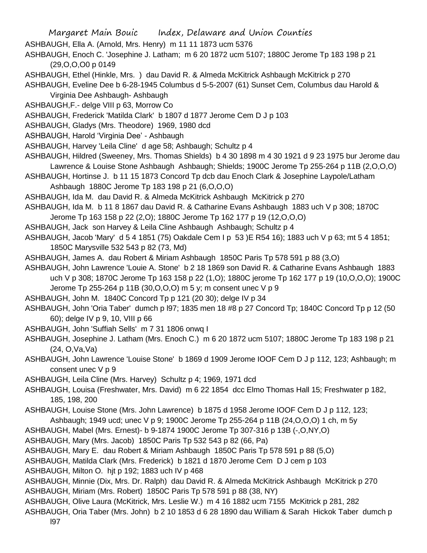- ASHBAUGH, Ella A. (Arnold, Mrs. Henry) m 11 11 1873 ucm 5376
- ASHBAUGH, Enoch C. 'Josephine J. Latham; m 6 20 1872 ucm 5107; 1880C Jerome Tp 183 198 p 21 (29,O,O,O0 p 0149
- ASHBAUGH, Ethel (Hinkle, Mrs. ) dau David R. & Almeda McKitrick Ashbaugh McKitrick p 270

ASHBAUGH, Eveline Dee b 6-28-1945 Columbus d 5-5-2007 (61) Sunset Cem, Columbus dau Harold & Virginia Dee Ashbaugh- Ashbaugh

ASHBAUGH,F.- delge VIII p 63, Morrow Co

ASHBAUGH, Frederick 'Matilda Clark' b 1807 d 1877 Jerome Cem D J p 103

ASHBAUGH, Gladys (Mrs. Theodore) 1969, 1980 dcd

ASHBAUGH, Harold 'Virginia Dee' - Ashbaugh

- ASHBAUGH, Harvey 'Leila Cline' d age 58; Ashbaugh; Schultz p 4
- ASHBAUGH, Hildred (Sweeney, Mrs. Thomas Shields) b 4 30 1898 m 4 30 1921 d 9 23 1975 bur Jerome dau Lawrence & Louise Stone Ashbaugh Ashbaugh; Shields; 1900C Jerome Tp 255-264 p 11B (2,O,O,O)
- ASHBAUGH, Hortinse J. b 11 15 1873 Concord Tp dcb dau Enoch Clark & Josephine Laypole/Latham Ashbaugh 1880C Jerome Tp 183 198 p 21 (6,O,O,O)
- ASHBAUGH, Ida M. dau David R. & Almeda McKitrick Ashbaugh McKitrick p 270
- ASHBAUGH, Ida M. b 11 8 1867 dau David R. & Catharine Evans Ashbaugh 1883 uch V p 308; 1870C Jerome Tp 163 158 p 22 (2,O); 1880C Jerome Tp 162 177 p 19 (12,O,O,O)
- 
- ASHBAUGH, Jack son Harvey & Leila Cline Ashbaugh Ashbaugh; Schultz p 4
- ASHBAUGH, Jacob 'Mary' d 5 4 1851 (75) Oakdale Cem I p 53 )E R54 16); 1883 uch V p 63; mt 5 4 1851; 1850C Marysville 532 543 p 82 (73, Md)
- ASHBAUGH, James A. dau Robert & Miriam Ashbaugh 1850C Paris Tp 578 591 p 88 (3,O)
- ASHBAUGH, John Lawrence 'Louie A. Stone' b 2 18 1869 son David R. & Catharine Evans Ashbaugh 1883 uch V p 308; 1870C Jerome Tp 163 158 p 22 (1,O); 1880C jerome Tp 162 177 p 19 (10,O,O,O); 1900C Jerome Tp 255-264 p 11B (30,O,O,O) m 5 y; m consent unec V p 9

ASHBAUGH, John M. 1840C Concord Tp p 121 (20 30); delge IV p 34

ASHBAUGH, John 'Oria Taber' dumch p l97; 1835 men 18 #8 p 27 Concord Tp; 1840C Concord Tp p 12 (50 60); delge IV p 9, 10, VIII p 66

- ASHBAUGH, John 'Suffiah Sells' m 7 31 1806 onwq I
- ASHBAUGH, Josephine J. Latham (Mrs. Enoch C.) m 6 20 1872 ucm 5107; 1880C Jerome Tp 183 198 p 21 (24, O,Va,Va)
- ASHBAUGH, John Lawrence 'Louise Stone' b 1869 d 1909 Jerome IOOF Cem D J p 112, 123; Ashbaugh; m consent unec V p 9
- ASHBAUGH, Leila Cline (Mrs. Harvey) Schultz p 4; 1969, 1971 dcd

ASHBAUGH, Louisa (Freshwater, Mrs. David) m 6 22 1854 dcc Elmo Thomas Hall 15; Freshwater p 182, 185, 198, 200

- ASHBAUGH, Louise Stone (Mrs. John Lawrence) b 1875 d 1958 Jerome IOOF Cem D J p 112, 123;
- Ashbaugh; 1949 ucd; unec V p 9; 1900C Jerome Tp 255-264 p 11B (24,O,O,O) 1 ch, m 5y
- ASHBAUGH, Mabel (Mrs. Ernest)- b 9-1874 1900C Jerome Tp 307-316 p 13B (-,O,NY,O)

ASHBAUGH, Mary (Mrs. Jacob) 1850C Paris Tp 532 543 p 82 (66, Pa)

ASHBAUGH, Mary E. dau Robert & Miriam Ashbaugh 1850C Paris Tp 578 591 p 88 (5,O)

ASHBAUGH, Matilda Clark (Mrs. Frederick) b 1821 d 1870 Jerome Cem D J cem p 103

- ASHBAUGH, Milton O. hjt p 192; 1883 uch IV p 468
- ASHBAUGH, Minnie (Dix, Mrs. Dr. Ralph) dau David R. & Almeda McKitrick Ashbaugh McKitrick p 270 ASHBAUGH, Miriam (Mrs. Robert) 1850C Paris Tp 578 591 p 88 (38, NY)
- ASHBAUGH, Olive Laura (McKitrick, Mrs. Leslie W.) m 4 16 1882 ucm 7155 McKitrick p 281, 282
- ASHBAUGH, Oria Taber (Mrs. John) b 2 10 1853 d 6 28 1890 dau William & Sarah Hickok Taber dumch p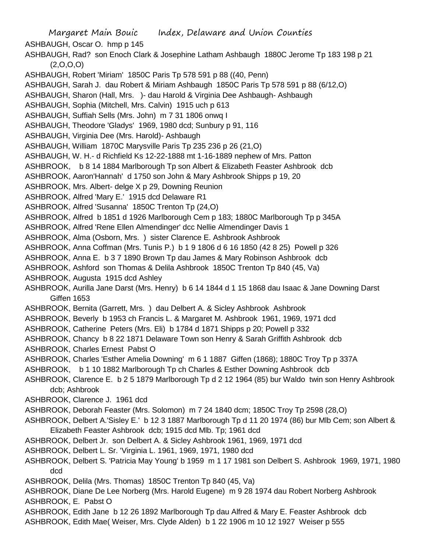Margaret Main Bouic Index, Delaware and Union Counties ASHBAUGH, Oscar O. hmp p 145 ASHBAUGH, Rad? son Enoch Clark & Josephine Latham Ashbaugh 1880C Jerome Tp 183 198 p 21  $(2,0,0,0)$ ASHBAUGH, Robert 'Miriam' 1850C Paris Tp 578 591 p 88 ((40, Penn) ASHBAUGH, Sarah J. dau Robert & Miriam Ashbaugh 1850C Paris Tp 578 591 p 88 (6/12,O) ASHBAUGH, Sharon (Hall, Mrs. )- dau Harold & Virginia Dee Ashbaugh- Ashbaugh ASHBAUGH, Sophia (Mitchell, Mrs. Calvin) 1915 uch p 613 ASHBAUGH, Suffiah Sells (Mrs. John) m 7 31 1806 onwq I ASHBAUGH, Theodore 'Gladys' 1969, 1980 dcd; Sunbury p 91, 116 ASHBAUGH, Virginia Dee (Mrs. Harold)- Ashbaugh ASHBAUGH, William 1870C Marysville Paris Tp 235 236 p 26 (21,O) ASHBAUGH, W. H.- d Richfield Ks 12-22-1888 mt 1-16-1889 nephew of Mrs. Patton ASHBROOK, b 8 14 1884 Marlborough Tp son Albert & Elizabeth Feaster Ashbrook dcb ASHBROOK, Aaron'Hannah' d 1750 son John & Mary Ashbrook Shipps p 19, 20 ASHBROOK, Mrs. Albert- delge X p 29, Downing Reunion ASHBROOK, Alfred 'Mary E.' 1915 dcd Delaware R1 ASHBROOK, Alfred 'Susanna' 1850C Trenton Tp (24,O) ASHBROOK, Alfred b 1851 d 1926 Marlborough Cem p 183; 1880C Marlborough Tp p 345A ASHBROOK, Alfred 'Rene Ellen Almendinger' dcc Nellie Almendinger Davis 1 ASHBROOK, Alma (Osborn, Mrs. ) sister Clarence E. Ashbrook Ashbrook ASHBROOK, Anna Coffman (Mrs. Tunis P.) b 1 9 1806 d 6 16 1850 (42 8 25) Powell p 326 ASHBROOK, Anna E. b 3 7 1890 Brown Tp dau James & Mary Robinson Ashbrook dcb ASHBROOK, Ashford son Thomas & Delila Ashbrook 1850C Trenton Tp 840 (45, Va) ASHBROOK, Augusta 1915 dcd Ashley ASHBROOK, Aurilla Jane Darst (Mrs. Henry) b 6 14 1844 d 1 15 1868 dau Isaac & Jane Downing Darst Giffen 1653 ASHBROOK, Bernita (Garrett, Mrs. ) dau Delbert A. & Sicley Ashbrook Ashbrook ASHBROOK, Beverly b 1953 ch Francis L. & Margaret M. Ashbrook 1961, 1969, 1971 dcd ASHBROOK, Catherine Peters (Mrs. Eli) b 1784 d 1871 Shipps p 20; Powell p 332 ASHBROOK, Chancy b 8 22 1871 Delaware Town son Henry & Sarah Griffith Ashbrook dcb ASHBROOK, Charles Ernest Pabst O ASHBROOK, Charles 'Esther Amelia Downing' m 6 1 1887 Giffen (1868); 1880C Troy Tp p 337A ASHBROOK, b 1 10 1882 Marlborough Tp ch Charles & Esther Downing Ashbrook dcb ASHBROOK, Clarence E. b 2 5 1879 Marlborough Tp d 2 12 1964 (85) bur Waldo twin son Henry Ashbrook dcb; Ashbrook ASHBROOK, Clarence J. 1961 dcd ASHBROOK, Deborah Feaster (Mrs. Solomon) m 7 24 1840 dcm; 1850C Troy Tp 2598 (28,O) ASHBROOK, Delbert A.'Sisley E.' b 12 3 1887 Marlborough Tp d 11 20 1974 (86) bur Mlb Cem; son Albert & Elizabeth Feaster Ashbrook dcb; 1915 dcd Mlb. Tp; 1961 dcd ASHBROOK, Delbert Jr. son Delbert A. & Sicley Ashbrook 1961, 1969, 1971 dcd ASHBROOK, Delbert L. Sr. 'Virginia L. 1961, 1969, 1971, 1980 dcd ASHBROOK, Delbert S. 'Patricia May Young' b 1959 m 1 17 1981 son Delbert S. Ashbrook 1969, 1971, 1980 dcd ASHBROOK, Delila (Mrs. Thomas) 1850C Trenton Tp 840 (45, Va) ASHBROOK, Diane De Lee Norberg (Mrs. Harold Eugene) m 9 28 1974 dau Robert Norberg Ashbrook ASHBROOK, E. Pabst O ASHBROOK, Edith Jane b 12 26 1892 Marlborough Tp dau Alfred & Mary E. Feaster Ashbrook dcb ASHBROOK, Edith Mae( Weiser, Mrs. Clyde Alden) b 1 22 1906 m 10 12 1927 Weiser p 555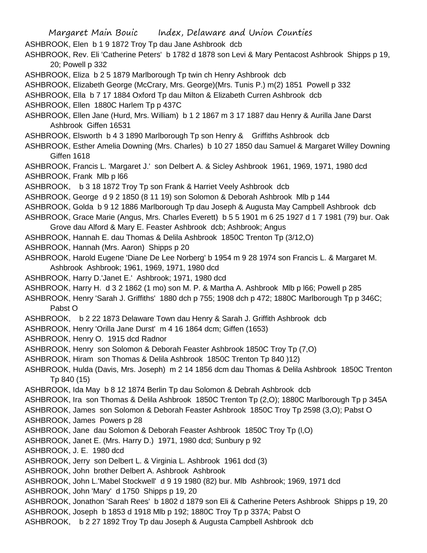Margaret Main Bouic Index, Delaware and Union Counties ASHBROOK, Elen b 1 9 1872 Troy Tp dau Jane Ashbrook dcb ASHBROOK, Rev. Eli 'Catherine Peters' b 1782 d 1878 son Levi & Mary Pentacost Ashbrook Shipps p 19, 20; Powell p 332 ASHBROOK, Eliza b 2 5 1879 Marlborough Tp twin ch Henry Ashbrook dcb ASHBROOK, Elizabeth George (McCrary, Mrs. George)(Mrs. Tunis P.) m(2) 1851 Powell p 332 ASHBROOK, Ella b 7 17 1884 Oxford Tp dau Milton & Elizabeth Curren Ashbrook dcb ASHBROOK, Ellen 1880C Harlem Tp p 437C ASHBROOK, Ellen Jane (Hurd, Mrs. William) b 1 2 1867 m 3 17 1887 dau Henry & Aurilla Jane Darst Ashbrook Giffen 16531 ASHBROOK, Elsworth b 4 3 1890 Marlborough Tp son Henry & Griffiths Ashbrook dcb ASHBROOK, Esther Amelia Downing (Mrs. Charles) b 10 27 1850 dau Samuel & Margaret Willey Downing Giffen 1618 ASHBROOK, Francis L. 'Margaret J.' son Delbert A. & Sicley Ashbrook 1961, 1969, 1971, 1980 dcd ASHBROOK, Frank Mlb p l66 ASHBROOK, b 3 18 1872 Troy Tp son Frank & Harriet Veely Ashbrook dcb ASHBROOK, George d 9 2 1850 (8 11 19) son Solomon & Deborah Ashbrook Mlb p 144 ASHBROOK, Golda b 9 12 1886 Marlborough Tp dau Joseph & Augusta May Campbell Ashbrook dcb ASHBROOK, Grace Marie (Angus, Mrs. Charles Everett) b 5 5 1901 m 6 25 1927 d 1 7 1981 (79) bur. Oak Grove dau Alford & Mary E. Feaster Ashbrook dcb; Ashbrook; Angus ASHBROOK, Hannah E. dau Thomas & Delila Ashbrook 1850C Trenton Tp (3/12,O) ASHBROOK, Hannah (Mrs. Aaron) Shipps p 20 ASHBROOK, Harold Eugene 'Diane De Lee Norberg' b 1954 m 9 28 1974 son Francis L. & Margaret M. Ashbrook Ashbrook; 1961, 1969, 1971, 1980 dcd ASHBROOK, Harry D.'Janet E.' Ashbrook; 1971, 1980 dcd ASHBROOK, Harry H. d 3 2 1862 (1 mo) son M. P. & Martha A. Ashbrook Mlb p l66; Powell p 285 ASHBROOK, Henry 'Sarah J. Griffiths' 1880 dch p 755; 1908 dch p 472; 1880C Marlborough Tp p 346C; Pabst O ASHBROOK, b 2 22 1873 Delaware Town dau Henry & Sarah J. Griffith Ashbrook dcb ASHBROOK, Henry 'Orilla Jane Durst' m 4 16 1864 dcm; Giffen (1653) ASHBROOK, Henry O. 1915 dcd Radnor ASHBROOK, Henry son Solomon & Deborah Feaster Ashbrook 1850C Troy Tp (7,O) ASHBROOK, Hiram son Thomas & Delila Ashbrook 1850C Trenton Tp 840 )12) ASHBROOK, Hulda (Davis, Mrs. Joseph) m 2 14 1856 dcm dau Thomas & Delila Ashbrook 1850C Trenton Tp 840 (15) ASHBROOK, Ida May b 8 12 1874 Berlin Tp dau Solomon & Debrah Ashbrook dcb ASHBROOK, Ira son Thomas & Delila Ashbrook 1850C Trenton Tp (2,O); 1880C Marlborough Tp p 345A ASHBROOK, James son Solomon & Deborah Feaster Ashbrook 1850C Troy Tp 2598 (3,O); Pabst O ASHBROOK, James Powers p 28 ASHBROOK, Jane dau Solomon & Deborah Feaster Ashbrook 1850C Troy Tp (l,O) ASHBROOK, Janet E. (Mrs. Harry D.) 1971, 1980 dcd; Sunbury p 92 ASHBROOK, J. E. 1980 dcd ASHBROOK, Jerry son Delbert L. & Virginia L. Ashbrook 1961 dcd (3) ASHBROOK, John brother Delbert A. Ashbrook Ashbrook ASHBROOK, John L.'Mabel Stockwell' d 9 19 1980 (82) bur. Mlb Ashbrook; 1969, 1971 dcd ASHBROOK, John 'Mary' d 1750 Shipps p 19, 20 ASHBROOK, Jonathon 'Sarah Rees' b 1802 d 1879 son Eli & Catherine Peters Ashbrook Shipps p 19, 20 ASHBROOK, Joseph b 1853 d 1918 Mlb p 192; 1880C Troy Tp p 337A; Pabst O ASHBROOK, b 2 27 1892 Troy Tp dau Joseph & Augusta Campbell Ashbrook dcb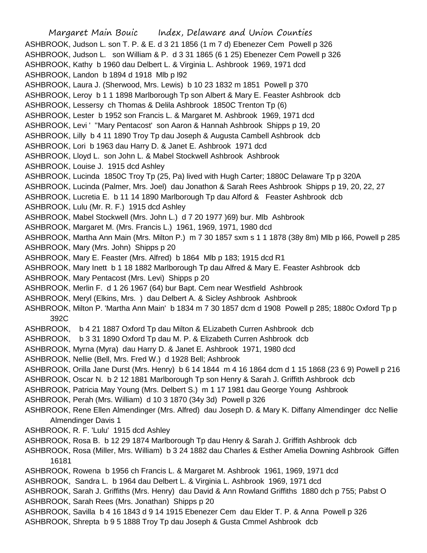Margaret Main Bouic Index, Delaware and Union Counties ASHBROOK, Judson L. son T. P. & E. d 3 21 1856 (1 m 7 d) Ebenezer Cem Powell p 326 ASHBROOK, Judson L. son William & P. d 3 31 1865 (6 1 25) Ebenezer Cem Powell p 326 ASHBROOK, Kathy b 1960 dau Delbert L. & Virginia L. Ashbrook 1969, 1971 dcd ASHBROOK, Landon b 1894 d 1918 Mlb p l92 ASHBROOK, Laura J. (Sherwood, Mrs. Lewis) b 10 23 1832 m 1851 Powell p 370 ASHBROOK, Leroy b 1 1 1898 Marlborough Tp son Albert & Mary E. Feaster Ashbrook dcb ASHBROOK, Lessersy ch Thomas & Delila Ashbrook 1850C Trenton Tp (6) ASHBROOK, Lester b 1952 son Francis L. & Margaret M. Ashbrook 1969, 1971 dcd ASHBROOK, Levi ' ''Mary Pentacost' son Aaron & Hannah Ashbrook Shipps p 19, 20 ASHBROOK, Lilly b 4 11 1890 Troy Tp dau Joseph & Augusta Cambell Ashbrook dcb ASHBROOK, Lori b 1963 dau Harry D. & Janet E. Ashbrook 1971 dcd ASHBROOK, Lloyd L. son John L. & Mabel Stockwell Ashbrook Ashbrook ASHBROOK, Louise J. 1915 dcd Ashley ASHBROOK, Lucinda 1850C Troy Tp (25, Pa) lived with Hugh Carter; 1880C Delaware Tp p 320A ASHBROOK, Lucinda (Palmer, Mrs. Joel) dau Jonathon & Sarah Rees Ashbrook Shipps p 19, 20, 22, 27 ASHBROOK, Lucretia E. b 11 14 1890 Marlborough Tp dau Alford & Feaster Ashbrook dcb ASHBROOK, Lulu (Mr. R. F.) 1915 dcd Ashley ASHBROOK, Mabel Stockwell (Mrs. John L.) d 7 20 1977 )69) bur. Mlb Ashbrook ASHBROOK, Margaret M. (Mrs. Francis L.) 1961, 1969, 1971, 1980 dcd ASHBROOK, Martha Ann Main (Mrs. Milton P.) m 7 30 1857 sxm s 1 1 1878 (38y 8m) Mlb p l66, Powell p 285 ASHBROOK, Mary (Mrs. John) Shipps p 20 ASHBROOK, Mary E. Feaster (Mrs. Alfred) b 1864 Mlb p 183; 1915 dcd R1 ASHBROOK, Mary Inett b 1 18 1882 Marlborough Tp dau Alfred & Mary E. Feaster Ashbrook dcb ASHBROOK, Mary Pentacost (Mrs. Levi) Shipps p 20 ASHBROOK, Merlin F. d 1 26 1967 (64) bur Bapt. Cem near Westfield Ashbrook ASHBROOK, Meryl (Elkins, Mrs. ) dau Delbert A. & Sicley Ashbrook Ashbrook ASHBROOK, Milton P. 'Martha Ann Main' b 1834 m 7 30 1857 dcm d 1908 Powell p 285; 1880c Oxford Tp p 392C ASHBROOK, b 4 21 1887 Oxford Tp dau Milton & ELizabeth Curren Ashbrook dcb ASHBROOK, b 3 31 1890 Oxford Tp dau M. P. & Elizabeth Curren Ashbrook dcb ASHBROOK, Myrna (Myra) dau Harry D. & Janet E. Ashbrook 1971, 1980 dcd ASHBROOK, Nellie (Bell, Mrs. Fred W.) d 1928 Bell; Ashbrook ASHBROOK, Orilla Jane Durst (Mrs. Henry) b 6 14 1844 m 4 16 1864 dcm d 1 15 1868 (23 6 9) Powell p 216 ASHBROOK, Oscar N. b 2 12 1881 Marlborough Tp son Henry & Sarah J. Griffith Ashbrook dcb ASHBROOK, Patricia May Young (Mrs. Delbert S.) m 1 17 1981 dau George Young Ashbrook ASHBROOK, Perah (Mrs. William) d 10 3 1870 (34y 3d) Powell p 326 ASHBROOK, Rene Ellen Almendinger (Mrs. Alfred) dau Joseph D. & Mary K. Diffany Almendinger dcc Nellie Almendinger Davis 1 ASHBROOK, R. F. 'Lulu' 1915 dcd Ashley ASHBROOK, Rosa B. b 12 29 1874 Marlborough Tp dau Henry & Sarah J. Griffith Ashbrook dcb ASHBROOK, Rosa (Miller, Mrs. William) b 3 24 1882 dau Charles & Esther Amelia Downing Ashbrook Giffen 16181 ASHBROOK, Rowena b 1956 ch Francis L. & Margaret M. Ashbrook 1961, 1969, 1971 dcd ASHBROOK, Sandra L. b 1964 dau Delbert L. & Virginia L. Ashbrook 1969, 1971 dcd ASHBROOK, Sarah J. Griffiths (Mrs. Henry) dau David & Ann Rowland Griffiths 1880 dch p 755; Pabst O ASHBROOK, Sarah Rees (Mrs. Jonathan) Shipps p 20 ASHBROOK, Savilla b 4 16 1843 d 9 14 1915 Ebenezer Cem dau Elder T. P. & Anna Powell p 326 ASHBROOK, Shrepta b 9 5 1888 Troy Tp dau Joseph & Gusta Cmmel Ashbrook dcb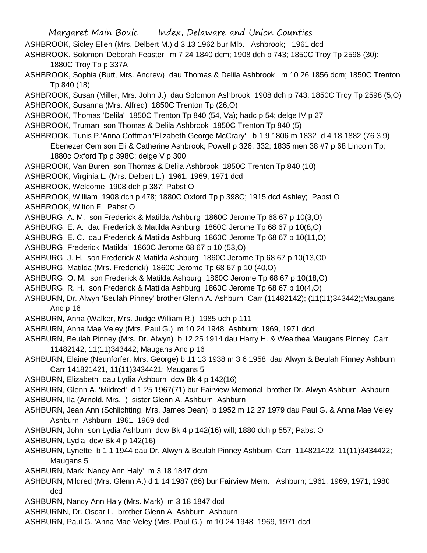Margaret Main Bouic Index, Delaware and Union Counties ASHBROOK, Sicley Ellen (Mrs. Delbert M.) d 3 13 1962 bur Mlb. Ashbrook; 1961 dcd ASHBROOK, Solomon 'Deborah Feaster' m 7 24 1840 dcm; 1908 dch p 743; 1850C Troy Tp 2598 (30); 1880C Troy Tp p 337A ASHBROOK, Sophia (Butt, Mrs. Andrew) dau Thomas & Delila Ashbrook m 10 26 1856 dcm; 1850C Trenton Tp 840 (18) ASHBROOK, Susan (Miller, Mrs. John J.) dau Solomon Ashbrook 1908 dch p 743; 1850C Troy Tp 2598 (5,O) ASHBROOK, Susanna (Mrs. Alfred) 1850C Trenton Tp (26,O) ASHBROOK, Thomas 'Delila' 1850C Trenton Tp 840 (54, Va); hadc p 54; delge IV p 27 ASHBROOK, Truman son Thomas & Delila Ashbrook 1850C Trenton Tp 840 (5) ASHBROOK, Tunis P.'Anna Coffman''Elizabeth George McCrary' b 1 9 1806 m 1832 d 4 18 1882 (76 3 9) Ebenezer Cem son Eli & Catherine Ashbrook; Powell p 326, 332; 1835 men 38 #7 p 68 Lincoln Tp; 1880c Oxford Tp p 398C; delge V p 300 ASHBROOK, Van Buren son Thomas & Delila Ashbrook 1850C Trenton Tp 840 (10) ASHBROOK, Virginia L. (Mrs. Delbert L.) 1961, 1969, 1971 dcd ASHBROOK, Welcome 1908 dch p 387; Pabst O ASHBROOK, William 1908 dch p 478; 1880C Oxford Tp p 398C; 1915 dcd Ashley; Pabst O ASHBROOK, Wilton F. Pabst O ASHBURG, A. M. son Frederick & Matilda Ashburg 1860C Jerome Tp 68 67 p 10(3,O) ASHBURG, E. A. dau Frederick & Matilda Ashburg 1860C Jerome Tp 68 67 p 10(8,O) ASHBURG, E. C. dau Frederick & Matilda Ashburg 1860C Jerome Tp 68 67 p 10(11,O) ASHBURG, Frederick 'Matilda' 1860C Jerome 68 67 p 10 (53,O) ASHBURG, J. H. son Frederick & Matilda Ashburg 1860C Jerome Tp 68 67 p 10(13,O0 ASHBURG, Matilda (Mrs. Frederick) 1860C Jerome Tp 68 67 p 10 (40,O) ASHBURG, O. M. son Frederick & Matilda Ashburg 1860C Jerome Tp 68 67 p 10(18,O) ASHBURG, R. H. son Frederick & Matilda Ashburg 1860C Jerome Tp 68 67 p 10(4,O) ASHBURN, Dr. Alwyn 'Beulah Pinney' brother Glenn A. Ashburn Carr (11482142); (11(11)343442);Maugans Anc p 16 ASHBURN, Anna (Walker, Mrs. Judge William R.) 1985 uch p 111 ASHBURN, Anna Mae Veley (Mrs. Paul G.) m 10 24 1948 Ashburn; 1969, 1971 dcd ASHBURN, Beulah Pinney (Mrs. Dr. Alwyn) b 12 25 1914 dau Harry H. & Wealthea Maugans Pinney Carr 11482142, 11(11)343442; Maugans Anc p 16 ASHBURN, Elaine (Neunforfer, Mrs. George) b 11 13 1938 m 3 6 1958 dau Alwyn & Beulah Pinney Ashburn Carr 141821421, 11(11)3434421; Maugans 5 ASHBURN, Elizabeth dau Lydia Ashburn dcw Bk 4 p 142(16) ASHBURN, Glenn A. 'Mildred' d 1 25 1967(71) bur Fairview Memorial brother Dr. Alwyn Ashburn Ashburn ASHBURN, Ila (Arnold, Mrs. ) sister Glenn A. Ashburn Ashburn ASHBURN, Jean Ann (Schlichting, Mrs. James Dean) b 1952 m 12 27 1979 dau Paul G. & Anna Mae Veley Ashburn Ashburn 1961, 1969 dcd ASHBURN, John son Lydia Ashburn dcw Bk 4 p 142(16) will; 1880 dch p 557; Pabst O ASHBURN, Lydia dcw Bk 4 p 142(16) ASHBURN, Lynette b 1 1 1944 dau Dr. Alwyn & Beulah Pinney Ashburn Carr 114821422, 11(11)3434422; Maugans 5 ASHBURN, Mark 'Nancy Ann Haly' m 3 18 1847 dcm ASHBURN, Mildred (Mrs. Glenn A.) d 1 14 1987 (86) bur Fairview Mem. Ashburn; 1961, 1969, 1971, 1980 dcd ASHBURN, Nancy Ann Haly (Mrs. Mark) m 3 18 1847 dcd ASHBURNN, Dr. Oscar L. brother Glenn A. Ashburn Ashburn

ASHBURN, Paul G. 'Anna Mae Veley (Mrs. Paul G.) m 10 24 1948 1969, 1971 dcd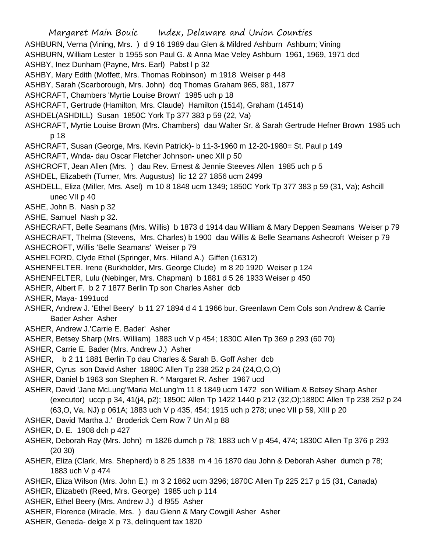Margaret Main Bouic Index, Delaware and Union Counties ASHBURN, Verna (Vining, Mrs. ) d 9 16 1989 dau Glen & Mildred Ashburn Ashburn; Vining ASHBURN, William Lester b 1955 son Paul G. & Anna Mae Veley Ashburn 1961, 1969, 1971 dcd ASHBY, Inez Dunham (Payne, Mrs. Earl) Pabst I p 32 ASHBY, Mary Edith (Moffett, Mrs. Thomas Robinson) m 1918 Weiser p 448 ASHBY, Sarah (Scarborough, Mrs. John) dcq Thomas Graham 965, 981, 1877 ASHCRAFT, Chambers 'Myrtie Louise Brown' 1985 uch p 18 ASHCRAFT, Gertrude (Hamilton, Mrs. Claude) Hamilton (1514), Graham (14514) ASHDEL(ASHDILL) Susan 1850C York Tp 377 383 p 59 (22, Va) ASHCRAFT, Myrtie Louise Brown (Mrs. Chambers) dau Walter Sr. & Sarah Gertrude Hefner Brown 1985 uch p 18 ASHCRAFT, Susan (George, Mrs. Kevin Patrick)- b 11-3-1960 m 12-20-1980= St. Paul p 149 ASHCRAFT, Wnda- dau Oscar Fletcher Johnson- unec XII p 50 ASHCROFT, Jean Allen (Mrs. ) dau Rev. Ernest & Jennie Steeves Allen 1985 uch p 5 ASHDEL, Elizabeth (Turner, Mrs. Augustus) lic 12 27 1856 ucm 2499 ASHDELL, Eliza (Miller, Mrs. Asel) m 10 8 1848 ucm 1349; 1850C York Tp 377 383 p 59 (31, Va); Ashcill unec VII p 40 ASHE, John B. Nash p 32 ASHE, Samuel Nash p 32. ASHECRAFT, Belle Seamans (Mrs. Willis) b 1873 d 1914 dau William & Mary Deppen Seamans Weiser p 79 ASHECRAFT, Thelma (Stevens, Mrs. Charles) b 1900 dau Willis & Belle Seamans Ashecroft Weiser p 79 ASHECROFT, Willis 'Belle Seamans' Weiser p 79 ASHELFORD, Clyde Ethel (Springer, Mrs. Hiland A.) Giffen (16312) ASHENFELTER. Irene (Burkholder, Mrs. George Clude) m 8 20 1920 Weiser p 124 ASHENFELTER, Lulu (Nebinger, Mrs. Chapman) b 1881 d 5 26 1933 Weiser p 450 ASHER, Albert F. b 2 7 1877 Berlin Tp son Charles Asher dcb ASHER, Maya- 1991ucd ASHER, Andrew J. 'Ethel Beery' b 11 27 1894 d 4 1 1966 bur. Greenlawn Cem Cols son Andrew & Carrie Bader Asher Asher ASHER, Andrew J.'Carrie E. Bader' Asher ASHER, Betsey Sharp (Mrs. William) 1883 uch V p 454; 1830C Allen Tp 369 p 293 (60 70) ASHER, Carrie E. Bader (Mrs. Andrew J.) Asher ASHER, b 2 11 1881 Berlin Tp dau Charles & Sarah B. Goff Asher dcb ASHER, Cyrus son David Asher 1880C Allen Tp 238 252 p 24 (24,O,O,O) ASHER, Daniel b 1963 son Stephen R. ^ Margaret R. Asher 1967 ucd ASHER, David 'Jane McLung''Maria McLung'm 11 8 1849 ucm 1472 son William & Betsey Sharp Asher (executor) uccp p 34, 41(j4, p2); 1850C Allen Tp 1422 1440 p 212 (32,O);1880C Allen Tp 238 252 p 24 (63,O, Va, NJ) p 061A; 1883 uch V p 435, 454; 1915 uch p 278; unec VII p 59, XIII p 20 ASHER, David 'Martha J.' Broderick Cem Row 7 Un Al p 88 ASHER, D. E. 1908 dch p 427 ASHER, Deborah Ray (Mrs. John) m 1826 dumch p 78; 1883 uch V p 454, 474; 1830C Allen Tp 376 p 293 (20 30) ASHER, Eliza (Clark, Mrs. Shepherd) b 8 25 1838 m 4 16 1870 dau John & Deborah Asher dumch p 78; 1883 uch V p 474 ASHER, Eliza Wilson (Mrs. John E.) m 3 2 1862 ucm 3296; 1870C Allen Tp 225 217 p 15 (31, Canada) ASHER, Elizabeth (Reed, Mrs. George) 1985 uch p 114 ASHER, Ethel Beery (Mrs. Andrew J.) d l955 Asher ASHER, Florence (Miracle, Mrs. ) dau Glenn & Mary Cowgill Asher Asher

ASHER, Geneda- delge X p 73, delinquent tax 1820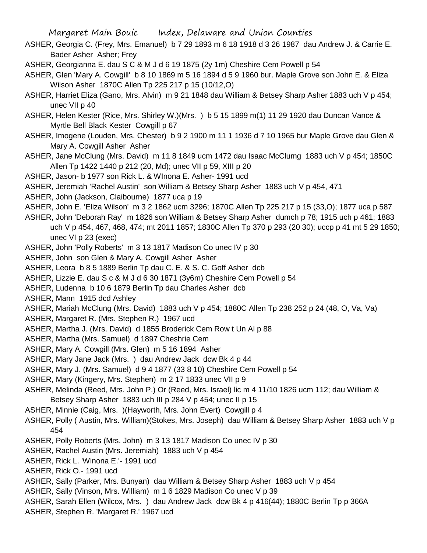- ASHER, Georgia C. (Frey, Mrs. Emanuel) b 7 29 1893 m 6 18 1918 d 3 26 1987 dau Andrew J. & Carrie E. Bader Asher Asher; Frey
- ASHER, Georgianna E. dau S C & M J d 6 19 1875 (2y 1m) Cheshire Cem Powell p 54
- ASHER, Glen 'Mary A. Cowgill' b 8 10 1869 m 5 16 1894 d 5 9 1960 bur. Maple Grove son John E. & Eliza Wilson Asher 1870C Allen Tp 225 217 p 15 (10/12,O)
- ASHER, Harriet Eliza (Gano, Mrs. Alvin) m 9 21 1848 dau William & Betsey Sharp Asher 1883 uch V p 454; unec VII p 40
- ASHER, Helen Kester (Rice, Mrs. Shirley W.)(Mrs. ) b 5 15 1899 m(1) 11 29 1920 dau Duncan Vance & Myrtle Bell Black Kester Cowgill p 67
- ASHER, Imogene (Louden, Mrs. Chester) b 9 2 1900 m 11 1 1936 d 7 10 1965 bur Maple Grove dau Glen & Mary A. Cowgill Asher Asher
- ASHER, Jane McClung (Mrs. David) m 11 8 1849 ucm 1472 dau Isaac McClumg 1883 uch V p 454; 1850C Allen Tp 1422 1440 p 212 (20, Md); unec VII p 59, XIII p 20
- ASHER, Jason- b 1977 son Rick L. & WInona E. Asher- 1991 ucd
- ASHER, Jeremiah 'Rachel Austin' son William & Betsey Sharp Asher 1883 uch V p 454, 471
- ASHER, John (Jackson, Claibourne) 1877 uca p 19
- ASHER, John E. 'Eliza Wilson' m 3 2 1862 ucm 3296; 1870C Allen Tp 225 217 p 15 (33,O); 1877 uca p 587
- ASHER, John 'Deborah Ray' m 1826 son William & Betsey Sharp Asher dumch p 78; 1915 uch p 461; 1883 uch V p 454, 467, 468, 474; mt 2011 1857; 1830C Allen Tp 370 p 293 (20 30); uccp p 41 mt 5 29 1850;
	- unec VI p 23 (exec)
- ASHER, John 'Polly Roberts' m 3 13 1817 Madison Co unec IV p 30
- ASHER, John son Glen & Mary A. Cowgill Asher Asher
- ASHER, Leora b 8 5 1889 Berlin Tp dau C. E. & S. C. Goff Asher dcb
- ASHER, Lizzie E. dau S c & M J d 6 30 1871 (3y6m) Cheshire Cem Powell p 54
- ASHER, Ludenna b 10 6 1879 Berlin Tp dau Charles Asher dcb
- ASHER, Mann 1915 dcd Ashley
- ASHER, Mariah McClung (Mrs. David) 1883 uch V p 454; 1880C Allen Tp 238 252 p 24 (48, O, Va, Va)
- ASHER, Margaret R. (Mrs. Stephen R.) 1967 ucd
- ASHER, Martha J. (Mrs. David) d 1855 Broderick Cem Row t Un Al p 88
- ASHER, Martha (Mrs. Samuel) d 1897 Cheshrie Cem
- ASHER, Mary A. Cowgill (Mrs. Glen) m 5 16 1894 Asher
- ASHER, Mary Jane Jack (Mrs. ) dau Andrew Jack dcw Bk 4 p 44
- ASHER, Mary J. (Mrs. Samuel) d 9 4 1877 (33 8 10) Cheshire Cem Powell p 54
- ASHER, Mary (Kingery, Mrs. Stephen) m 2 17 1833 unec VII p 9
- ASHER, Melinda (Reed, Mrs. John P.) Or (Reed, Mrs. Israel) lic m 4 11/10 1826 ucm 112; dau William &
- Betsey Sharp Asher 1883 uch III p 284 V p 454; unec II p 15
- ASHER, Minnie (Caig, Mrs. )(Hayworth, Mrs. John Evert) Cowgill p 4
- ASHER, Polly ( Austin, Mrs. William)(Stokes, Mrs. Joseph) dau William & Betsey Sharp Asher 1883 uch V p 454
- ASHER, Polly Roberts (Mrs. John) m 3 13 1817 Madison Co unec IV p 30
- ASHER, Rachel Austin (Mrs. Jeremiah) 1883 uch V p 454
- ASHER, Rick L. 'Winona E.'- 1991 ucd
- ASHER, Rick O.- 1991 ucd
- ASHER, Sally (Parker, Mrs. Bunyan) dau William & Betsey Sharp Asher 1883 uch V p 454
- ASHER, Sally (Vinson, Mrs. William) m 1 6 1829 Madison Co unec V p 39
- ASHER, Sarah Ellen (Wilcox, Mrs. ) dau Andrew Jack dcw Bk 4 p 416(44); 1880C Berlin Tp p 366A
- ASHER, Stephen R. 'Margaret R.' 1967 ucd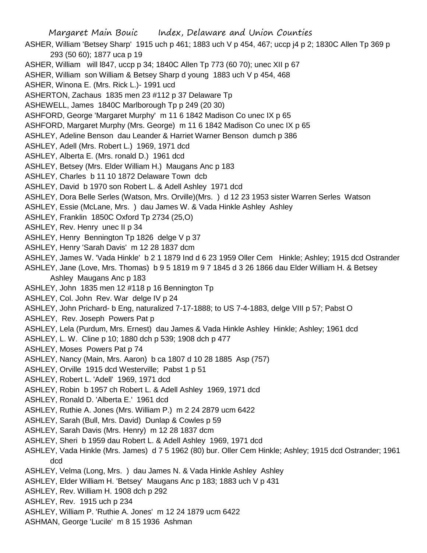Margaret Main Bouic Index, Delaware and Union Counties ASHER, William 'Betsey Sharp' 1915 uch p 461; 1883 uch V p 454, 467; uccp j4 p 2; 1830C Allen Tp 369 p 293 (50 60); 1877 uca p 19 ASHER, William will l847, uccp p 34; 1840C Allen Tp 773 (60 70); unec XII p 67 ASHER, William son William & Betsey Sharp d young 1883 uch V p 454, 468 ASHER, Winona E. (Mrs. Rick L.)- 1991 ucd ASHERTON, Zachaus 1835 men 23 #112 p 37 Delaware Tp ASHEWELL, James 1840C Marlborough Tp p 249 (20 30) ASHFORD, George 'Margaret Murphy' m 11 6 1842 Madison Co unec IX p 65 ASHFORD, Margaret Murphy (Mrs. George) m 11 6 1842 Madison Co unec IX p 65 ASHLEY, Adeline Benson dau Leander & Harriet Warner Benson dumch p 386 ASHLEY, Adell (Mrs. Robert L.) 1969, 1971 dcd ASHLEY, Alberta E. (Mrs. ronald D.) 1961 dcd ASHLEY, Betsey (Mrs. Elder William H.) Maugans Anc p 183 ASHLEY, Charles b 11 10 1872 Delaware Town dcb ASHLEY, David b 1970 son Robert L. & Adell Ashley 1971 dcd ASHLEY, Dora Belle Serles (Watson, Mrs. Orville)(Mrs. ) d 12 23 1953 sister Warren Serles Watson ASHLEY, Essie (McLane, Mrs. ) dau James W. & Vada Hinkle Ashley Ashley ASHLEY, Franklin 1850C Oxford Tp 2734 (25,O) ASHLEY, Rev. Henry unec II p 34 ASHLEY, Henry Bennington Tp 1826 delge V p 37 ASHLEY, Henry 'Sarah Davis' m 12 28 1837 dcm ASHLEY, James W. 'Vada Hinkle' b 2 1 1879 Ind d 6 23 1959 Oller Cem Hinkle; Ashley; 1915 dcd Ostrander ASHLEY, Jane (Love, Mrs. Thomas) b 9 5 1819 m 9 7 1845 d 3 26 1866 dau Elder William H. & Betsey Ashley Maugans Anc p 183 ASHLEY, John 1835 men 12 #118 p 16 Bennington Tp ASHLEY, Col. John Rev. War delge IV p 24 ASHLEY, John Prichard- b Eng, naturalized 7-17-1888; to US 7-4-1883, delge VIII p 57; Pabst O ASHLEY, Rev. Joseph Powers Pat p ASHLEY, Lela (Purdum, Mrs. Ernest) dau James & Vada Hinkle Ashley Hinkle; Ashley; 1961 dcd ASHLEY, L. W. Cline p 10; 1880 dch p 539; 1908 dch p 477 ASHLEY, Moses Powers Pat p 74 ASHLEY, Nancy (Main, Mrs. Aaron) b ca 1807 d 10 28 1885 Asp (757) ASHLEY, Orville 1915 dcd Westerville; Pabst 1 p 51 ASHLEY, Robert L. 'Adell' 1969, 1971 dcd ASHLEY, Robin b 1957 ch Robert L. & Adell Ashley 1969, 1971 dcd ASHLEY, Ronald D. 'Alberta E.' 1961 dcd ASHLEY, Ruthie A. Jones (Mrs. William P.) m 2 24 2879 ucm 6422 ASHLEY, Sarah (Bull, Mrs. David) Dunlap & Cowles p 59 ASHLEY, Sarah Davis (Mrs. Henry) m 12 28 1837 dcm ASHLEY, Sheri b 1959 dau Robert L. & Adell Ashley 1969, 1971 dcd ASHLEY, Vada Hinkle (Mrs. James) d 7 5 1962 (80) bur. Oller Cem Hinkle; Ashley; 1915 dcd Ostrander; 1961 dcd ASHLEY, Velma (Long, Mrs. ) dau James N. & Vada Hinkle Ashley Ashley ASHLEY, Elder William H. 'Betsey' Maugans Anc p 183; 1883 uch V p 431 ASHLEY, Rev. William H. 1908 dch p 292 ASHLEY, Rev. 1915 uch p 234 ASHLEY, William P. 'Ruthie A. Jones' m 12 24 1879 ucm 6422

ASHMAN, George 'Lucile' m 8 15 1936 Ashman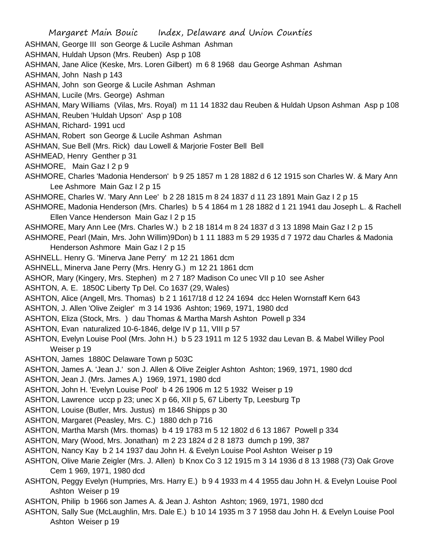Margaret Main Bouic Index, Delaware and Union Counties ASHMAN, George III son George & Lucile Ashman Ashman ASHMAN, Huldah Upson (Mrs. Reuben) Asp p 108 ASHMAN, Jane Alice (Keske, Mrs. Loren Gilbert) m 6 8 1968 dau George Ashman Ashman ASHMAN, John Nash p 143 ASHMAN, John son George & Lucile Ashman Ashman ASHMAN, Lucile (Mrs. George) Ashman ASHMAN, Mary Williams (Vilas, Mrs. Royal) m 11 14 1832 dau Reuben & Huldah Upson Ashman Asp p 108 ASHMAN, Reuben 'Huldah Upson' Asp p 108 ASHMAN, Richard- 1991 ucd ASHMAN, Robert son George & Lucile Ashman Ashman ASHMAN, Sue Bell (Mrs. Rick) dau Lowell & Marjorie Foster Bell Bell ASHMEAD, Henry Genther p 31 ASHMORE, Main Gaz I 2 p 9 ASHMORE, Charles 'Madonia Henderson' b 9 25 1857 m 1 28 1882 d 6 12 1915 son Charles W. & Mary Ann Lee Ashmore Main Gaz I 2 p 15 ASHMORE, Charles W. 'Mary Ann Lee' b 2 28 1815 m 8 24 1837 d 11 23 1891 Main Gaz I 2 p 15 ASHMORE, Madonia Henderson (Mrs. Charles) b 5 4 1864 m 1 28 1882 d 1 21 1941 dau Joseph L. & Rachell Ellen Vance Henderson Main Gaz I 2 p 15 ASHMORE, Mary Ann Lee (Mrs. Charles W.) b 2 18 1814 m 8 24 1837 d 3 13 1898 Main Gaz I 2 p 15 ASHMORE, Pearl (Main, Mrs. John Willim)9Don) b 1 11 1883 m 5 29 1935 d 7 1972 dau Charles & Madonia Henderson Ashmore Main Gaz I 2 p 15 ASHNELL. Henry G. 'Minerva Jane Perry' m 12 21 1861 dcm ASHNELL, Minerva Jane Perry (Mrs. Henry G.) m 12 21 1861 dcm ASHOR, Mary (Kingery, Mrs. Stephen) m 2 7 18? Madison Co unec VII p 10 see Asher ASHTON, A. E. 1850C Liberty Tp Del. Co 1637 (29, Wales) ASHTON, Alice (Angell, Mrs. Thomas) b 2 1 1617/18 d 12 24 1694 dcc Helen Wornstaff Kern 643 ASHTON, J. Allen 'Olive Zeigler' m 3 14 1936 Ashton; 1969, 1971, 1980 dcd ASHTON, Eliza (Stock, Mrs. ) dau Thomas & Martha Marsh Ashton Powell p 334 ASHTON, Evan naturalized 10-6-1846, delge IV p 11, VIII p 57 ASHTON, Evelyn Louise Pool (Mrs. John H.) b 5 23 1911 m 12 5 1932 dau Levan B. & Mabel Willey Pool Weiser p 19 ASHTON, James 1880C Delaware Town p 503C ASHTON, James A. 'Jean J.' son J. Allen & Olive Zeigler Ashton Ashton; 1969, 1971, 1980 dcd ASHTON, Jean J. (Mrs. James A.) 1969, 1971, 1980 dcd ASHTON, John H. 'Evelyn Louise Pool' b 4 26 1906 m 12 5 1932 Weiser p 19 ASHTON, Lawrence uccp p 23; unec X p 66, XII p 5, 67 Liberty Tp, Leesburg Tp ASHTON, Louise (Butler, Mrs. Justus) m 1846 Shipps p 30 ASHTON, Margaret (Peasley, Mrs. C.) 1880 dch p 716 ASHTON, Martha Marsh (Mrs. thomas) b 4 19 1783 m 5 12 1802 d 6 13 1867 Powell p 334 ASHTON, Mary (Wood, Mrs. Jonathan) m 2 23 1824 d 2 8 1873 dumch p 199, 387 ASHTON, Nancy Kay b 2 14 1937 dau John H. & Evelyn Louise Pool Ashton Weiser p 19 ASHTON, Olive Marie Zeigler (Mrs. J. Allen) b Knox Co 3 12 1915 m 3 14 1936 d 8 13 1988 (73) Oak Grove Cem 1 969, 1971, 1980 dcd ASHTON, Peggy Evelyn (Humpries, Mrs. Harry E.) b 9 4 1933 m 4 4 1955 dau John H. & Evelyn Louise Pool Ashton Weiser p 19 ASHTON, Philip b 1966 son James A. & Jean J. Ashton Ashton; 1969, 1971, 1980 dcd ASHTON, Sally Sue (McLaughlin, Mrs. Dale E.) b 10 14 1935 m 3 7 1958 dau John H. & Evelyn Louise Pool Ashton Weiser p 19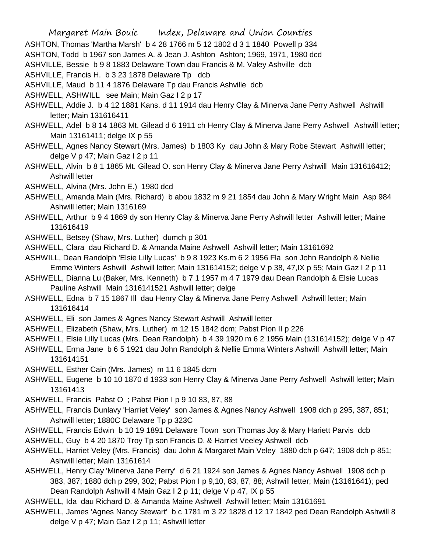Margaret Main Bouic Index, Delaware and Union Counties ASHTON, Thomas 'Martha Marsh' b 4 28 1766 m 5 12 1802 d 3 1 1840 Powell p 334 ASHTON, Todd b 1967 son James A. & Jean J. Ashton Ashton; 1969, 1971, 1980 dcd

ASHVILLE, Bessie b 9 8 1883 Delaware Town dau Francis & M. Valey Ashville dcb

ASHVILLE, Francis H. b 3 23 1878 Delaware Tp dcb

ASHVILLE, Maud b 11 4 1876 Delaware Tp dau Francis Ashville dcb

ASHWELL, ASHWILL see Main; Main Gaz I 2 p 17

- ASHWELL, Addie J. b 4 12 1881 Kans. d 11 1914 dau Henry Clay & Minerva Jane Perry Ashwell Ashwill letter; Main 131616411
- ASHWELL, Adel b 8 14 1863 Mt. Gilead d 6 1911 ch Henry Clay & Minerva Jane Perry Ashwell Ashwill letter; Main 13161411; delge IX p 55
- ASHWELL, Agnes Nancy Stewart (Mrs. James) b 1803 Ky dau John & Mary Robe Stewart Ashwill letter; delge V p 47; Main Gaz I 2 p 11
- ASHWELL, Alvin b 8 1 1865 Mt. Gilead O. son Henry Clay & Minerva Jane Perry Ashwill Main 131616412; Ashwill letter
- ASHWELL, Alvina (Mrs. John E.) 1980 dcd
- ASHWELL, Amanda Main (Mrs. Richard) b abou 1832 m 9 21 1854 dau John & Mary Wright Main Asp 984 Ashwill letter; Main 1316169
- ASHWELL, Arthur b 9 4 1869 dy son Henry Clay & Minerva Jane Perry Ashwill letter Ashwill letter; Maine 131616419
- ASHWELL, Betsey (Shaw, Mrs. Luther) dumch p 301
- ASHWELL, Clara dau Richard D. & Amanda Maine Ashwell Ashwill letter; Main 13161692
- ASHWILL, Dean Randolph 'Elsie Lilly Lucas' b 9 8 1923 Ks.m 6 2 1956 Fla son John Randolph & Nellie Emme Winters Ashwill Ashwill letter; Main 131614152; delge V p 38, 47,IX p 55; Main Gaz I 2 p 11
- ASHWELL, Dianna Lu (Baker, Mrs. Kenneth) b 7 1 1957 m 4 7 1979 dau Dean Randolph & Elsie Lucas Pauline Ashwill Main 1316141521 Ashwill letter; delge
- ASHWELL, Edna b 7 15 1867 Ill dau Henry Clay & Minerva Jane Perry Ashwell Ashwill letter; Main 131616414
- ASHWELL, Eli son James & Agnes Nancy Stewart Ashwill Ashwill letter
- ASHWELL, Elizabeth (Shaw, Mrs. Luther) m 12 15 1842 dcm; Pabst Pion II p 226

ASHWELL, Elsie Lilly Lucas (Mrs. Dean Randolph) b 4 39 1920 m 6 2 1956 Main (131614152); delge V p 47

- ASHWELL, Erma Jane b 6 5 1921 dau John Randolph & Nellie Emma Winters Ashwill Ashwill letter; Main 131614151
- ASHWELL, Esther Cain (Mrs. James) m 11 6 1845 dcm
- ASHWELL, Eugene b 10 10 1870 d 1933 son Henry Clay & Minerva Jane Perry Ashwell Ashwill letter; Main 13161413
- ASHWELL, Francis Pabst O ; Pabst Pion I p 9 10 83, 87, 88
- ASHWELL, Francis Dunlavy 'Harriet Veley' son James & Agnes Nancy Ashwell 1908 dch p 295, 387, 851; Ashwill letter; 1880C Delaware Tp p 323C
- ASHWELL, Francis Edwin b 10 19 1891 Delaware Town son Thomas Joy & Mary Hariett Parvis dcb
- ASHWELL, Guy b 4 20 1870 Troy Tp son Francis D. & Harriet Veeley Ashwell dcb
- ASHWELL, Harriet Veley (Mrs. Francis) dau John & Margaret Main Veley 1880 dch p 647; 1908 dch p 851; Ashwill letter; Main 13161614
- ASHWELL, Henry Clay 'Minerva Jane Perry' d 6 21 1924 son James & Agnes Nancy Ashwell 1908 dch p 383, 387; 1880 dch p 299, 302; Pabst Pion I p 9,10, 83, 87, 88; Ashwill letter; Main (13161641); ped Dean Randolph Ashwill 4 Main Gaz I 2 p 11; delge V p 47, IX p 55
- ASHWELL, Ida dau Richard D. & Amanda Maine Ashwell Ashwill letter; Main 13161691
- ASHWELL, James 'Agnes Nancy Stewart' b c 1781 m 3 22 1828 d 12 17 1842 ped Dean Randolph Ashwill 8 delge V p 47; Main Gaz I 2 p 11; Ashwill letter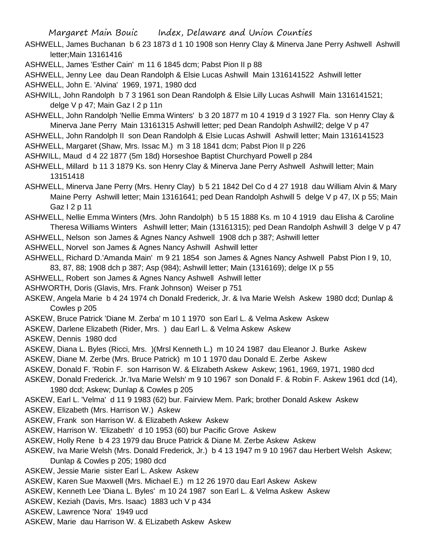- ASHWELL, James Buchanan b 6 23 1873 d 1 10 1908 son Henry Clay & Minerva Jane Perry Ashwell Ashwill letter;Main 13161416
- ASHWELL, James 'Esther Cain' m 11 6 1845 dcm; Pabst Pion II p 88

ASHWELL, Jenny Lee dau Dean Randolph & Elsie Lucas Ashwill Main 1316141522 Ashwill letter ASHWELL, John E. 'Alvina' 1969, 1971, 1980 dcd

- ASHWILL, John Randolph b 7 3 1961 son Dean Randolph & Elsie Lilly Lucas Ashwill Main 1316141521; delge V p 47; Main Gaz I 2 p 11n
- ASHWELL, John Randolph 'Nellie Emma Winters' b 3 20 1877 m 10 4 1919 d 3 1927 Fla. son Henry Clay & Minerva Jane Perry Main 13161315 Ashwill letter; ped Dean Randolph Ashwill2; delge V p 47
- ASHWELL, John Randolph II son Dean Randolph & Elsie Lucas Ashwill Ashwill letter; Main 1316141523
- ASHWELL, Margaret (Shaw, Mrs. Issac M.) m 3 18 1841 dcm; Pabst Pion II p 226
- ASHWILL, Maud d 4 22 1877 (5m 18d) Horseshoe Baptist Churchyard Powell p 284
- ASHWELL, Millard b 11 3 1879 Ks. son Henry Clay & Minerva Jane Perry Ashwell Ashwill letter; Main 13151418
- ASHWELL, Minerva Jane Perry (Mrs. Henry Clay) b 5 21 1842 Del Co d 4 27 1918 dau William Alvin & Mary Maine Perry Ashwill letter; Main 13161641; ped Dean Randolph Ashwill 5 delge V p 47, IX p 55; Main Gaz I 2 p 11

ASHWELL, Nellie Emma Winters (Mrs. John Randolph) b 5 15 1888 Ks. m 10 4 1919 dau Elisha & Caroline Theresa Williams Winters Ashwill letter; Main (13161315); ped Dean Randolph Ashwill 3 delge V p 47

ASHWELL, Nelson son James & Agnes Nancy Ashwell 1908 dch p 387; Ashwill letter

ASHWELL, Norvel son James & Agnes Nancy Ashwill Ashwill letter

- ASHWELL, Richard D.'Amanda Main' m 9 21 1854 son James & Agnes Nancy Ashwell Pabst Pion I 9, 10, 83, 87, 88; 1908 dch p 387; Asp (984); Ashwill letter; Main (1316169); delge IX p 55
- ASHWELL, Robert son James & Agnes Nancy Ashwell Ashwill letter

ASHWORTH, Doris (Glavis, Mrs. Frank Johnson) Weiser p 751

ASKEW, Angela Marie b 4 24 1974 ch Donald Frederick, Jr. & Iva Marie Welsh Askew 1980 dcd; Dunlap & Cowles p 205

- ASKEW, Bruce Patrick 'Diane M. Zerba' m 10 1 1970 son Earl L. & Velma Askew Askew
- ASKEW, Darlene Elizabeth (Rider, Mrs. ) dau Earl L. & Velma Askew Askew
- ASKEW, Dennis 1980 dcd
- ASKEW, Diana L. Byles (Ricci, Mrs. )(Mrsl Kenneth L.) m 10 24 1987 dau Eleanor J. Burke Askew

ASKEW, Diane M. Zerbe (Mrs. Bruce Patrick) m 10 1 1970 dau Donald E. Zerbe Askew

- ASKEW, Donald F. 'Robin F. son Harrison W. & Elizabeth Askew Askew; 1961, 1969, 1971, 1980 dcd
- ASKEW, Donald Frederick. Jr.'Iva Marie Welsh' m 9 10 1967 son Donald F. & Robin F. Askew 1961 dcd (14), 1980 dcd; Askew; Dunlap & Cowles p 205
- ASKEW, Earl L. 'Velma' d 11 9 1983 (62) bur. Fairview Mem. Park; brother Donald Askew Askew
- ASKEW, Elizabeth (Mrs. Harrison W.) Askew
- ASKEW, Frank son Harrison W. & Elizabeth Askew Askew
- ASKEW, Harrison W. 'Elizabeth' d 10 1953 (60) bur Pacific Grove Askew
- ASKEW, Holly Rene b 4 23 1979 dau Bruce Patrick & Diane M. Zerbe Askew Askew
- ASKEW, Iva Marie Welsh (Mrs. Donald Frederick, Jr.) b 4 13 1947 m 9 10 1967 dau Herbert Welsh Askew; Dunlap & Cowles p 205; 1980 dcd
- ASKEW, Jessie Marie sister Earl L. Askew Askew
- ASKEW, Karen Sue Maxwell (Mrs. Michael E.) m 12 26 1970 dau Earl Askew Askew
- ASKEW, Kenneth Lee 'Diana L. Byles' m 10 24 1987 son Earl L. & Velma Askew Askew
- ASKEW, Keziah (Davis, Mrs. Isaac) 1883 uch V p 434
- ASKEW, Lawrence 'Nora' 1949 ucd
- ASKEW, Marie dau Harrison W. & ELizabeth Askew Askew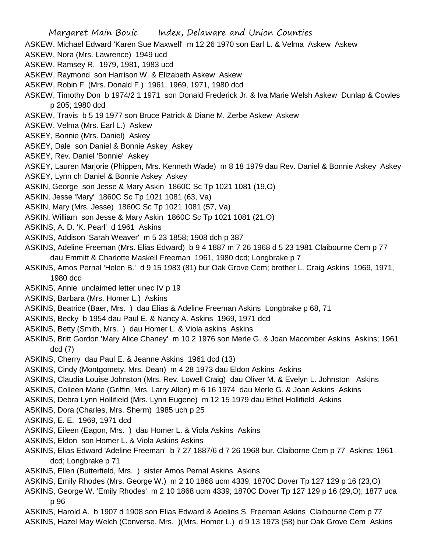- ASKEW, Michael Edward 'Karen Sue Maxwell' m 12 26 1970 son Earl L. & Velma Askew Askew
- ASKEW, Nora (Mrs. Lawrence) 1949 ucd
- ASKEW, Ramsey R. 1979, 1981, 1983 ucd
- ASKEW, Raymond son Harrison W. & Elizabeth Askew Askew
- ASKEW, Robin F. (Mrs. Donald F.) 1961, 1969, 1971, 1980 dcd
- ASKEW, Timothy Don b 1974/2 1 1971 son Donald Frederick Jr. & Iva Marie Welsh Askew Dunlap & Cowles p 205; 1980 dcd
- ASKEW, Travis b 5 19 1977 son Bruce Patrick & Diane M. Zerbe Askew Askew
- ASKEW, Velma (Mrs. Earl L.) Askew
- ASKEY, Bonnie (Mrs. Daniel) Askey
- ASKEY, Dale son Daniel & Bonnie Askey Askey
- ASKEY, Rev. Daniel 'Bonnie' Askey
- ASKEY, Lauren Marjorie (Phippen, Mrs. Kenneth Wade) m 8 18 1979 dau Rev. Daniel & Bonnie Askey Askey
- ASKEY, Lynn ch Daniel & Bonnie Askey Askey
- ASKIN, George son Jesse & Mary Askin 1860C Sc Tp 1021 1081 (19,O)
- ASKIN, Jesse 'Mary' 1860C Sc Tp 1021 1081 (63, Va)
- ASKIN, Mary (Mrs. Jesse) 1860C Sc Tp 1021 1081 (57, Va)
- ASKIN, William son Jesse & Mary Askin 1860C Sc Tp 1021 1081 (21,O)
- ASKINS, A. D. 'K. Pearl' d 1961 Askins
- ASKINS, Addison 'Sarah Weaver' m 5 23 1858; 1908 dch p 387
- ASKINS, Adeline Freeman (Mrs. Elias Edward) b 9 4 1887 m 7 26 1968 d 5 23 1981 Claibourne Cem p 77 dau Emmitt & Charlotte Maskell Freeman 1961, 1980 dcd; Longbrake p 7
- ASKINS, Amos Pernal 'Helen B.' d 9 15 1983 (81) bur Oak Grove Cem; brother L. Craig Askins 1969, 1971, 1980 dcd
- ASKINS, Annie unclaimed letter unec IV p 19
- ASKINS, Barbara (Mrs. Homer L.) Askins
- ASKINS, Beatrice (Baer, Mrs. ) dau Elias & Adeline Freeman Askins Longbrake p 68, 71
- ASKINS, Becky b 1954 dau Paul E. & Nancy A. Askins 1969, 1971 dcd
- ASKINS, Betty (Smith, Mrs. ) dau Homer L. & Viola askins Askins
- ASKINS, Britt Gordon 'Mary Alice Chaney' m 10 2 1976 son Merle G. & Joan Macomber Askins Askins; 1961 dcd (7)
- ASKINS, Cherry dau Paul E. & Jeanne Askins 1961 dcd (13)
- ASKINS, Cindy (Montgomety, Mrs. Dean) m 4 28 1973 dau Eldon Askins Askins
- ASKINS, Claudia Louise Johnston (Mrs. Rev. Lowell Craig) dau Oliver M. & Evelyn L. Johnston Askins
- ASKINS, Colleen Marie (Griffin, Mrs. Larry Allen) m 6 16 1974 dau Merle G. & Joan Askins Askins
- ASKINS, Debra Lynn Hollifield (Mrs. Lynn Eugene) m 12 15 1979 dau Ethel Hollifield Askins
- ASKINS, Dora (Charles, Mrs. Sherm) 1985 uch p 25
- ASKINS, E. E. 1969, 1971 dcd
- ASKINS, Eileen (Eagon, Mrs. ) dau Homer L. & Viola Askins Askins
- ASKINS, Eldon son Homer L. & Viola Askins Askins
- ASKINS, Elias Edward 'Adeline Freeman' b 7 27 1887/6 d 7 26 1968 bur. Claiborne Cem p 77 Askins; 1961 dcd; Longbrake p 71
- ASKINS, Ellen (Butterfield, Mrs. ) sister Amos Pernal Askins Askins
- ASKINS, Emily Rhodes (Mrs. George W.) m 2 10 1868 ucm 4339; 1870C Dover Tp 127 129 p 16 (23,O)
- ASKINS, George W. 'Emily Rhodes' m 2 10 1868 ucm 4339; 1870C Dover Tp 127 129 p 16 (29,O); 1877 uca p 96
- ASKINS, Harold A. b 1907 d 1908 son Elias Edward & Adelins S. Freeman Askins Claibourne Cem p 77 ASKINS, Hazel May Welch (Converse, Mrs. )(Mrs. Homer L.) d 9 13 1973 (58) bur Oak Grove Cem Askins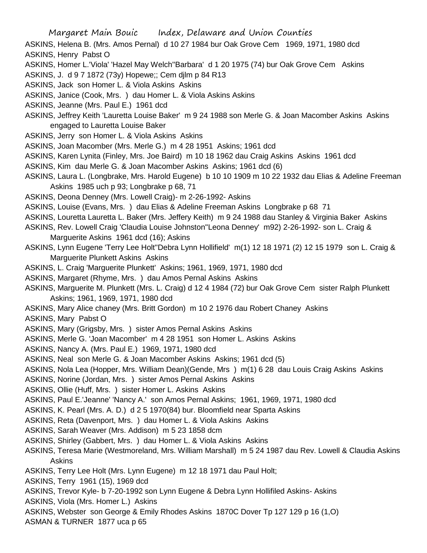ASKINS, Helena B. (Mrs. Amos Pernal) d 10 27 1984 bur Oak Grove Cem 1969, 1971, 1980 dcd ASKINS, Henry Pabst O

- ASKINS, Homer L.'Viola' 'Hazel May Welch''Barbara' d 1 20 1975 (74) bur Oak Grove Cem Askins
- ASKINS, J. d 9 7 1872 (73y) Hopewe;; Cem djlm p 84 R13
- ASKINS, Jack son Homer L. & Viola Askins Askins
- ASKINS, Janice (Cook, Mrs. ) dau Homer L. & Viola Askins Askins
- ASKINS, Jeanne (Mrs. Paul E.) 1961 dcd
- ASKINS, Jeffrey Keith 'Lauretta Louise Baker' m 9 24 1988 son Merle G. & Joan Macomber Askins Askins engaged to Lauretta Louise Baker
- ASKINS, Jerry son Homer L. & Viola Askins Askins
- ASKINS, Joan Macomber (Mrs. Merle G.) m 4 28 1951 Askins; 1961 dcd
- ASKINS, Karen Lynita (Finley, Mrs. Joe Baird) m 10 18 1962 dau Craig Askins Askins 1961 dcd
- ASKINS, Kim dau Merle G. & Joan Macomber Askins Askins; 1961 dcd (6)
- ASKINS, Laura L. (Longbrake, Mrs. Harold Eugene) b 10 10 1909 m 10 22 1932 dau Elias & Adeline Freeman Askins 1985 uch p 93; Longbrake p 68, 71
- ASKINS, Deona Denney (Mrs. Lowell Craig)- m 2-26-1992- Askins
- ASKINS, Louise (Evans, Mrs. ) dau Elias & Adeline Freeman Askins Longbrake p 68 71
- ASKINS, Louretta Lauretta L. Baker (Mrs. Jeffery Keith) m 9 24 1988 dau Stanley & Virginia Baker Askins
- ASKINS, Rev. Lowell Craig 'Claudia Louise Johnston''Leona Denney' m92) 2-26-1992- son L. Craig & Marguerite Askins 1961 dcd (16); Askins
- ASKINS, Lynn Eugene 'Terry Lee Holt''Debra Lynn Hollifield' m(1) 12 18 1971 (2) 12 15 1979 son L. Craig & Marguerite Plunkett Askins Askins
- ASKINS, L. Craig 'Marguerite Plunkett' Askins; 1961, 1969, 1971, 1980 dcd
- ASKINS, Margaret (Rhyme, Mrs. ) dau Amos Pernal Askins Askins
- ASKINS, Marguerite M. Plunkett (Mrs. L. Craig) d 12 4 1984 (72) bur Oak Grove Cem sister Ralph Plunkett Askins; 1961, 1969, 1971, 1980 dcd
- ASKINS, Mary Alice chaney (Mrs. Britt Gordon) m 10 2 1976 dau Robert Chaney Askins
- ASKINS, Mary Pabst O
- ASKINS, Mary (Grigsby, Mrs. ) sister Amos Pernal Askins Askins
- ASKINS, Merle G. 'Joan Macomber' m 4 28 1951 son Homer L. Askins Askins
- ASKINS, Nancy A. (Mrs. Paul E.) 1969, 1971, 1980 dcd
- ASKINS, Neal son Merle G. & Joan Macomber Askins Askins; 1961 dcd (5)
- ASKINS, Nola Lea (Hopper, Mrs. William Dean)(Gende, Mrs ) m(1) 6 28 dau Louis Craig Askins Askins
- ASKINS, Norine (Jordan, Mrs. ) sister Amos Pernal Askins Askins
- ASKINS, Ollie (Huff, Mrs. ) sister Homer L. Askins Askins
- ASKINS, Paul E.'Jeanne' 'Nancy A.' son Amos Pernal Askins; 1961, 1969, 1971, 1980 dcd
- ASKINS, K. Pearl (Mrs. A. D.) d 2 5 1970(84) bur. Bloomfield near Sparta Askins
- ASKINS, Reta (Davenport, Mrs. ) dau Homer L. & Viola Askins Askins
- ASKINS, Sarah Weaver (Mrs. Addison) m 5 23 1858 dcm
- ASKINS, Shirley (Gabbert, Mrs. ) dau Homer L. & Viola Askins Askins
- ASKINS, Teresa Marie (Westmoreland, Mrs. William Marshall) m 5 24 1987 dau Rev. Lowell & Claudia Askins Askins
- ASKINS, Terry Lee Holt (Mrs. Lynn Eugene) m 12 18 1971 dau Paul Holt;
- ASKINS, Terry 1961 (15), 1969 dcd
- ASKINS, Trevor Kyle- b 7-20-1992 son Lynn Eugene & Debra Lynn Hollifiled Askins- Askins
- ASKINS, Viola (Mrs. Homer L.) Askins
- ASKINS, Webster son George & Emily Rhodes Askins 1870C Dover Tp 127 129 p 16 (1,O)
- ASMAN & TURNER 1877 uca p 65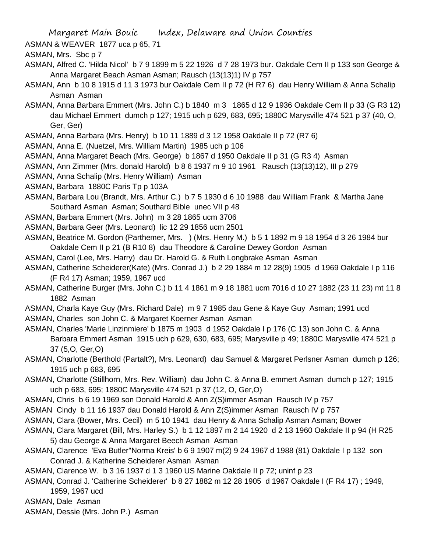ASMAN & WEAVER 1877 uca p 65, 71

ASMAN, Mrs. Sbc p 7

- ASMAN, Alfred C. 'Hilda Nicol' b 7 9 1899 m 5 22 1926 d 7 28 1973 bur. Oakdale Cem II p 133 son George & Anna Margaret Beach Asman Asman; Rausch (13(13)1) IV p 757
- ASMAN, Ann b 10 8 1915 d 11 3 1973 bur Oakdale Cem II p 72 (H R7 6) dau Henry William & Anna Schalip Asman Asman
- ASMAN, Anna Barbara Emmert (Mrs. John C.) b 1840 m 3 1865 d 12 9 1936 Oakdale Cem II p 33 (G R3 12) dau Michael Emmert dumch p 127; 1915 uch p 629, 683, 695; 1880C Marysville 474 521 p 37 (40, O, Ger, Ger)
- ASMAN, Anna Barbara (Mrs. Henry) b 10 11 1889 d 3 12 1958 Oakdale II p 72 (R7 6)
- ASMAN, Anna E. (Nuetzel, Mrs. William Martin) 1985 uch p 106
- ASMAN, Anna Margaret Beach (Mrs. George) b 1867 d 1950 Oakdale II p 31 (G R3 4) Asman
- ASMAN, Ann Zimmer (Mrs. donald Harold) b 8 6 1937 m 9 10 1961 Rausch (13(13)12), III p 279
- ASMAN, Anna Schalip (Mrs. Henry William) Asman
- ASMAN, Barbara 1880C Paris Tp p 103A
- ASMAN, Barbara Lou (Brandt, Mrs. Arthur C.) b 7 5 1930 d 6 10 1988 dau William Frank & Martha Jane Southard Asman Asman; Southard Bible unec VII p 48
- ASMAN, Barbara Emmert (Mrs. John) m 3 28 1865 ucm 3706
- ASMAN, Barbara Geer (Mrs. Leonard) lic 12 29 1856 ucm 2501
- ASMAN, Beatrice M. Gordon (Parthemer, Mrs. ) (Mrs. Henry M.) b 5 1 1892 m 9 18 1954 d 3 26 1984 bur Oakdale Cem II p 21 (B R10 8) dau Theodore & Caroline Dewey Gordon Asman
- ASMAN, Carol (Lee, Mrs. Harry) dau Dr. Harold G. & Ruth Longbrake Asman Asman
- ASMAN, Catherine Scheiderer(Kate) (Mrs. Conrad J.) b 2 29 1884 m 12 28(9) 1905 d 1969 Oakdale I p 116 (F R4 17) Asman; 1959, 1967 ucd
- ASMAN, Catherine Burger (Mrs. John C.) b 11 4 1861 m 9 18 1881 ucm 7016 d 10 27 1882 (23 11 23) mt 11 8 1882 Asman
- ASMAN, Charla Kaye Guy (Mrs. Richard Dale) m 9 7 1985 dau Gene & Kaye Guy Asman; 1991 ucd ASMAN, Charles son John C. & Margaret Koerner Asman Asman
- ASMAN, Charles 'Marie Linzinmiere' b 1875 m 1903 d 1952 Oakdale I p 176 (C 13) son John C. & Anna Barbara Emmert Asman 1915 uch p 629, 630, 683, 695; Marysville p 49; 1880C Marysville 474 521 p 37 (5,O, Ger,O)
- ASMAN, Charlotte (Berthold (Partalt?), Mrs. Leonard) dau Samuel & Margaret Perlsner Asman dumch p 126; 1915 uch p 683, 695
- ASMAN, Charlotte (Stillhorn, Mrs. Rev. William) dau John C. & Anna B. emmert Asman dumch p 127; 1915 uch p 683, 695; 1880C Marysville 474 521 p 37 (12, O, Ger,O)
- ASMAN, Chris b 6 19 1969 son Donald Harold & Ann Z(S)immer Asman Rausch IV p 757
- ASMAN Cindy b 11 16 1937 dau Donald Harold & Ann Z(S)immer Asman Rausch IV p 757
- ASMAN, Clara (Bower, Mrs. Cecil) m 5 10 1941 dau Henry & Anna Schalip Asman Asman; Bower
- ASMAN, Clara Margaret (Bill, Mrs. Harley S.) b 1 12 1897 m 2 14 1920 d 2 13 1960 Oakdale II p 94 (H R25 5) dau George & Anna Margaret Beech Asman Asman
- ASMAN, Clarence 'Eva Butler''Norma Kreis' b 6 9 1907 m(2) 9 24 1967 d 1988 (81) Oakdale I p 132 son Conrad J. & Katherine Scheiderer Asman Asman
- ASMAN, Clarence W. b 3 16 1937 d 1 3 1960 US Marine Oakdale II p 72; uninf p 23
- ASMAN, Conrad J. 'Catherine Scheiderer' b 8 27 1882 m 12 28 1905 d 1967 Oakdale I (F R4 17) ; 1949, 1959, 1967 ucd
- ASMAN, Dale Asman
- ASMAN, Dessie (Mrs. John P.) Asman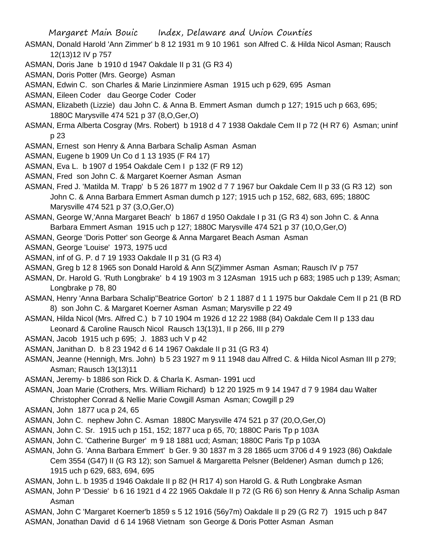- ASMAN, Donald Harold 'Ann Zimmer' b 8 12 1931 m 9 10 1961 son Alfred C. & Hilda Nicol Asman; Rausch 12(13)12 IV p 757
- ASMAN, Doris Jane b 1910 d 1947 Oakdale II p 31 (G R3 4)
- ASMAN, Doris Potter (Mrs. George) Asman
- ASMAN, Edwin C. son Charles & Marie Linzinmiere Asman 1915 uch p 629, 695 Asman
- ASMAN, Eileen Coder dau George Coder Coder
- ASMAN, Elizabeth (Lizzie) dau John C. & Anna B. Emmert Asman dumch p 127; 1915 uch p 663, 695; 1880C Marysville 474 521 p 37 (8,O,Ger,O)
- ASMAN, Erma Alberta Cosgray (Mrs. Robert) b 1918 d 4 7 1938 Oakdale Cem II p 72 (H R7 6) Asman; uninf p 23
- ASMAN, Ernest son Henry & Anna Barbara Schalip Asman Asman
- ASMAN, Eugene b 1909 Un Co d 1 13 1935 (F R4 17)
- ASMAN, Eva L. b 1907 d 1954 Oakdale Cem I p 132 (F R9 12)
- ASMAN, Fred son John C. & Margaret Koerner Asman Asman
- ASMAN, Fred J. 'Matilda M. Trapp' b 5 26 1877 m 1902 d 7 7 1967 bur Oakdale Cem II p 33 (G R3 12) son John C. & Anna Barbara Emmert Asman dumch p 127; 1915 uch p 152, 682, 683, 695; 1880C Marysville 474 521 p 37 (3,O,Ger,O)
- ASMAN, George W,'Anna Margaret Beach' b 1867 d 1950 Oakdale I p 31 (G R3 4) son John C. & Anna Barbara Emmert Asman 1915 uch p 127; 1880C Marysville 474 521 p 37 (10,O,Ger,O)
- ASMAN, George 'Doris Potter' son George & Anna Margaret Beach Asman Asman
- ASMAN, George 'Louise' 1973, 1975 ucd
- ASMAN, inf of G. P. d 7 19 1933 Oakdale II p 31 (G R3 4)
- ASMAN, Greg b 12 8 1965 son Donald Harold & Ann S(Z)immer Asman Asman; Rausch IV p 757
- ASMAN, Dr. Harold G. 'Ruth Longbrake' b 4 19 1903 m 3 12Asman 1915 uch p 683; 1985 uch p 139; Asman; Longbrake p 78, 80
- ASMAN, Henry 'Anna Barbara Schalip''Beatrice Gorton' b 2 1 1887 d 1 1 1975 bur Oakdale Cem II p 21 (B RD 8) son John C. & Margaret Koerner Asman Asman; Marysville p 22 49
- ASMAN, Hilda Nicol (Mrs. Alfred C.) b 7 10 1904 m 1926 d 12 22 1988 (84) Oakdale Cem II p 133 dau Leonard & Caroline Rausch Nicol Rausch 13(13)1, II p 266, III p 279
- ASMAN, Jacob 1915 uch p 695; J. 1883 uch V p 42
- ASMAN, Janithan D. b 8 23 1942 d 6 14 1967 Oakdale II p 31 (G R3 4)
- ASMAN, Jeanne (Hennigh, Mrs. John) b 5 23 1927 m 9 11 1948 dau Alfred C. & Hilda Nicol Asman III p 279; Asman; Rausch 13(13)11
- ASMAN, Jeremy- b 1886 son Rick D. & Charla K. Asman- 1991 ucd
- ASMAN, Joan Marie (Crothers, Mrs. William Richard) b 12 20 1925 m 9 14 1947 d 7 9 1984 dau Walter Christopher Conrad & Nellie Marie Cowgill Asman Asman; Cowgill p 29
- ASMAN, John 1877 uca p 24, 65
- ASMAN, John C. nephew John C. Asman 1880C Marysville 474 521 p 37 (20,O,Ger,O)
- ASMAN, John C. Sr. 1915 uch p 151, 152; 1877 uca p 65, 70; 1880C Paris Tp p 103A
- ASMAN, John C. 'Catherine Burger' m 9 18 1881 ucd; Asman; 1880C Paris Tp p 103A
- ASMAN, John G. 'Anna Barbara Emmert' b Ger. 9 30 1837 m 3 28 1865 ucm 3706 d 4 9 1923 (86) Oakdale Cem 3554 (G47) II (G R3 12); son Samuel & Margaretta Pelsner (Beldener) Asman dumch p 126; 1915 uch p 629, 683, 694, 695
- ASMAN, John L. b 1935 d 1946 Oakdale II p 82 (H R17 4) son Harold G. & Ruth Longbrake Asman
- ASMAN, John P 'Dessie' b 6 16 1921 d 4 22 1965 Oakdale II p 72 (G R6 6) son Henry & Anna Schalip Asman Asman
- ASMAN, John C 'Margaret Koerner'b 1859 s 5 12 1916 (56y7m) Oakdale II p 29 (G R2 7) 1915 uch p 847 ASMAN, Jonathan David d 6 14 1968 Vietnam son George & Doris Potter Asman Asman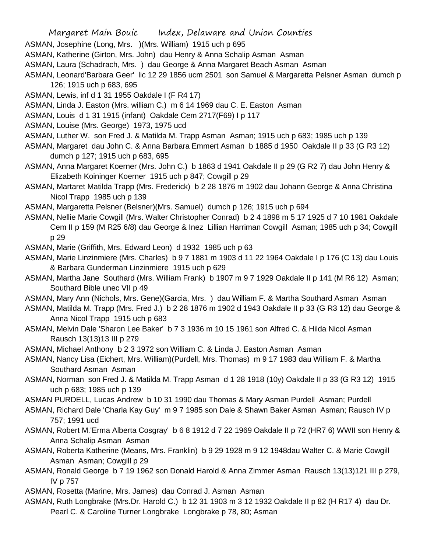- Margaret Main Bouic Index, Delaware and Union Counties
- ASMAN, Josephine (Long, Mrs. )(Mrs. William) 1915 uch p 695
- ASMAN, Katherine (Girton, Mrs. John) dau Henry & Anna Schalip Asman Asman
- ASMAN, Laura (Schadrach, Mrs. ) dau George & Anna Margaret Beach Asman Asman
- ASMAN, Leonard'Barbara Geer' lic 12 29 1856 ucm 2501 son Samuel & Margaretta Pelsner Asman dumch p 126; 1915 uch p 683, 695
- ASMAN, Lewis, inf d 1 31 1955 Oakdale I (F R4 17)
- ASMAN, Linda J. Easton (Mrs. william C.) m 6 14 1969 dau C. E. Easton Asman
- ASMAN, Louis d 1 31 1915 (infant) Oakdale Cem 2717(F69) I p 117
- ASMAN, Louise (Mrs. George) 1973, 1975 ucd
- ASMAN, Luther W. son Fred J. & Matilda M. Trapp Asman Asman; 1915 uch p 683; 1985 uch p 139
- ASMAN, Margaret dau John C. & Anna Barbara Emmert Asman b 1885 d 1950 Oakdale II p 33 (G R3 12) dumch p 127; 1915 uch p 683, 695
- ASMAN, Anna Margaret Koerner (Mrs. John C.) b 1863 d 1941 Oakdale II p 29 (G R2 7) dau John Henry & Elizabeth Koininger Koerner 1915 uch p 847; Cowgill p 29
- ASMAN, Martaret Matilda Trapp (Mrs. Frederick) b 2 28 1876 m 1902 dau Johann George & Anna Christina Nicol Trapp 1985 uch p 139
- ASMAN, Margaretta Pelsner (Belsner)(Mrs. Samuel) dumch p 126; 1915 uch p 694
- ASMAN, Nellie Marie Cowgill (Mrs. Walter Christopher Conrad) b 2 4 1898 m 5 17 1925 d 7 10 1981 Oakdale Cem II p 159 (M R25 6/8) dau George & Inez Lillian Harriman Cowgill Asman; 1985 uch p 34; Cowgill p 29
- ASMAN, Marie (Griffith, Mrs. Edward Leon) d 1932 1985 uch p 63
- ASMAN, Marie Linzinmiere (Mrs. Charles) b 9 7 1881 m 1903 d 11 22 1964 Oakdale I p 176 (C 13) dau Louis & Barbara Gunderman Linzinmiere 1915 uch p 629
- ASMAN, Martha Jane Southard (Mrs. William Frank) b 1907 m 9 7 1929 Oakdale II p 141 (M R6 12) Asman; Southard Bible unec VII p 49
- ASMAN, Mary Ann (Nichols, Mrs. Gene)(Garcia, Mrs. ) dau William F. & Martha Southard Asman Asman
- ASMAN, Matilda M. Trapp (Mrs. Fred J.) b 2 28 1876 m 1902 d 1943 Oakdale II p 33 (G R3 12) dau George & Anna Nicol Trapp 1915 uch p 683
- ASMAN, Melvin Dale 'Sharon Lee Baker' b 7 3 1936 m 10 15 1961 son Alfred C. & Hilda Nicol Asman Rausch 13(13)13 III p 279
- ASMAN, Michael Anthony b 2 3 1972 son William C. & Linda J. Easton Asman Asman
- ASMAN, Nancy Lisa (Eichert, Mrs. William)(Purdell, Mrs. Thomas) m 9 17 1983 dau William F. & Martha Southard Asman Asman
- ASMAN, Norman son Fred J. & Matilda M. Trapp Asman d 1 28 1918 (10y) Oakdale II p 33 (G R3 12) 1915 uch p 683; 1985 uch p 139
- ASMAN PURDELL, Lucas Andrew b 10 31 1990 dau Thomas & Mary Asman Purdell Asman; Purdell
- ASMAN, Richard Dale 'Charla Kay Guy' m 9 7 1985 son Dale & Shawn Baker Asman Asman; Rausch IV p 757; 1991 ucd
- ASMAN, Robert M.'Erma Alberta Cosgray' b 6 8 1912 d 7 22 1969 Oakdale II p 72 (HR7 6) WWII son Henry & Anna Schalip Asman Asman
- ASMAN, Roberta Katherine (Means, Mrs. Franklin) b 9 29 1928 m 9 12 1948dau Walter C. & Marie Cowgill Asman Asman; Cowgill p 29
- ASMAN, Ronald George b 7 19 1962 son Donald Harold & Anna Zimmer Asman Rausch 13(13)121 III p 279, IV p 757
- ASMAN, Rosetta (Marine, Mrs. James) dau Conrad J. Asman Asman
- ASMAN, Ruth Longbrake (Mrs.Dr. Harold C.) b 12 31 1903 m 3 12 1932 Oakdale II p 82 (H R17 4) dau Dr.
	- Pearl C. & Caroline Turner Longbrake Longbrake p 78, 80; Asman